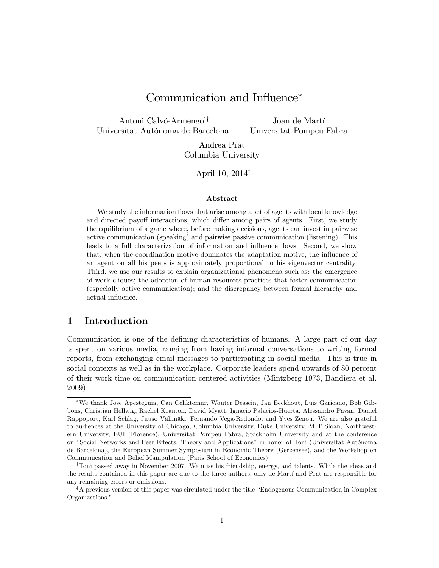# Communication and Influence<sup>\*</sup>

Antoni Calvó-Armengol<sup>†</sup> Universitat Autònoma de Barcelona

Joan de Martí Universitat Pompeu Fabra

Andrea Prat Columbia University

April 10,  $2014^{\ddagger}$ 

#### Abstract

We study the information flows that arise among a set of agents with local knowledge and directed payoff interactions, which differ among pairs of agents. First, we study the equilibrium of a game where, before making decisions, agents can invest in pairwise active communication (speaking) and pairwise passive communication (listening). This leads to a full characterization of information and influence flows. Second, we show that, when the coordination motive dominates the adaptation motive, the ináuence of an agent on all his peers is approximately proportional to his eigenvector centrality. Third, we use our results to explain organizational phenomena such as: the emergence of work cliques; the adoption of human resources practices that foster communication (especially active communication); and the discrepancy between formal hierarchy and actual influence.

# 1 Introduction

Communication is one of the defining characteristics of humans. A large part of our day is spent on various media, ranging from having informal conversations to writing formal reports, from exchanging email messages to participating in social media. This is true in social contexts as well as in the workplace. Corporate leaders spend upwards of 80 percent of their work time on communication-centered activities (Mintzberg 1973, Bandiera et al. 2009)

We thank Jose Apesteguia, Can Celiktemur, Wouter Dessein, Jan Eeckhout, Luis Garicano, Bob Gibbons, Christian Hellwig, Rachel Kranton, David Myatt, Ignacio Palacios-Huerta, Alessandro Pavan, Daniel Rappoport, Karl Schlag, Juuso Välimäki, Fernando Vega-Redondo, and Yves Zenou. We are also grateful to audiences at the University of Chicago, Columbia University, Duke University, MIT Sloan, Northwestern University, EUI (Florence), Universitat Pompeu Fabra, Stockholm University and at the conference on "Social Networks and Peer Effects: Theory and Applications" in honor of Toni (Universitat Autònoma de Barcelona), the European Summer Symposium in Economic Theory (Gerzensee), and the Workshop on Communication and Belief Manipulation (Paris School of Economics).

<sup>&</sup>lt;sup>†</sup>Toni passed away in November 2007. We miss his friendship, energy, and talents. While the ideas and the results contained in this paper are due to the three authors, only de Martí and Prat are responsible for any remaining errors or omissions.

<sup>&</sup>lt;sup>‡</sup>A previous version of this paper was circulated under the title "Endogenous Communication in Complex Organizations."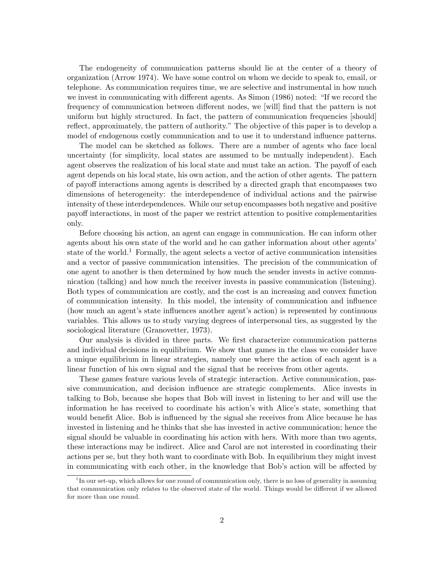The endogeneity of communication patterns should lie at the center of a theory of organization (Arrow 1974). We have some control on whom we decide to speak to, email, or telephone. As communication requires time, we are selective and instrumental in how much we invest in communicating with different agents. As Simon (1986) noted: "If we record the frequency of communication between different nodes, we [will] find that the pattern is not uniform but highly structured. In fact, the pattern of communication frequencies [should] reflect, approximately, the pattern of authority." The objective of this paper is to develop a model of endogenous costly communication and to use it to understand influence patterns.

The model can be sketched as follows. There are a number of agents who face local uncertainty (for simplicity, local states are assumed to be mutually independent). Each agent observes the realization of his local state and must take an action. The payoff of each agent depends on his local state, his own action, and the action of other agents. The pattern of payoff interactions among agents is described by a directed graph that encompasses two dimensions of heterogeneity: the interdependence of individual actions and the pairwise intensity of these interdependences. While our setup encompasses both negative and positive payo§ interactions, in most of the paper we restrict attention to positive complementarities only.

Before choosing his action, an agent can engage in communication. He can inform other agents about his own state of the world and he can gather information about other agents' state of the world.<sup>1</sup> Formally, the agent selects a vector of active communication intensities and a vector of passive communication intensities. The precision of the communication of one agent to another is then determined by how much the sender invests in active communication (talking) and how much the receiver invests in passive communication (listening). Both types of communication are costly, and the cost is an increasing and convex function of communication intensity. In this model, the intensity of communication and ináuence (how much an agent's state influences another agent's action) is represented by continuous variables. This allows us to study varying degrees of interpersonal ties, as suggested by the sociological literature (Granovetter, 1973).

Our analysis is divided in three parts. We first characterize communication patterns and individual decisions in equilibrium. We show that games in the class we consider have a unique equilibrium in linear strategies, namely one where the action of each agent is a linear function of his own signal and the signal that he receives from other agents.

These games feature various levels of strategic interaction. Active communication, passive communication, and decision influence are strategic complements. Alice invests in talking to Bob, because she hopes that Bob will invest in listening to her and will use the information he has received to coordinate his actionís with Aliceís state, something that would benefit Alice. Bob is influenced by the signal she receives from Alice because he has invested in listening and he thinks that she has invested in active communication; hence the signal should be valuable in coordinating his action with hers. With more than two agents, these interactions may be indirect. Alice and Carol are not interested in coordinating their actions per se, but they both want to coordinate with Bob. In equilibrium they might invest in communicating with each other, in the knowledge that Bob's action will be affected by

<sup>&</sup>lt;sup>1</sup>In our set-up, which allows for one round of communication only, there is no loss of generality in assuming that communication only relates to the observed state of the world. Things would be different if we allowed for more than one round.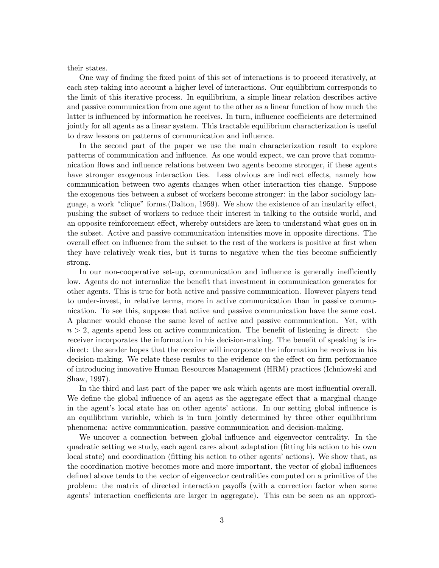their states.

One way of Önding the Öxed point of this set of interactions is to proceed iteratively, at each step taking into account a higher level of interactions. Our equilibrium corresponds to the limit of this iterative process. In equilibrium, a simple linear relation describes active and passive communication from one agent to the other as a linear function of how much the latter is influenced by information he receives. In turn, influence coefficients are determined jointly for all agents as a linear system. This tractable equilibrium characterization is useful to draw lessons on patterns of communication and influence.

In the second part of the paper we use the main characterization result to explore patterns of communication and ináuence. As one would expect, we can prove that communication flows and influence relations between two agents become stronger, if these agents have stronger exogenous interaction ties. Less obvious are indirect effects, namely how communication between two agents changes when other interaction ties change. Suppose the exogenous ties between a subset of workers become stronger: in the labor sociology language, a work "clique" forms.  $(Dalton, 1959)$ . We show the existence of an insularity effect, pushing the subset of workers to reduce their interest in talking to the outside world, and an opposite reinforcement effect, whereby outsiders are keen to understand what goes on in the subset. Active and passive communication intensities move in opposite directions. The overall effect on influence from the subset to the rest of the workers is positive at first when they have relatively weak ties, but it turns to negative when the ties become sufficiently strong.

In our non-cooperative set-up, communication and influence is generally inefficiently low. Agents do not internalize the benefit that investment in communication generates for other agents. This is true for both active and passive communication. However players tend to under-invest, in relative terms, more in active communication than in passive communication. To see this, suppose that active and passive communication have the same cost. A planner would choose the same level of active and passive communication. Yet, with  $n > 2$ , agents spend less on active communication. The benefit of listening is direct: the receiver incorporates the information in his decision-making. The benefit of speaking is indirect: the sender hopes that the receiver will incorporate the information he receives in his decision-making. We relate these results to the evidence on the effect on firm performance of introducing innovative Human Resources Management (HRM) practices (Ichniowski and Shaw, 1997).

In the third and last part of the paper we ask which agents are most ináuential overall. We define the global influence of an agent as the aggregate effect that a marginal change in the agent's local state has on other agents' actions. In our setting global influence is an equilibrium variable, which is in turn jointly determined by three other equilibrium phenomena: active communication, passive communication and decision-making.

We uncover a connection between global influence and eigenvector centrality. In the quadratic setting we study, each agent cares about adaptation (Ötting his action to his own local state) and coordination (fitting his action to other agents' actions). We show that, as the coordination motive becomes more and more important, the vector of global ináuences defined above tends to the vector of eigenvector centralities computed on a primitive of the problem: the matrix of directed interaction payoffs (with a correction factor when some agents' interaction coefficients are larger in aggregate). This can be seen as an approxi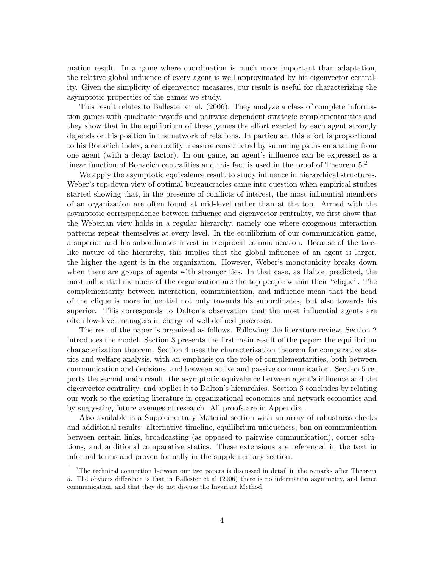mation result. In a game where coordination is much more important than adaptation, the relative global influence of every agent is well approximated by his eigenvector centrality. Given the simplicity of eigenvector measares, our result is useful for characterizing the asymptotic properties of the games we study.

This result relates to Ballester et al. (2006). They analyze a class of complete information games with quadratic payoffs and pairwise dependent strategic complementarities and they show that in the equilibrium of these games the effort exerted by each agent strongly depends on his position in the network of relations. In particular, this effort is proportional to his Bonacich index, a centrality measure constructed by summing paths emanating from one agent (with a decay factor). In our game, an agent's influence can be expressed as a linear function of Bonacich centralities and this fact is used in the proof of Theorem  $5<sup>2</sup>$ 

We apply the asymptotic equivalence result to study influence in hierarchical structures. Weber's top-down view of optimal bureaucracies came into question when empirical studies started showing that, in the presence of conflicts of interest, the most influential members of an organization are often found at mid-level rather than at the top. Armed with the asymptotic correspondence between influence and eigenvector centrality, we first show that the Weberian view holds in a regular hierarchy, namely one where exogenous interaction patterns repeat themselves at every level. In the equilibrium of our communication game, a superior and his subordinates invest in reciprocal communication. Because of the treelike nature of the hierarchy, this implies that the global influence of an agent is larger, the higher the agent is in the organization. However, Weber's monotonicity breaks down when there are groups of agents with stronger ties. In that case, as Dalton predicted, the most influential members of the organization are the top people within their "clique". The complementarity between interaction, communication, and influence mean that the head of the clique is more ináuential not only towards his subordinates, but also towards his superior. This corresponds to Dalton's observation that the most influential agents are often low-level managers in charge of well-defined processes.

The rest of the paper is organized as follows. Following the literature review, Section 2 introduces the model. Section 3 presents the first main result of the paper: the equilibrium characterization theorem. Section 4 uses the characterization theorem for comparative statics and welfare analysis, with an emphasis on the role of complementarities, both between communication and decisions, and between active and passive communication. Section 5 reports the second main result, the asymptotic equivalence between agent's influence and the eigenvector centrality, and applies it to Dalton's hierarchies. Section 6 concludes by relating our work to the existing literature in organizational economics and network economics and by suggesting future avenues of research. All proofs are in Appendix.

Also available is a Supplementary Material section with an array of robustness checks and additional results: alternative timeline, equilibrium uniqueness, ban on communication between certain links, broadcasting (as opposed to pairwise communication), corner solutions, and additional comparative statics. These extensions are referenced in the text in informal terms and proven formally in the supplementary section.

<sup>&</sup>lt;sup>2</sup>The technical connection between our two papers is discussed in detail in the remarks after Theorem 5. The obvious difference is that in Ballester et al (2006) there is no information asymmetry, and hence communication, and that they do not discuss the Invariant Method.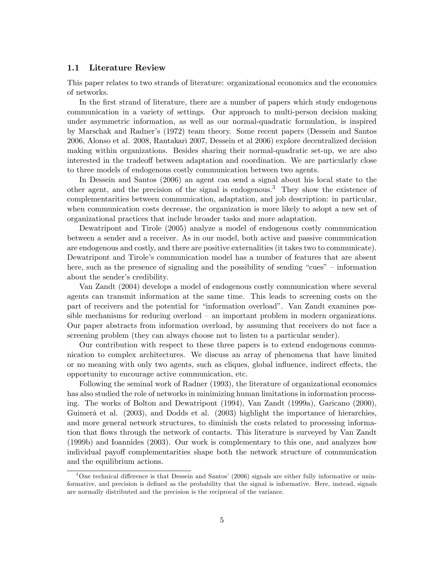#### 1.1 Literature Review

This paper relates to two strands of literature: organizational economics and the economics of networks.

In the first strand of literature, there are a number of papers which study endogenous communication in a variety of settings. Our approach to multi-person decision making under asymmetric information, as well as our normal-quadratic formulation, is inspired by Marschak and Radnerís (1972) team theory. Some recent papers (Dessein and Santos 2006, Alonso et al. 2008, Rantakari 2007, Dessein et al 2006) explore decentralized decision making within organizations. Besides sharing their normal-quadratic set-up, we are also interested in the tradeoff between adaptation and coordination. We are particularly close to three models of endogenous costly communication between two agents.

In Dessein and Santos (2006) an agent can send a signal about his local state to the other agent, and the precision of the signal is endogenous.<sup>3</sup> They show the existence of complementarities between communication, adaptation, and job description: in particular, when communication costs decrease, the organization is more likely to adopt a new set of organizational practices that include broader tasks and more adaptation.

Dewatripont and Tirole (2005) analyze a model of endogenous costly communication between a sender and a receiver. As in our model, both active and passive communication are endogenous and costly, and there are positive externalities (it takes two to communicate). Dewatripont and Tirole's communication model has a number of features that are absent here, such as the presence of signaling and the possibility of sending "cues"  $-$  information about the sender's credibility.

Van Zandt (2004) develops a model of endogenous costly communication where several agents can transmit information at the same time. This leads to screening costs on the part of receivers and the potential for "information overload". Van Zandt examines possible mechanisms for reducing overload  $-$  an important problem in modern organizations. Our paper abstracts from information overload, by assuming that receivers do not face a screening problem (they can always choose not to listen to a particular sender).

Our contribution with respect to these three papers is to extend endogenous communication to complex architectures. We discuss an array of phenomena that have limited or no meaning with only two agents, such as cliques, global influence, indirect effects, the opportunity to encourage active communication, etc.

Following the seminal work of Radner (1993), the literature of organizational economics has also studied the role of networks in minimizing human limitations in information processing. The works of Bolton and Dewatripont (1994), Van Zandt (1999a), Garicano (2000), Guimerà et al.  $(2003)$ , and Dodds et al.  $(2003)$  highlight the importance of hierarchies, and more general network structures, to diminish the costs related to processing information that flows through the network of contacts. This literature is surveyed by Van Zandt (1999b) and Ioannides (2003). Our work is complementary to this one, and analyzes how individual payoff complementarities shape both the network structure of communication and the equilibrium actions.

 $3$ One technical difference is that Dessein and Santos' (2006) signals are either fully informative or uninformative, and precision is defined as the probability that the signal is informative. Here, instead, signals are normally distributed and the precision is the reciprocal of the variance.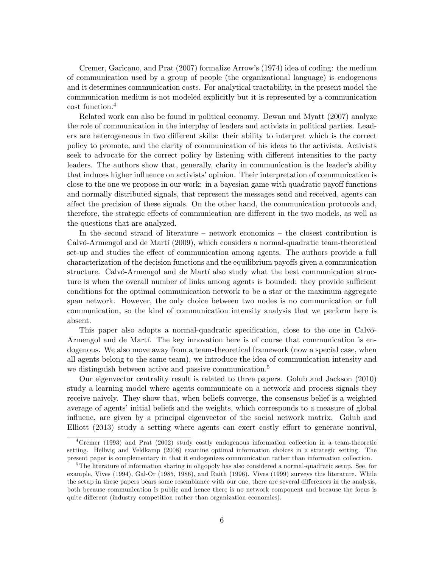Cremer, Garicano, and Prat (2007) formalize Arrowís (1974) idea of coding: the medium of communication used by a group of people (the organizational language) is endogenous and it determines communication costs. For analytical tractability, in the present model the communication medium is not modeled explicitly but it is represented by a communication cost function.<sup>4</sup>

Related work can also be found in political economy. Dewan and Myatt (2007) analyze the role of communication in the interplay of leaders and activists in political parties. Leaders are heterogeneous in two different skills: their ability to interpret which is the correct policy to promote, and the clarity of communication of his ideas to the activists. Activists seek to advocate for the correct policy by listening with different intensities to the party leaders. The authors show that, generally, clarity in communication is the leader's ability that induces higher influence on activists' opinion. Their interpretation of communication is close to the one we propose in our work: in a bayesian game with quadratic payoff functions and normally distributed signals, that represent the messages send and received, agents can a§ect the precision of these signals. On the other hand, the communication protocols and, therefore, the strategic effects of communication are different in the two models, as well as the questions that are analyzed.

In the second strand of literature  $-$  network economics  $-$  the closest contribution is Calvó-Armengol and de Martí (2009), which considers a normal-quadratic team-theoretical set-up and studies the effect of communication among agents. The authors provide a full characterization of the decision functions and the equilibrium payoffs given a communication structure. Calvó-Armengol and de Martí also study what the best communication structure is when the overall number of links among agents is bounded: they provide sufficient conditions for the optimal communication network to be a star or the maximum aggregate span network. However, the only choice between two nodes is no communication or full communication, so the kind of communication intensity analysis that we perform here is absent.

This paper also adopts a normal-quadratic specification, close to the one in Calvó-Armengol and de Martí. The key innovation here is of course that communication is endogenous. We also move away from a team-theoretical framework (now a special case, when all agents belong to the same team), we introduce the idea of communication intensity and we distinguish between active and passive communication.<sup>5</sup>

Our eigenvector centrality result is related to three papers. Golub and Jackson (2010) study a learning model where agents communicate on a network and process signals they receive naively. They show that, when beliefs converge, the consensus belief is a weighted average of agents' initial beliefs and the weights, which corresponds to a measure of global influenc, are given by a principal eigenvector of the social network matrix. Golub and Elliott  $(2013)$  study a setting where agents can exert costly effort to generate nonrival,

<sup>&</sup>lt;sup>4</sup>Cremer (1993) and Prat (2002) study costly endogenous information collection in a team-theoretic setting. Hellwig and Veldkamp (2008) examine optimal information choices in a strategic setting. The present paper is complementary in that it endogenizes communication rather than information collection.

 $5$ The literature of information sharing in oligopoly has also considered a normal-quadratic setup. See, for example, Vives (1994), Gal-Or (1985, 1986), and Raith (1996). Vives (1999) surveys this literature. While the setup in these papers bears some resemblance with our one, there are several differences in the analysis, both because communication is public and hence there is no network component and because the focus is quite different (industry competition rather than organization economics).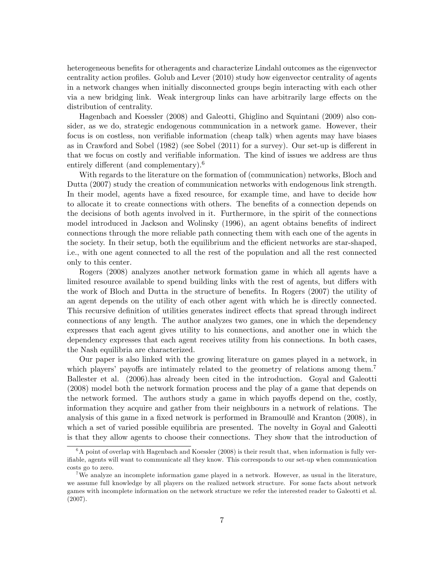heterogeneous benefits for otheragents and characterize Lindahl outcomes as the eigenvector centrality action profiles. Golub and Lever (2010) study how eigenvector centrality of agents in a network changes when initially disconnected groups begin interacting with each other via a new bridging link. Weak intergroup links can have arbitrarily large effects on the distribution of centrality.

Hagenbach and Koessler (2008) and Galeotti, Ghiglino and Squintani (2009) also consider, as we do, strategic endogenous communication in a network game. However, their focus is on costless, non verifiable information (cheap talk) when agents may have biases as in Crawford and Sobel  $(1982)$  (see Sobel  $(2011)$  for a survey). Our set-up is different in that we focus on costly and verifiable information. The kind of issues we address are thus entirely different (and complementary).<sup>6</sup>

With regards to the literature on the formation of (communication) networks, Bloch and Dutta (2007) study the creation of communication networks with endogenous link strength. In their model, agents have a fixed resource, for example time, and have to decide how to allocate it to create connections with others. The benefits of a connection depends on the decisions of both agents involved in it. Furthermore, in the spirit of the connections model introduced in Jackson and Wolinsky (1996), an agent obtains benefits of indirect connections through the more reliable path connecting them with each one of the agents in the society. In their setup, both the equilibrium and the efficient networks are star-shaped, i.e., with one agent connected to all the rest of the population and all the rest connected only to this center.

Rogers (2008) analyzes another network formation game in which all agents have a limited resource available to spend building links with the rest of agents, but differs with the work of Bloch and Dutta in the structure of benefits. In Rogers (2007) the utility of an agent depends on the utility of each other agent with which he is directly connected. This recursive definition of utilities generates indirect effects that spread through indirect connections of any length. The author analyzes two games, one in which the dependency expresses that each agent gives utility to his connections, and another one in which the dependency expresses that each agent receives utility from his connections. In both cases, the Nash equilibria are characterized.

Our paper is also linked with the growing literature on games played in a network, in which players' payoffs are intimately related to the geometry of relations among them.<sup>7</sup> Ballester et al. (2006).has already been cited in the introduction. Goyal and Galeotti (2008) model both the network formation process and the play of a game that depends on the network formed. The authors study a game in which payoffs depend on the, costly, information they acquire and gather from their neighbours in a network of relations. The analysis of this game in a fixed network is performed in Bramoullé and Kranton (2008), in which a set of varied possible equilibria are presented. The novelty in Goyal and Galeotti is that they allow agents to choose their connections. They show that the introduction of

 $6A$  point of overlap with Hagenbach and Koessler (2008) is their result that, when information is fully verifiable, agents will want to communicate all they know. This corresponds to our set-up when communication costs go to zero.

<sup>7</sup>We analyze an incomplete information game played in a network. However, as usual in the literature, we assume full knowledge by all players on the realized network structure. For some facts about network games with incomplete information on the network structure we refer the interested reader to Galeotti et al. (2007).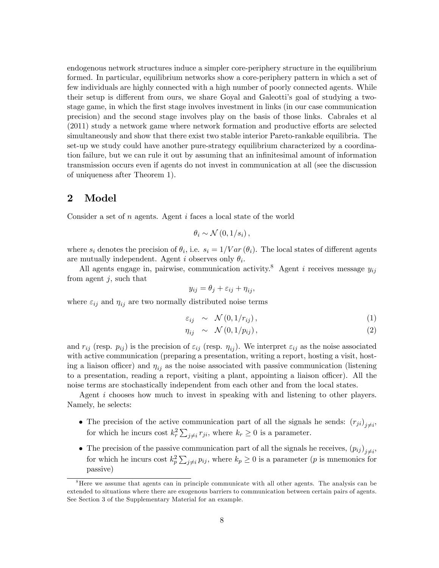endogenous network structures induce a simpler core-periphery structure in the equilibrium formed. In particular, equilibrium networks show a core-periphery pattern in which a set of few individuals are highly connected with a high number of poorly connected agents. While their setup is different from ours, we share Goyal and Galeotti's goal of studying a twostage game, in which the Örst stage involves investment in links (in our case communication precision) and the second stage involves play on the basis of those links. Cabrales et al  $(2011)$  study a network game where network formation and productive efforts are selected simultaneously and show that there exist two stable interior Pareto-rankable equilibria. The set-up we study could have another pure-strategy equilibrium characterized by a coordination failure, but we can rule it out by assuming that an infinitesimal amount of information transmission occurs even if agents do not invest in communication at all (see the discussion of uniqueness after Theorem 1).

# 2 Model

Consider a set of  $n$  agents. Agent  $i$  faces a local state of the world

$$
\theta_i \sim \mathcal{N}(0, 1/s_i),
$$

where  $s_i$  denotes the precision of  $\theta_i$ , i.e.  $s_i = 1/Var(\theta_i)$ . The local states of different agents are mutually independent. Agent *i* observes only  $\theta_i$ .

All agents engage in, pairwise, communication activity.<sup>8</sup> Agent *i* receives message  $y_{ij}$ from agent  $j$ , such that

$$
y_{ij} = \theta_j + \varepsilon_{ij} + \eta_{ij},
$$

where  $\varepsilon_{ij}$  and  $\eta_{ij}$  are two normally distributed noise terms

$$
\varepsilon_{ij} \sim \mathcal{N}(0, 1/r_{ij}), \qquad (1)
$$

$$
\eta_{ij} \sim \mathcal{N}(0, 1/p_{ij}), \qquad (2)
$$

and  $r_{ij}$  (resp.  $p_{ij}$ ) is the precision of  $\varepsilon_{ij}$  (resp.  $\eta_{ij}$ ). We interpret  $\varepsilon_{ij}$  as the noise associated with active communication (preparing a presentation, writing a report, hosting a visit, hosting a liaison officer) and  $\eta_{ij}$  as the noise associated with passive communication (listening to a presentation, reading a report, visiting a plant, appointing a liaison officer). All the noise terms are stochastically independent from each other and from the local states.

Agent i chooses how much to invest in speaking with and listening to other players. Namely, he selects:

- The precision of the active communication part of all the signals he sends:  $(r_{ji})_{j\neq i}$ , for which he incurs cost  $k_r^2 \sum_{j \neq i} r_{ji}$ , where  $k_r \geq 0$  is a parameter.
- The precision of the passive communication part of all the signals he receives,  $(p_{ij})_{j\neq i}$ , for which he incurs cost  $k_p^2 \sum_{j \neq i} p_{ij}$ , where  $k_p \geq 0$  is a parameter (*p* is mnemonics for passive)

<sup>&</sup>lt;sup>8</sup>Here we assume that agents can in principle communicate with all other agents. The analysis can be extended to situations where there are exogenous barriers to communication between certain pairs of agents. See Section 3 of the Supplementary Material for an example.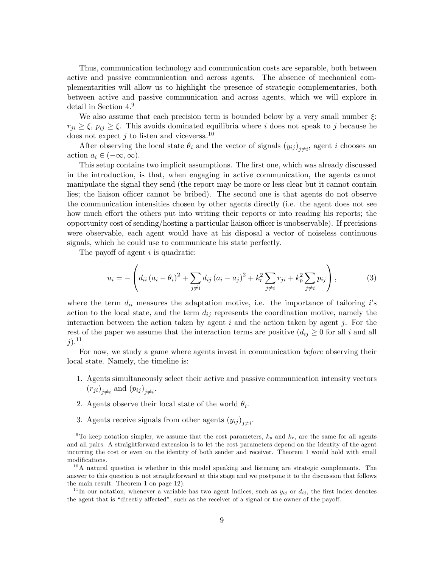Thus, communication technology and communication costs are separable, both between active and passive communication and across agents. The absence of mechanical complementarities will allow us to highlight the presence of strategic complementaries, both between active and passive communication and across agents, which we will explore in detail in Section 4.<sup>9</sup>

We also assume that each precision term is bounded below by a very small number  $\xi$ :  $r_{ji} \geq \xi$ ,  $p_{ij} \geq \xi$ . This avoids dominated equilibria where i does not speak to j because he does not expect  $j$  to listen and viceversa.<sup>10</sup>

After observing the local state  $\theta_i$  and the vector of signals  $(y_{ij})_{j\neq i}$ , agent i chooses an action  $a_i \in (-\infty, \infty)$ .

This setup contains two implicit assumptions. The first one, which was already discussed in the introduction, is that, when engaging in active communication, the agents cannot manipulate the signal they send (the report may be more or less clear but it cannot contain lies; the liaison officer cannot be bribed). The second one is that agents do not observe the communication intensities chosen by other agents directly (i.e. the agent does not see how much effort the others put into writing their reports or into reading his reports; the opportunity cost of sending/hosting a particular liaison officer is unobservable). If precisions were observable, each agent would have at his disposal a vector of noiseless continuous signals, which he could use to communicate his state perfectly.

The payoff of agent  $i$  is quadratic:

$$
u_i = -\left(d_{ii}(a_i - \theta_i)^2 + \sum_{j \neq i} d_{ij}(a_i - a_j)^2 + k_r^2 \sum_{j \neq i} r_{ji} + k_p^2 \sum_{j \neq i} p_{ij}\right),\tag{3}
$$

where the term  $d_{ii}$  measures the adaptation motive, i.e. the importance of tailoring i's action to the local state, and the term  $d_{ij}$  represents the coordination motive, namely the interaction between the action taken by agent  $i$  and the action taken by agent  $j$ . For the rest of the paper we assume that the interaction terms are positive  $(d_{ij} \geq 0$  for all i and all  $j$ ).<sup>11</sup>

For now, we study a game where agents invest in communication before observing their local state. Namely, the timeline is:

- 1. Agents simultaneously select their active and passive communication intensity vectors  $(r_{ji})_{j\neq i}$  and  $(p_{ij})_{j\neq i}$ .
- 2. Agents observe their local state of the world  $\theta_i$ .
- 3. Agents receive signals from other agents  $(y_{ij})_{j\neq i}$ .

<sup>&</sup>lt;sup>9</sup>To keep notation simpler, we assume that the cost parameters,  $k_p$  and  $k_r$ , are the same for all agents and all pairs. A straightforward extension is to let the cost parameters depend on the identity of the agent incurring the cost or even on the identity of both sender and receiver. Theorem 1 would hold with small modifications.

 $10<sup>10</sup>A$  natural question is whether in this model speaking and listening are strategic complements. The answer to this question is not straightforward at this stage and we postpone it to the discussion that follows the main result: Theorem 1 on page 12).

<sup>&</sup>lt;sup>11</sup>In our notation, whenever a variable has two agent indices, such as  $y_{ij}$  or  $d_{ij}$ , the first index denotes the agent that is "directly affected", such as the receiver of a signal or the owner of the payoff.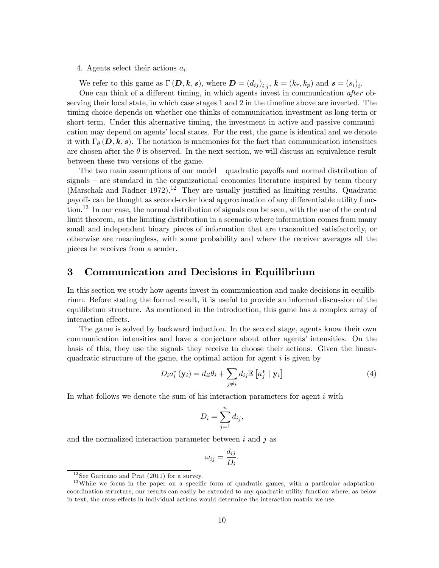4. Agents select their actions  $a_i$ .

We refer to this game as  $\Gamma(\mathbf{D}, \mathbf{k}, \mathbf{s})$ , where  $\mathbf{D} = (d_{ij})_{i,j}$ ,  $\mathbf{k} = (k_r, k_p)$  and  $\mathbf{s} = (s_i)_i$ .

One can think of a different timing, in which agents invest in communication *after* observing their local state, in which case stages 1 and 2 in the timeline above are inverted. The timing choice depends on whether one thinks of communication investment as long-term or short-term. Under this alternative timing, the investment in active and passive communication may depend on agents' local states. For the rest, the game is identical and we denote it with  $\Gamma_{\theta}(\mathbf{D}, \mathbf{k}, s)$ . The notation is mnemonics for the fact that communication intensities are chosen after the  $\theta$  is observed. In the next section, we will discuss an equivalence result between these two versions of the game.

The two main assumptions of our model  $-$  quadratic payoffs and normal distribution of  $signals - are standard in the organizational economics literature inspired by team theory$ (Marschak and Radner 1972).<sup>12</sup> They are usually justified as limiting results. Quadratic payoffs can be thought as second-order local approximation of any differentiable utility function.<sup>13</sup> In our case, the normal distribution of signals can be seen, with the use of the central limit theorem, as the limiting distribution in a scenario where information comes from many small and independent binary pieces of information that are transmitted satisfactorily, or otherwise are meaningless, with some probability and where the receiver averages all the pieces he receives from a sender.

## 3 Communication and Decisions in Equilibrium

In this section we study how agents invest in communication and make decisions in equilibrium. Before stating the formal result, it is useful to provide an informal discussion of the equilibrium structure. As mentioned in the introduction, this game has a complex array of interaction effects.

The game is solved by backward induction. In the second stage, agents know their own communication intensities and have a conjecture about other agents' intensities. On the basis of this, they use the signals they receive to choose their actions. Given the linearquadratic structure of the game, the optimal action for agent  $i$  is given by

$$
D_i a_i^* (\mathbf{y}_i) = d_{ii} \theta_i + \sum_{j \neq i} d_{ij} \mathbb{E} \left[ a_j^* \mid \mathbf{y}_i \right]
$$
 (4)

In what follows we denote the sum of his interaction parameters for agent  $i$  with

$$
D_i = \sum_{j=1}^n d_{ij},
$$

and the normalized interaction parameter between  $i$  and  $j$  as

$$
\omega_{ij} = \frac{d_{ij}}{D_i}.
$$

 $12$ See Garicano and Prat (2011) for a survey.

 $13$ While we focus in the paper on a specific form of quadratic games, with a particular adaptationcoordination structure, our results can easily be extended to any quadratic utility function where, as below in text, the cross-effects in individual actions would determine the interaction matrix we use.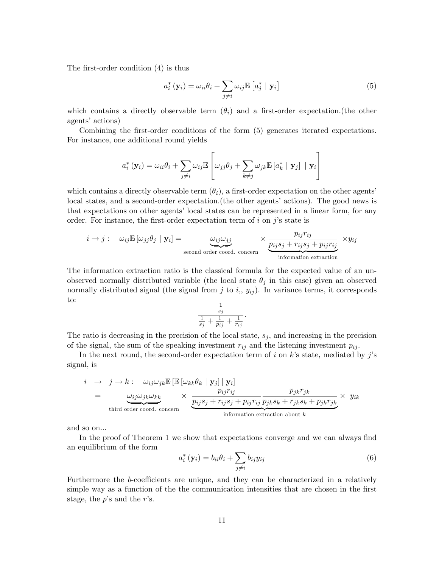The first-order condition (4) is thus

$$
a_i^* (\mathbf{y}_i) = \omega_{ii} \theta_i + \sum_{j \neq i} \omega_{ij} \mathbb{E} \left[ a_j^* \mid \mathbf{y}_i \right]
$$
 (5)

which contains a directly observable term  $(\theta_i)$  and a first-order expectation. (the other agents' actions)

Combining the first-order conditions of the form (5) generates iterated expectations. For instance, one additional round yields

$$
a_{i}^{*}\left(\mathbf{y}_{i}\right)=\omega_{ii}\theta_{i}+\sum_{j\neq i}\omega_{ij}\mathbb{E}\left[\omega_{jj}\theta_{j}+\sum_{k\neq j}\omega_{jk}\mathbb{E}\left[a_{k}^{*} \mid \mathbf{y}_{j}\right] \mid \mathbf{y}_{i}\right]
$$

which contains a directly observable term  $(\theta_i)$ , a first-order expectation on the other agents local states, and a second-order expectation. (the other agents' actions). The good news is that expectations on other agents' local states can be represented in a linear form, for any order. For instance, the first-order expectation term of  $i$  on  $j$ 's state is

$$
i \to j: \quad \omega_{ij} \mathbb{E} \left[ \omega_{jj} \theta_j \mid \mathbf{y}_i \right] = \underbrace{\omega_{ij} \omega_{jj}}_{\text{second order coord. concern}} \times \underbrace{\frac{p_{ij} r_{ij}}{p_{ij} s_j + r_{ij} s_j + p_{ij} r_{ij}}}_{\text{information extraction}}
$$

The information extraction ratio is the classical formula for the expected value of an unobserved normally distributed variable (the local state  $\theta_j$  in this case) given an observed normally distributed signal (the signal from  $j$  to  $i$ ,  $y_{ij}$ ). In variance terms, it corresponds to:

$$
\frac{\frac{1}{s_j}}{\frac{1}{s_j} + \frac{1}{p_{ij}} + \frac{1}{r_{ij}}}.
$$

The ratio is decreasing in the precision of the local state,  $s_i$ , and increasing in the precision of the signal, the sum of the speaking investment  $r_{ij}$  and the listening investment  $p_{ij}$ .

In the next round, the second-order expectation term of i on k's state, mediated by  $j$ 's signal, is

$$
\begin{array}{rcl}\ni & \to & j \to k: & \omega_{ij}\omega_{jk}\mathbb{E}\left[\mathbb{E}\left[\omega_{kk}\theta_k \mid \mathbf{y}_j\right] \mid \mathbf{y}_i\right] \\
& = & \underbrace{\omega_{ij}\omega_{jk}\omega_{kk}}_{\text{third order coord. concern}} \times \underbrace{\frac{p_{ij}r_{ij}}{p_{ij}s_j + r_{ij}s_j + p_{ij}r_{ij}} \frac{p_{jk}r_{jk}}{p_{jk}s_k + r_{jk}s_k + p_{jk}r_{jk}}}_{\text{information extraction about } k} \times y_{ik}\n\end{array}
$$

and so on...

In the proof of Theorem 1 we show that expectations converge and we can always find an equilibrium of the form

$$
a_i^*(\mathbf{y}_i) = b_{ii}\theta_i + \sum_{j \neq i} b_{ij}y_{ij}
$$
\n<sup>(6)</sup>

Furthermore the  $b$ -coefficients are unique, and they can be characterized in a relatively simple way as a function of the the communication intensities that are chosen in the first stage, the  $p$ 's and the  $r$ 's.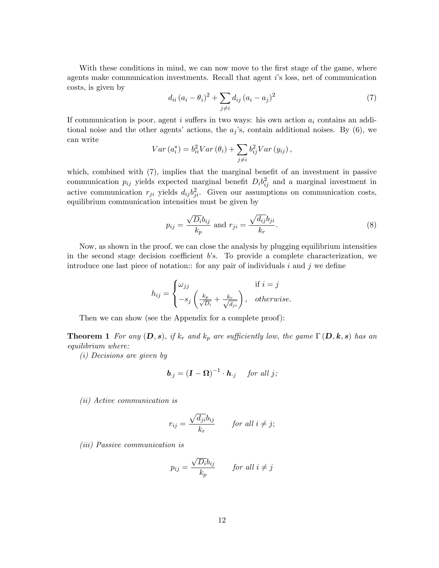With these conditions in mind, we can now move to the first stage of the game, where agents make communication investments. Recall that agent is loss, net of communication costs, is given by

$$
d_{ii} (a_i - \theta_i)^2 + \sum_{j \neq i} d_{ij} (a_i - a_j)^2
$$
 (7)

If communication is poor, agent i suffers in two ways: his own action  $a_i$  contains an additional noise and the other agents' actions, the  $a_j$ 's, contain additional noises. By (6), we can write

$$
Var\left(a_i^*\right) = b_{ii}^2 Var\left(\theta_i\right) + \sum_{j \neq i} b_{ij}^2 Var\left(y_{ij}\right),
$$

which, combined with  $(7)$ , implies that the marginal benefit of an investment in passive communication  $p_{ij}$  yields expected marginal benefit  $D_i b_{ij}^2$  and a marginal investment in active communication  $r_{ji}$  yields  $d_{ij}b_{ji}^2$ . Given our assumptions on communication costs, equilibrium communication intensities must be given by

$$
p_{ij} = \frac{\sqrt{D_i}b_{ij}}{k_p} \text{ and } r_{ji} = \frac{\sqrt{d_{ij}}b_{ji}}{k_r}.
$$
 (8)

Now, as shown in the proof, we can close the analysis by plugging equilibrium intensities in the second stage decision coefficient  $b$ 's. To provide a complete characterization, we introduce one last piece of notation:: for any pair of individuals  $i$  and  $j$  we define

$$
h_{ij} = \begin{cases} \omega_{jj} & \text{if } i = j \\ -s_j \left( \frac{k_p}{\sqrt{D_i}} + \frac{k_r}{\sqrt{d_{ji}}} \right), & otherwise. \end{cases}
$$

Then we can show (see the Appendix for a complete proof):

**Theorem 1** For any  $(D, s)$ , if  $k_r$  and  $k_p$  are sufficiently low, the game  $\Gamma(D, k, s)$  has an equilibrium where:

(i) Decisions are given by

$$
\boldsymbol{b}_{\cdot j}=(\boldsymbol{I}-\boldsymbol{\Omega})^{-1}\cdot\boldsymbol{h}_{\cdot j}\quad \text{ for all }j;
$$

(ii) Active communication is

$$
r_{ij} = \frac{\sqrt{d_{ji}}b_{ij}}{k_r} \qquad \text{for all } i \neq j;
$$

(iii) Passive communication is

$$
p_{ij} = \frac{\sqrt{D_i}b_{ij}}{k_p} \qquad \text{for all } i \neq j
$$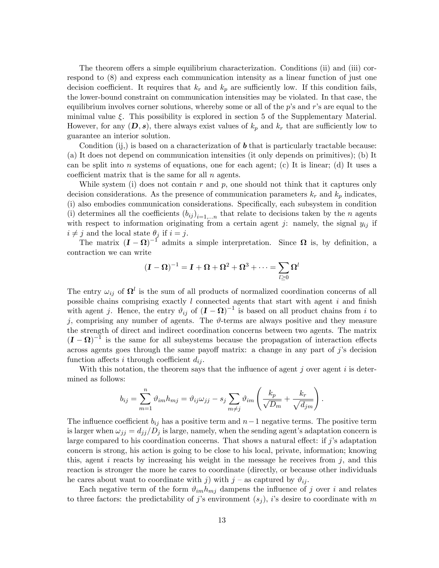The theorem offers a simple equilibrium characterization. Conditions (ii) and (iii) correspond to (8) and express each communication intensity as a linear function of just one decision coefficient. It requires that  $k_r$  and  $k_p$  are sufficiently low. If this condition fails, the lower-bound constraint on communication intensities may be violated. In that case, the equilibrium involves corner solutions, whereby some or all of the  $p$ 's and  $r$ 's are equal to the minimal value  $\xi$ . This possibility is explored in section 5 of the Supplementary Material. However, for any  $(D, s)$ , there always exist values of  $k_p$  and  $k_r$  that are sufficiently low to guarantee an interior solution.

Condition (ij,) is based on a characterization of  $\boldsymbol{b}$  that is particularly tractable because: (a) It does not depend on communication intensities (it only depends on primitives); (b) It can be split into n systems of equations, one for each agent; (c) It is linear; (d) It uses a coefficient matrix that is the same for all  $n$  agents.

While system (i) does not contain  $r$  and  $p$ , one should not think that it captures only decision considerations. As the presence of communication parameters  $k_r$  and  $k_p$  indicates, (i) also embodies communication considerations. Specifically, each subsystem in condition (i) determines all the coefficients  $(b_{ij})_{i=1,...n}$  that relate to decisions taken by the *n* agents with respect to information originating from a certain agent j: namely, the signal  $y_{ij}$  if  $i \neq j$  and the local state  $\theta_j$  if  $i = j$ .

The matrix  $(I - \Omega)^{-1}$  admits a simple interpretation. Since  $\Omega$  is, by definition, a contraction we can write

$$
(\boldsymbol{I}-\boldsymbol{\Omega})^{-1}=\boldsymbol{I}+\boldsymbol{\Omega}+\boldsymbol{\Omega}^2+\boldsymbol{\Omega}^3+\cdots=\sum_{l\geq 0}\boldsymbol{\Omega}^l
$$

The entry  $\omega_{ij}$  of  $\Omega^l$  is the sum of all products of normalized coordination concerns of all possible chains comprising exactly  $l$  connected agents that start with agent  $i$  and finish with agent j. Hence, the entry  $\vartheta_{ij}$  of  $(I - \Omega)^{-1}$  is based on all product chains from i to j, comprising any number of agents. The  $\vartheta$ -terms are always positive and they measure the strength of direct and indirect coordination concerns between two agents. The matrix  $(I - \Omega)^{-1}$  is the same for all subsystems because the propagation of interaction effects across agents goes through the same payoff matrix: a change in any part of  $j$ 's decision function affects i through coefficient  $d_{ij}$ .

With this notation, the theorem says that the influence of agent j over agent i is determined as follows:

$$
b_{ij} = \sum_{m=1}^{n} \vartheta_{im} h_{mj} = \vartheta_{ij} \omega_{jj} - s_j \sum_{m \neq j} \vartheta_{im} \left( \frac{k_p}{\sqrt{D_m}} + \frac{k_r}{\sqrt{d_{jm}}} \right).
$$

The influence coefficient  $b_{ij}$  has a positive term and  $n-1$  negative terms. The positive term is larger when  $\omega_{jj} = d_{jj}/D_j$  is large, namely, when the sending agent's adaptation concern is large compared to his coordination concerns. That shows a natural effect: if  $j$ 's adaptation concern is strong, his action is going to be close to his local, private, information; knowing this, agent i reacts by increasing his weight in the message he receives from  $j$ , and this reaction is stronger the more he cares to coordinate (directly, or because other individuals he cares about want to coordinate with j with  $j$  – as captured by  $\vartheta_{ij}$ .

Each negative term of the form  $\vartheta_{imhmi}$  dampens the influence of j over i and relates to three factors: the predictability of j's environment  $(s_i)$ , i's desire to coordinate with m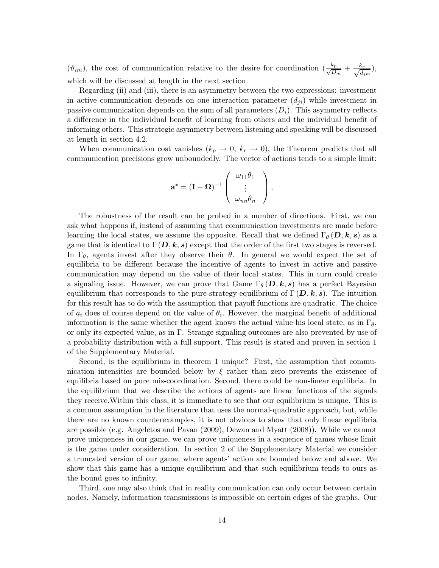$(\vartheta_{im})$ , the cost of communication relative to the desire for coordination  $(\frac{k_p}{\sqrt{D}})$  $\frac{k_p}{D_m}+\frac{k_r}{\sqrt{d_s}}$  $\frac{k_r}{d_{jm}}),$ which will be discussed at length in the next section.

Regarding (ii) and (iii), there is an asymmetry between the two expressions: investment in active communication depends on one interaction parameter  $(d_{ii})$  while investment in passive communication depends on the sum of all parameters  $(D_i)$ . This asymmetry reflects a difference in the individual benefit of learning from others and the individual benefit of informing others. This strategic asymmetry between listening and speaking will be discussed at length in section 4.2.

When communication cost vanishes  $(k_p \rightarrow 0, k_r \rightarrow 0)$ , the Theorem predicts that all communication precisions grow unboundedly. The vector of actions tends to a simple limit:

$$
\mathbf{a}^* = (\mathbf{I} - \mathbf{\Omega})^{-1} \left( \begin{array}{c} \omega_{11} \theta_1 \\ \vdots \\ \omega_{nn} \theta_n \end{array} \right),
$$

The robustness of the result can be probed in a number of directions. First, we can ask what happens if, instead of assuming that communication investments are made before learning the local states, we assume the opposite. Recall that we defined  $\Gamma_{\theta}(\mathbf{D}, \mathbf{k}, s)$  as a game that is identical to  $\Gamma(D, k, s)$  except that the order of the first two stages is reversed. In  $\Gamma_{\theta}$ , agents invest after they observe their  $\theta$ . In general we would expect the set of equilibria to be different because the incentive of agents to invest in active and passive communication may depend on the value of their local states. This in turn could create a signaling issue. However, we can prove that Game  $\Gamma_{\theta}(\mathbf{D}, \mathbf{k}, s)$  has a perfect Bayesian equilibrium that corresponds to the pure-strategy equilibrium of  $\Gamma(D, k, s)$ . The intuition for this result has to do with the assumption that payoff functions are quadratic. The choice of  $a_i$  does of course depend on the value of  $\theta_i$ . However, the marginal benefit of additional information is the same whether the agent knows the actual value his local state, as in  $\Gamma_{\theta}$ , or only its expected value, as in  $\Gamma$ . Strange signaling outcomes are also prevented by use of a probability distribution with a full-support. This result is stated and proven in section 1 of the Supplementary Material.

Second, is the equilibrium in theorem 1 unique? First, the assumption that communication intensities are bounded below by  $\xi$  rather than zero prevents the existence of equilibria based on pure mis-coordination. Second, there could be non-linear equilibria. In the equilibrium that we describe the actions of agents are linear functions of the signals they receive.Within this class, it is immediate to see that our equilibrium is unique. This is a common assumption in the literature that uses the normal-quadratic approach, but, while there are no known counterexamples, it is not obvious to show that only linear equilibria are possible (e.g. Angeletos and Pavan (2009), Dewan and Myatt (2008)). While we cannot prove uniqueness in our game, we can prove uniqueness in a sequence of games whose limit is the game under consideration. In section 2 of the Supplementary Material we consider a truncated version of our game, where agents' action are bounded below and above. We show that this game has a unique equilibrium and that such equilibrium tends to ours as the bound goes to infinity.

Third, one may also think that in reality communication can only occur between certain nodes. Namely, information transmissions is impossible on certain edges of the graphs. Our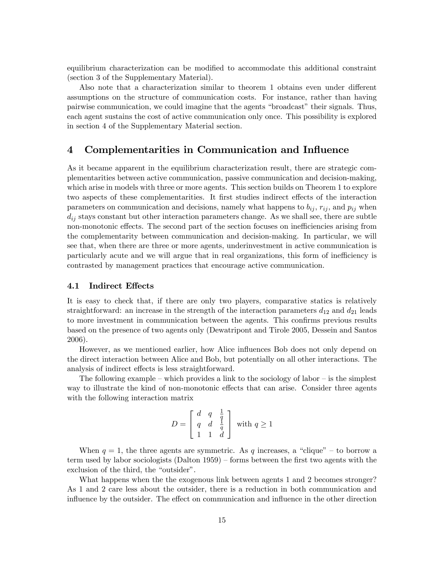equilibrium characterization can be modified to accommodate this additional constraint (section 3 of the Supplementary Material).

Also note that a characterization similar to theorem 1 obtains even under different assumptions on the structure of communication costs. For instance, rather than having pairwise communication, we could imagine that the agents "broadcast" their signals. Thus, each agent sustains the cost of active communication only once. This possibility is explored in section 4 of the Supplementary Material section.

## 4 Complementarities in Communication and Influence

As it became apparent in the equilibrium characterization result, there are strategic complementarities between active communication, passive communication and decision-making, which arise in models with three or more agents. This section builds on Theorem 1 to explore two aspects of these complementarities. It first studies indirect effects of the interaction parameters on communication and decisions, namely what happens to  $b_{ij}$ ,  $r_{ij}$ , and  $p_{ij}$  when  $d_{ij}$  stays constant but other interaction parameters change. As we shall see, there are subtle non-monotonic effects. The second part of the section focuses on inefficiencies arising from the complementarity between communication and decision-making. In particular, we will see that, when there are three or more agents, underinvestment in active communication is particularly acute and we will argue that in real organizations, this form of inefficiency is contrasted by management practices that encourage active communication.

#### 4.1 Indirect Effects

It is easy to check that, if there are only two players, comparative statics is relatively straightforward: an increase in the strength of the interaction parameters  $d_{12}$  and  $d_{21}$  leads to more investment in communication between the agents. This confirms previous results based on the presence of two agents only (Dewatripont and Tirole 2005, Dessein and Santos 2006).

However, as we mentioned earlier, how Alice influences Bob does not only depend on the direct interaction between Alice and Bob, but potentially on all other interactions. The analysis of indirect effects is less straightforward.

The following example – which provides a link to the sociology of labor – is the simplest way to illustrate the kind of non-monotonic effects that can arise. Consider three agents with the following interaction matrix

$$
D = \begin{bmatrix} d & q & \frac{1}{q} \\ q & d & \frac{1}{q} \\ 1 & 1 & d \end{bmatrix} \text{ with } q \ge 1
$$

When  $q = 1$ , the three agents are symmetric. As q increases, a "clique" – to borrow a term used by labor sociologists (Dalton  $1959$ ) – forms between the first two agents with the exclusion of the third, the "outsider".

What happens when the the exogenous link between agents 1 and 2 becomes stronger? As 1 and 2 care less about the outsider, there is a reduction in both communication and influence by the outsider. The effect on communication and influence in the other direction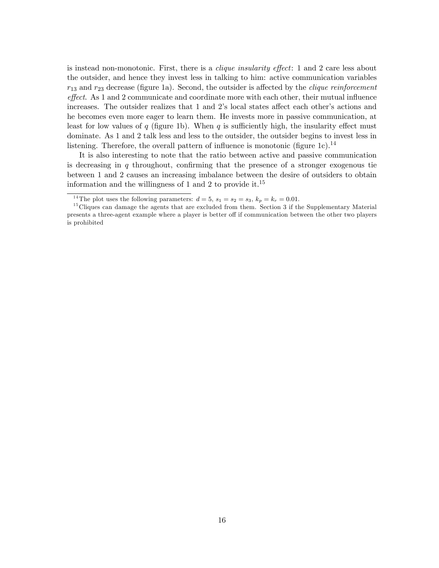is instead non-monotonic. First, there is a *clique insularity effect*: 1 and 2 care less about the outsider, and hence they invest less in talking to him: active communication variables  $r_{13}$  and  $r_{23}$  decrease (figure 1a). Second, the outsider is affected by the *clique reinforcement*  $effect.$  As 1 and 2 communicate and coordinate more with each other, their mutual influence increases. The outsider realizes that  $1$  and  $2$ 's local states affect each other's actions and he becomes even more eager to learn them. He invests more in passive communication, at least for low values of  $q$  (figure 1b). When  $q$  is sufficiently high, the insularity effect must dominate. As 1 and 2 talk less and less to the outsider, the outsider begins to invest less in listening. Therefore, the overall pattern of influence is monotonic (figure 1c).<sup>14</sup>

It is also interesting to note that the ratio between active and passive communication is decreasing in  $q$  throughout, confirming that the presence of a stronger exogenous tie between 1 and 2 causes an increasing imbalance between the desire of outsiders to obtain information and the willingness of 1 and 2 to provide it.<sup>15</sup>

<sup>&</sup>lt;sup>14</sup>The plot uses the following parameters:  $d = 5$ ,  $s_1 = s_2 = s_3$ ,  $k_p = k_r = 0.01$ .

<sup>&</sup>lt;sup>15</sup>Cliques can damage the agents that are excluded from them. Section 3 if the Supplementary Material presents a three-agent example where a player is better off if communication between the other two players is prohibited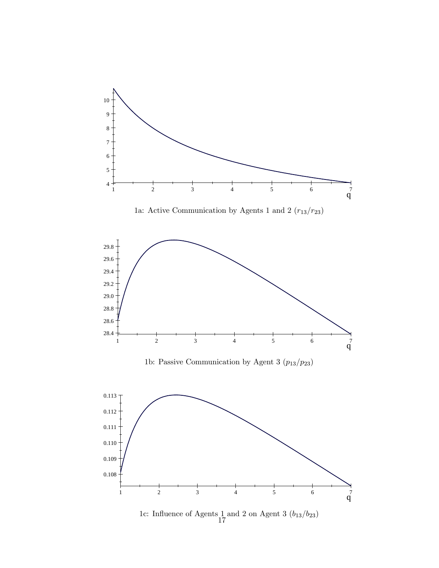

1a: Active Communication by Agents 1 and 2  $(r_{13}/r_{23})$ 



1b: Passive Communication by Agent 3  $(p_{13}/p_{23})$ 



1c: Influence of Agents 1 and 2 on Agent 3  $(b_{13}/b_{23})$ 17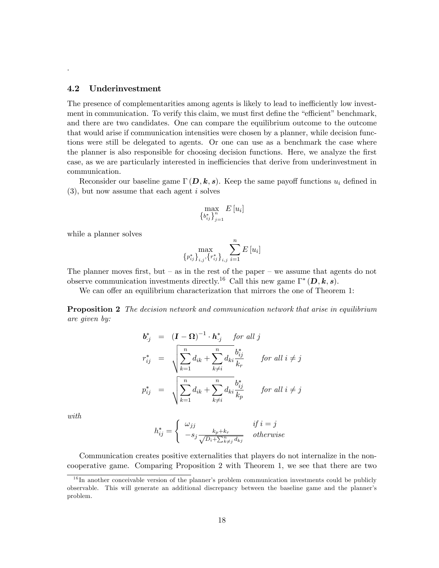## 4.2 Underinvestment

.

The presence of complementarities among agents is likely to lead to inefficiently low investment in communication. To verify this claim, we must first define the "efficient" benchmark, and there are two candidates. One can compare the equilibrium outcome to the outcome that would arise if communication intensities were chosen by a planner, while decision functions were still be delegated to agents. Or one can use as a benchmark the case where the planner is also responsible for choosing decision functions. Here, we analyze the first case, as we are particularly interested in inefficiencies that derive from underinvestment in communication.

Reconsider our baseline game  $\Gamma(D, k, s)$ . Keep the same payoff functions  $u_i$  defined in  $(3)$ , but now assume that each agent i solves

$$
\max_{\left\{b_{ij}^*\right\}_{j=1}^n} E\left[u_i\right]
$$

while a planner solves

$$
\max_{\left\{p_{ij}^*\right\}_{i,j},\left\{r_{ij}^*\right\}_{i,j}}\sum_{i=1}^n E\left[u_i\right]
$$

The planner moves first, but  $-$  as in the rest of the paper  $-$  we assume that agents do not observe communication investments directly.<sup>16</sup> Call this new game  $\Gamma^*({\bf D}, {\bf k}, {\bf s})$ .

We can offer an equilibrium characterization that mirrors the one of Theorem 1:

**Proposition 2** The decision network and communication network that arise in equilibrium are given by:

$$
b_{\cdot j}^* = (\mathbf{I} - \mathbf{\Omega})^{-1} \cdot h_{\cdot j}^* \quad \text{for all } j
$$
\n
$$
r_{ij}^* = \sqrt{\sum_{k=1}^n d_{ik} + \sum_{k \neq i}^n d_{ki} \frac{b_{ij}^*}{k_r}} \quad \text{for all } i \neq j
$$
\n
$$
p_{ij}^* = \sqrt{\sum_{k=1}^n d_{ik} + \sum_{k \neq i}^n d_{ki} \frac{b_{ij}^*}{k_p}} \quad \text{for all } i \neq j
$$

with

$$
h_{ij}^* = \begin{cases} \omega_{jj} & \text{if } i = j \\ -s_j \frac{k_p + k_r}{\sqrt{D_i + \sum_{k \neq j}^n d_{kj}}} & otherwise \end{cases}
$$

Communication creates positive externalities that players do not internalize in the noncooperative game. Comparing Proposition 2 with Theorem 1, we see that there are two

 $16$  In another conceivable version of the planner's problem communication investments could be publicly observable. This will generate an additional discrepancy between the baseline game and the plannerís problem.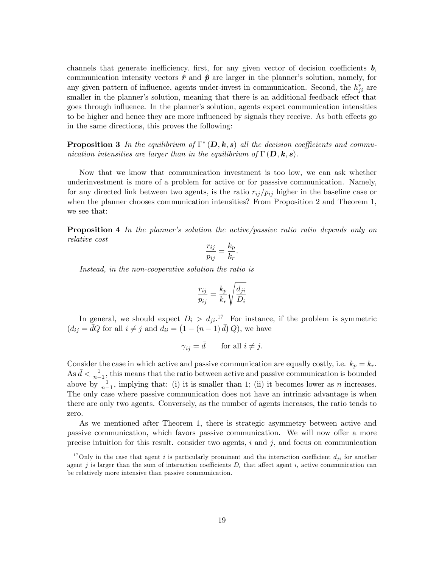channels that generate inefficiency. first, for any given vector of decision coefficients  $\bm{b}$ , communication intensity vectors  $\hat{r}$  and  $\hat{p}$  are larger in the planner's solution, namely, for any given pattern of influence, agents under-invest in communication. Second, the  $h_{ji}^*$  are smaller in the planner's solution, meaning that there is an additional feedback effect that goes through influence. In the planner's solution, agents expect communication intensities to be higher and hence they are more influenced by signals they receive. As both effects go in the same directions, this proves the following:

**Proposition 3** In the equilibrium of  $\Gamma^* (\mathbf{D}, \mathbf{k}, s)$  all the decision coefficients and communication intensities are larger than in the equilibrium of  $\Gamma(D, k, s)$ .

Now that we know that communication investment is too low, we can ask whether underinvestment is more of a problem for active or for passsive communication. Namely, for any directed link between two agents, is the ratio  $r_{ij}/p_{ij}$  higher in the baseline case or when the planner chooses communication intensities? From Proposition 2 and Theorem 1, we see that:

**Proposition 4** In the planner's solution the active/passive ratio ratio depends only on relative cost

$$
\frac{r_{ij}}{p_{ij}} = \frac{k_p}{k_r}.
$$

Instead, in the non-cooperative solution the ratio is

$$
\frac{r_{ij}}{p_{ij}} = \frac{k_p}{k_r} \sqrt{\frac{d_{ji}}{D_i}}
$$

In general, we should expect  $D_i > d_{ji}$ <sup>17</sup> For instance, if the problem is symmetric  $(d_{ij} = \bar{d}Q \text{ for all } i \neq j \text{ and } d_{ii} = (1 - (n - 1) \bar{d}) Q)$ , we have

$$
\gamma_{ij} = \bar{d} \qquad \text{for all } i \neq j.
$$

Consider the case in which active and passive communication are equally costly, i.e.  $k_p = k_r$ . As  $\bar{d} < \frac{1}{n-1}$ , this means that the ratio between active and passive communication is bounded above by  $\frac{1}{n-1}$ , implying that: (i) it is smaller than 1; (ii) it becomes lower as *n* increases. The only case where passive communication does not have an intrinsic advantage is when there are only two agents. Conversely, as the number of agents increases, the ratio tends to zero.

As we mentioned after Theorem 1, there is strategic asymmetry between active and passive communication, which favors passive communication. We will now offer a more precise intuition for this result. consider two agents,  $i$  and  $j$ , and focus on communication

<sup>&</sup>lt;sup>17</sup>Only in the case that agent i is particularly prominent and the interaction coefficient  $d_{ji}$  for another agent j is larger than the sum of interaction coefficients  $D_i$  that affect agent i, active communication can be relatively more intensive than passive communication.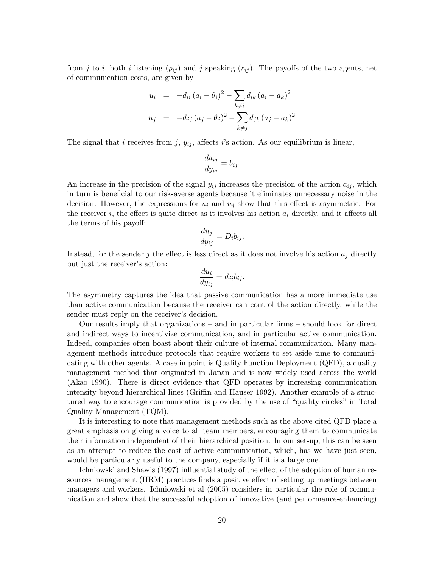from j to i, both i listening  $(p_{ij})$  and j speaking  $(r_{ij})$ . The payoffs of the two agents, net of communication costs, are given by

$$
u_i = -d_{ii} (a_i - \theta_i)^2 - \sum_{k \neq i} d_{ik} (a_i - a_k)^2
$$
  

$$
u_j = -d_{jj} (a_j - \theta_j)^2 - \sum_{k \neq j} d_{jk} (a_j - a_k)^2
$$

The signal that i receives from j,  $y_{ij}$ , affects i's action. As our equilibrium is linear,

$$
\frac{da_{ij}}{dy_{ij}} = b_{ij}.
$$

An increase in the precision of the signal  $y_{ij}$  increases the precision of the action  $a_{ij}$ , which in turn is beneficial to our risk-averse agents because it eliminates unnecessary noise in the decision. However, the expressions for  $u_i$  and  $u_j$  show that this effect is asymmetric. For the receiver i, the effect is quite direct as it involves his action  $a_i$  directly, and it affects all the terms of his payoff:

$$
\frac{du_j}{dy_{ij}} = D_i b_{ij}.
$$

Instead, for the sender j the effect is less direct as it does not involve his action  $a_j$  directly but just the receiver's action:

$$
\frac{du_i}{dy_{ij}} = d_{ji}b_{ij}.
$$

The asymmetry captures the idea that passive communication has a more immediate use than active communication because the receiver can control the action directly, while the sender must reply on the receiver's decision.

Our results imply that organizations  $-$  and in particular firms  $-$  should look for direct and indirect ways to incentivize communication, and in particular active communication. Indeed, companies often boast about their culture of internal communication. Many management methods introduce protocols that require workers to set aside time to communicating with other agents. A case in point is Quality Function Deployment (QFD), a quality management method that originated in Japan and is now widely used across the world (Akao 1990). There is direct evidence that QFD operates by increasing communication intensity beyond hierarchical lines (Griffin and Hauser 1992). Another example of a structured way to encourage communication is provided by the use of "quality circles" in Total Quality Management (TQM).

It is interesting to note that management methods such as the above cited QFD place a great emphasis on giving a voice to all team members, encouraging them to communicate their information independent of their hierarchical position. In our set-up, this can be seen as an attempt to reduce the cost of active communication, which, has we have just seen, would be particularly useful to the company, especially if it is a large one.

Ichniowski and Shaw's (1997) influential study of the effect of the adoption of human resources management (HRM) practices finds a positive effect of setting up meetings between managers and workers. Ichniowski et al (2005) considers in particular the role of communication and show that the successful adoption of innovative (and performance-enhancing)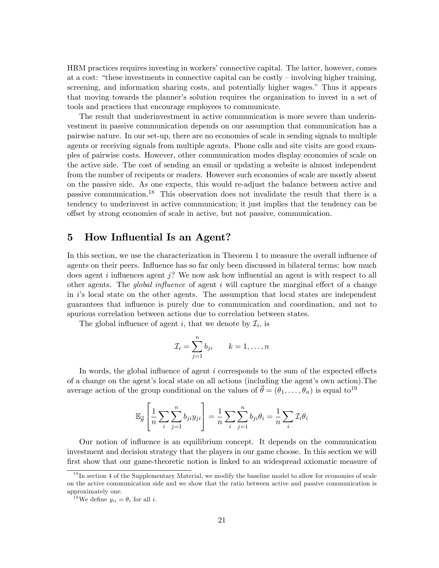HRM practices requires investing in workersíconnective capital. The latter, however, comes at a cost: "these investments in connective capital can be costly  $-$  involving higher training, screening, and information sharing costs, and potentially higher wages." Thus it appears that moving towards the plannerís solution requires the organization to invest in a set of tools and practices that encourage employees to communicate.

The result that underinvestment in active communication is more severe than underinvestment in passive communication depends on our assumption that communication has a pairwise nature. In our set-up, there are no economies of scale in sending signals to multiple agents or receiving signals from multiple agents. Phone calls and site visits are good examples of pairwise costs. However, other communication modes display economies of scale on the active side. The cost of sending an email or updating a website is almost independent from the number of recipents or readers. However such economies of scale are mostly absent on the passive side. As one expects, this would re-adjust the balance between active and passive communication.<sup>18</sup> This observation does not invalidate the result that there is a tendency to underinvest in active communication; it just implies that the tendency can be o§set by strong economies of scale in active, but not passive, communication.

## 5 How Influential Is an Agent?

In this section, we use the characterization in Theorem 1 to measure the overall ináuence of agents on their peers. Influence has so far only been discussed in bilateral terms: how much does agent  $i$  influences agent  $j$ ? We now ask how influential an agent is with respect to all other agents. The *global influence* of agent  $i$  will capture the marginal effect of a change in  $i$ 's local state on the other agents. The assumption that local states are independent guarantees that ináuence is purely due to communication and coordination, and not to spurious correlation between actions due to correlation between states.

The global influence of agent i, that we denote by  $\mathcal{I}_i$ , is

$$
\mathcal{I}_i = \sum_{j=1}^n b_{ji} \qquad k = 1, \ldots, n
$$

In words, the global influence of agent  $i$  corresponds to the sum of the expected effects of a change on the agent's local state on all actions (including the agent's own action). The average action of the group conditional on the values of  $\vec{\theta} = (\theta_1, \ldots, \theta_n)$  is equal to<sup>19</sup>

$$
\mathbb{E}_{\vec{\theta}}\left[\frac{1}{n}\sum_i\sum_{j=1}^n b_{ji}y_{ji}\right] = \frac{1}{n}\sum_i\sum_{j=1}^n b_{ji}\theta_i = \frac{1}{n}\sum_i \mathcal{I}_i\theta_i
$$

Our notion of ináuence is an equilibrium concept. It depends on the communication investment and decision strategy that the players in our game choose. In this section we will first show that our game-theoretic notion is linked to an widespread axiomatic measure of

<sup>&</sup>lt;sup>18</sup>In section 4 of the Supplementary Material, we modify the baseline model to allow for economies of scale on the active communication side and we show that the ratio between active and passive communication is approximately one.

<sup>&</sup>lt;sup>19</sup>We define  $y_{ii} = \theta_i$  for all *i*.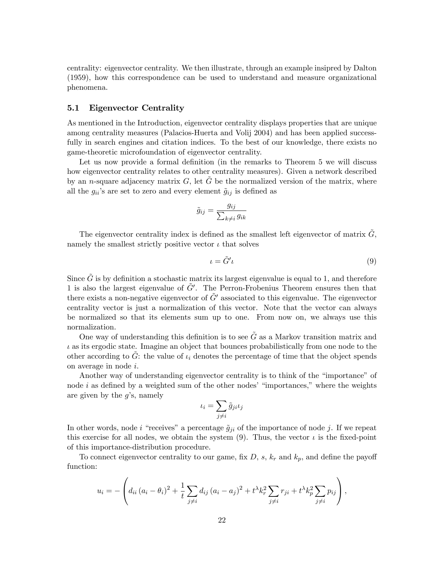centrality: eigenvector centrality. We then illustrate, through an example insipred by Dalton (1959), how this correspondence can be used to understand and measure organizational phenomena.

## 5.1 Eigenvector Centrality

As mentioned in the Introduction, eigenvector centrality displays properties that are unique among centrality measures (Palacios-Huerta and Volij 2004) and has been applied successfully in search engines and citation indices. To the best of our knowledge, there exists no game-theoretic microfoundation of eigenvector centrality.

Let us now provide a formal definition (in the remarks to Theorem 5 we will discuss how eigenvector centrality relates to other centrality measures). Given a network described by an n-square adjacency matrix  $G$ , let G be the normalized version of the matrix, where all the  $g_{ii}$ 's are set to zero and every element  $\tilde{g}_{ij}$  is defined as

$$
\tilde{g}_{ij} = \frac{g_{ij}}{\sum_{k \neq i} g_{ik}}
$$

The eigenvector centrality index is defined as the smallest left eigenvector of matrix  $\tilde{G}$ , namely the smallest strictly positive vector  $\iota$  that solves

$$
\iota = \tilde{G}'\iota \tag{9}
$$

Since  $\tilde{G}$  is by definition a stochastic matrix its largest eigenvalue is equal to 1, and therefore 1 is also the largest eigenvalue of  $\tilde{G}'$ . The Perron-Frobenius Theorem ensures then that there exists a non-negative eigenvector of  $\tilde{G}^{\prime}$  associated to this eigenvalue. The eigenvector centrality vector is just a normalization of this vector. Note that the vector can always be normalized so that its elements sum up to one. From now on, we always use this normalization.

One way of understanding this definition is to see  $\tilde{G}$  as a Markov transition matrix and  $\iota$  as its ergodic state. Imagine an object that bounces probabilistically from one node to the other according to G: the value of  $\iota_i$  denotes the percentage of time that the object spends on average in node i.

Another way of understanding eigenvector centrality is to think of the "importance" of node  $i$  as defined by a weighted sum of the other nodes' "importances," where the weights are given by the  $q$ 's, namely

$$
\iota_i = \sum_{j \neq i} \tilde{g}_{ji} \iota_j
$$

In other words, node i "receives" a percentage  $\tilde{g}_{ji}$  of the importance of node j. If we repeat this exercise for all nodes, we obtain the system  $(9)$ . Thus, the vector  $\iota$  is the fixed-point of this importance-distribution procedure.

To connect eigenvector centrality to our game, fix  $D$ ,  $s$ ,  $k_r$  and  $k_p$ , and define the payoff function:

$$
u_i = -\left(d_{ii} (a_i - \theta_i)^2 + \frac{1}{t} \sum_{j \neq i} d_{ij} (a_i - a_j)^2 + t^{\lambda} k_r^2 \sum_{j \neq i} r_{ji} + t^{\lambda} k_p^2 \sum_{j \neq i} p_{ij}\right),
$$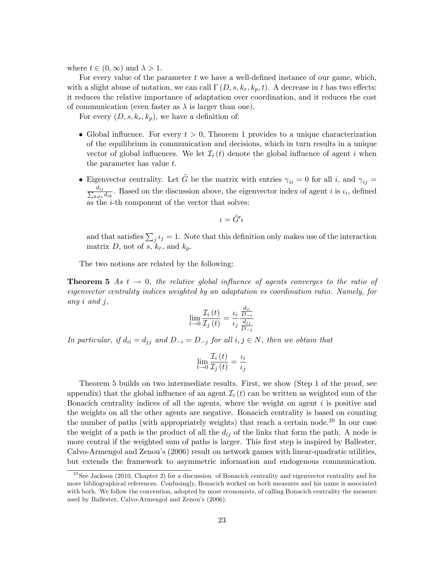where  $t \in (0, \infty)$  and  $\lambda > 1$ .

For every value of the parameter  $t$  we have a well-defined instance of our game, which, with a slight abuse of notation, we can call  $\Gamma(D, s, k_r, k_p, t)$ . A decrease in t has two effects: it reduces the relative importance of adaptation over coordination, and it reduces the cost of communication (even faster as  $\lambda$  is larger than one).

For every  $(D, s, k_r, k_p)$ , we have a definition of:

- Global influence. For every  $t > 0$ , Theorem 1 provides to a unique characterization of the equilibrium in communication and decisions, which in turn results in a unique vector of global influences. We let  $\mathcal{I}_i(t)$  denote the global influence of agent i when the parameter has value t.
- Eigenvector centrality. Let  $\tilde{G}$  be the matrix with entries  $\gamma_{ii} = 0$  for all i, and  $\gamma_{ij} =$  $\frac{d_{ij}}{\sum_{l_{i}\neq i}}$  $\frac{a_{ij}}{k\neq i}d_{ik}$ . Based on the discussion above, the eigenvector index of agent i is  $\iota_i$ , defined as the i-th component of the vector that solves:

$$
\iota = \tilde{G}'\iota
$$

and that satisfies  $\sum_j \iota_j = 1$ . Note that this definition only makes use of the interaction matrix D, not of s,  $k_r$ , and  $k_p$ .

The two notions are related by the following:

**Theorem 5** As  $t \to 0$ , the relative global influence of agents converges to the ratio of eigenvector centrality indices weighted by an adaptation vs coordination ratio. Namely, for any i and j,

$$
\lim_{t \to 0} \frac{\mathcal{I}_i(t)}{\mathcal{I}_j(t)} = \frac{\iota_i}{\iota_j} \frac{\frac{d_{ii}}{D_{-i}}}{\frac{d_{jj}}{D_{-j}}}
$$

In particular, if  $d_{ii} = d_{jj}$  and  $D_{-i} = D_{-j}$  for all  $i, j \in N$ , then we obtain that

$$
\lim_{t \to 0} \frac{\mathcal{I}_i(t)}{\mathcal{I}_j(t)} = \frac{\iota_i}{\iota_j}
$$

Theorem 5 builds on two intermediate results. First, we show (Step 1 of the proof, see appendix) that the global influence of an agent  $\mathcal{I}_i(t)$  can be written as weighted sum of the Bonacich centrality indices of all the agents, where the weight on agent  $i$  is positive and the weights on all the other agents are negative. Bonacich centrality is based on counting the number of paths (with appropriately weights) that reach a certain node.<sup>20</sup> In our case the weight of a path is the product of all the  $d_{ij}$  of the links that form the path. A node is more central if the weighted sum of paths is larger. This first step is inspired by Ballester, Calvo-Armengol and Zenou's (2006) result on network games with linear-quadratic utilities, but extends the framework to asymmetric information and endogenous communication.

 $20$ See Jackson (2010, Chapter 2) for a discussion of Bonacich centrality and eigenvector centrality and for more bibliographical references. Confusingly, Bonacich worked on both measures and his name is associated with both. We follow the convention, adopted by most economists, of calling Bonacich centrality the measure used by Ballester, Calvo-Armengol and Zenou's (2006).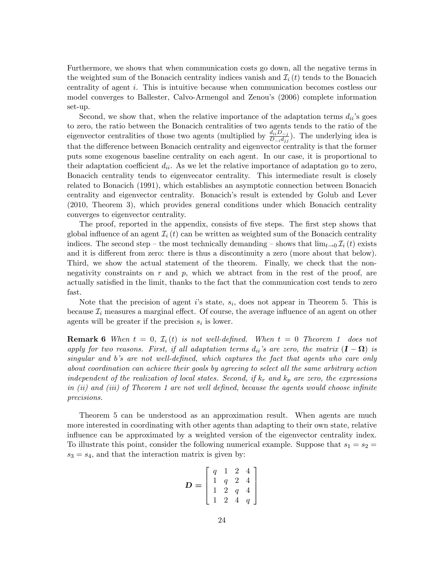Furthermore, we shows that when communication costs go down, all the negative terms in the weighted sum of the Bonacich centrality indices vanish and  $\mathcal{I}_i(t)$  tends to the Bonacich centrality of agent i. This is intuitive because when communication becomes costless our model converges to Ballester, Calvo-Armengol and Zenouís (2006) complete information set-up.

Second, we show that, when the relative importance of the adaptation terms  $d_{ii}$ 's goes to zero, the ratio between the Bonacich centralities of two agents tends to the ratio of the eigenvector centralities of those two agents (multiplied by  $\frac{d_{ii}D_{-j}}{D_{-i}d_{jj}}$ ). The underlying idea is that the difference between Bonacich centrality and eigenvector centrality is that the former puts some exogenous baseline centrality on each agent. In our case, it is proportional to their adaptation coefficient  $d_{ii}$ . As we let the relative importance of adaptation go to zero, Bonacich centrality tends to eigenvecator centrality. This intermediate result is closely related to Bonacich (1991), which establishes an asymptotic connection between Bonacich centrality and eigenvector centrality. Bonacichís result is extended by Golub and Lever (2010, Theorem 3), which provides general conditions under which Bonacich centrality converges to eigenvector centrality.

The proof, reported in the appendix, consists of five steps. The first step shows that global influence of an agent  $\mathcal{I}_i(t)$  can be written as weighted sum of the Bonacich centrality indices. The second step – the most technically demanding – shows that  $\lim_{t\to 0} \mathcal{I}_i(t)$  exists and it is different from zero: there is thus a discontinuity a zero (more about that below). Third, we show the actual statement of the theorem. Finally, we check that the nonnegativity constraints on  $r$  and  $p$ , which we abtract from in the rest of the proof, are actually satisfied in the limit, thanks to the fact that the communication cost tends to zero fast.

Note that the precision of agent  $i$ 's state,  $s_i$ , does not appear in Theorem 5. This is because  $\mathcal{I}_i$  measures a marginal effect. Of course, the average influence of an agent on other agents will be greater if the precision  $s_i$  is lower.

**Remark 6** When  $t = 0$ ,  $\mathcal{I}_i(t)$  is not well-defined. When  $t = 0$  Theorem 1 does not apply for two reasons. First, if all adaptation terms  $d_{ii}$ 's are zero, the matrix  $(I - \Omega)$  is singular and b's are not well-defined, which captures the fact that agents who care only about coordination can achieve their goals by agreeing to select all the same arbitrary action independent of the realization of local states. Second, if  $k_r$  and  $k_p$  are zero, the expressions in (ii) and (iii) of Theorem 1 are not well defined, because the agents would choose infinite precisions.

Theorem 5 can be understood as an approximation result. When agents are much more interested in coordinating with other agents than adapting to their own state, relative influence can be approximated by a weighted version of the eigenvector centrality index. To illustrate this point, consider the following numerical example. Suppose that  $s_1 = s_2$  =  $s_3 = s_4$ , and that the interaction matrix is given by:

$$
\mathbf{D} = \left[ \begin{array}{rrrr} q & 1 & 2 & 4 \\ 1 & q & 2 & 4 \\ 1 & 2 & q & 4 \\ 1 & 2 & 4 & q \end{array} \right]
$$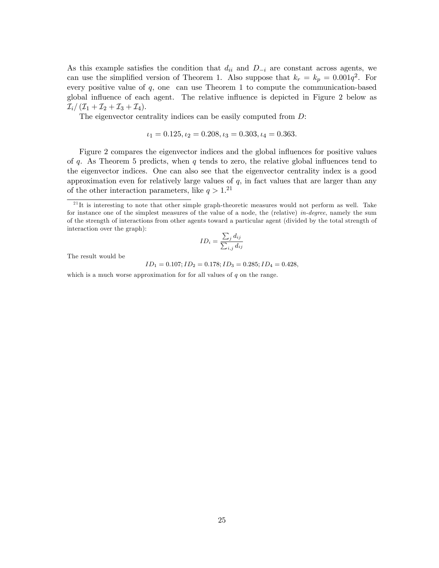As this example satisfies the condition that  $d_{ii}$  and  $D_{-i}$  are constant across agents, we can use the simplified version of Theorem 1. Also suppose that  $k_r = k_p = 0.001q^2$ . For every positive value of  $q$ , one can use Theorem 1 to compute the communication-based global influence of each agent. The relative influence is depicted in Figure 2 below as  $\mathcal{I}_i/(\mathcal{I}_1 + \mathcal{I}_2 + \mathcal{I}_3 + \mathcal{I}_4).$ 

The eigenvector centrality indices can be easily computed from  $D$ :

$$
\iota_1 = 0.125, \iota_2 = 0.208, \iota_3 = 0.303, \iota_4 = 0.363.
$$

Figure 2 compares the eigenvector indices and the global ináuences for positive values of q. As Theorem 5 predicts, when q tends to zero, the relative global influences tend to the eigenvector indices. One can also see that the eigenvector centrality index is a good approximation even for relatively large values of  $q$ , in fact values that are larger than any of the other interaction parameters, like  $q > 1$ .<sup>21</sup>

$$
ID_i = \frac{\sum_j d_{ij}}{\sum_{i,j} d_{ij}}
$$

The result would be

 $ID_1 = 0.107; ID_2 = 0.178; ID_3 = 0.285; ID_4 = 0.428,$ 

which is a much worse approximation for for all values of  $q$  on the range.

 $^{21}$ It is interesting to note that other simple graph-theoretic measures would not perform as well. Take for instance one of the simplest measures of the value of a node, the (relative) in-degree, namely the sum of the strength of interactions from other agents toward a particular agent (divided by the total strength of interaction over the graph):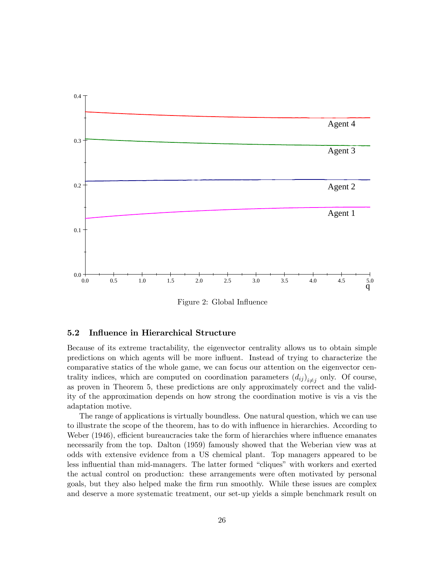

Figure 2: Global Influence

#### 5.2 Influence in Hierarchical Structure

Because of its extreme tractability, the eigenvector centrality allows us to obtain simple predictions on which agents will be more ináuent. Instead of trying to characterize the comparative statics of the whole game, we can focus our attention on the eigenvector centrality indices, which are computed on coordination parameters  $(d_{ij})_{i \neq j}$  only. Of course, as proven in Theorem 5, these predictions are only approximately correct and the validity of the approximation depends on how strong the coordination motive is vis a vis the adaptation motive.

The range of applications is virtually boundless. One natural question, which we can use to illustrate the scope of the theorem, has to do with ináuence in hierarchies. According to Weber (1946), efficient bureaucracies take the form of hierarchies where influence emanates necessarily from the top. Dalton (1959) famously showed that the Weberian view was at odds with extensive evidence from a US chemical plant. Top managers appeared to be less influential than mid-managers. The latter formed "cliques" with workers and exerted the actual control on production: these arrangements were often motivated by personal goals, but they also helped make the Örm run smoothly. While these issues are complex and deserve a more systematic treatment, our set-up yields a simple benchmark result on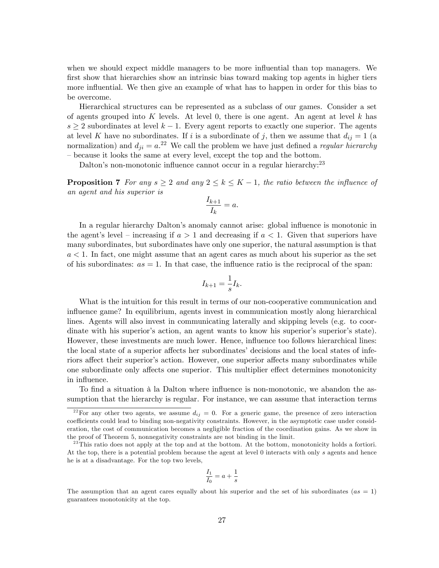when we should expect middle managers to be more influential than top managers. We first show that hierarchies show an intrinsic bias toward making top agents in higher tiers more influential. We then give an example of what has to happen in order for this bias to be overcome.

Hierarchical structures can be represented as a subclass of our games. Consider a set of agents grouped into K levels. At level 0, there is one agent. An agent at level k has  $s \geq 2$  subordinates at level  $k - 1$ . Every agent reports to exactly one superior. The agents at level K have no subordinates. If i is a subordinate of j, then we assume that  $d_{ij} = 1$  (a normalization) and  $d_{ji} = a^{22}$  We call the problem we have just defined a *regular hierarchy* – because it looks the same at every level, except the top and the bottom.

Dalton's non-monotonic influence cannot occur in a regular hierarchy:<sup>23</sup>

**Proposition 7** For any  $s \geq 2$  and any  $2 \leq k \leq K - 1$ , the ratio between the influence of an agent and his superior is

$$
\frac{I_{k+1}}{I_k} = a.
$$

In a regular hierarchy Dalton's anomaly cannot arise: global influence is monotonic in the agent's level – increasing if  $a > 1$  and decreasing if  $a < 1$ . Given that superiors have many subordinates, but subordinates have only one superior, the natural assumption is that  $a < 1$ . In fact, one might assume that an agent cares as much about his superior as the set of his subordinates:  $as = 1$ . In that case, the influence ratio is the reciprocal of the span:

$$
I_{k+1} = \frac{1}{s}I_k.
$$

What is the intuition for this result in terms of our non-cooperative communication and influence game? In equilibrium, agents invest in communication mostly along hierarchical lines. Agents will also invest in communicating laterally and skipping levels (e.g. to coordinate with his superior's action, an agent wants to know his superior's superior's state). However, these investments are much lower. Hence, influence too follows hierarchical lines: the local state of a superior affects her subordinates' decisions and the local states of inferiors affect their superior's action. However, one superior affects many subordinates while one subordinate only affects one superior. This multiplier effect determines monotonicity in influence.

To find a situation à la Dalton where influence is non-monotonic, we abandon the assumption that the hierarchy is regular. For instance, we can assume that interaction terms

$$
\frac{I_1}{I_0} = a + \frac{1}{s}
$$

The assumption that an agent cares equally about his superior and the set of his subordinates ( $as = 1$ ) guarantees monotonicity at the top.

<sup>&</sup>lt;sup>22</sup>For any other two agents, we assume  $d_{ij} = 0$ . For a generic game, the presence of zero interaction coefficients could lead to binding non-negativity constraints. However, in the asymptotic case under consideration, the cost of communication becomes a negligible fraction of the coordination gains. As we show in the proof of Theorem 5, nonnegativity constraints are not binding in the limit.

 $^{23}$ This ratio does not apply at the top and at the bottom. At the bottom, monotonicity holds a fortiori. At the top, there is a potential problem because the agent at level 0 interacts with only s agents and hence he is at a disadvantage. For the top two levels,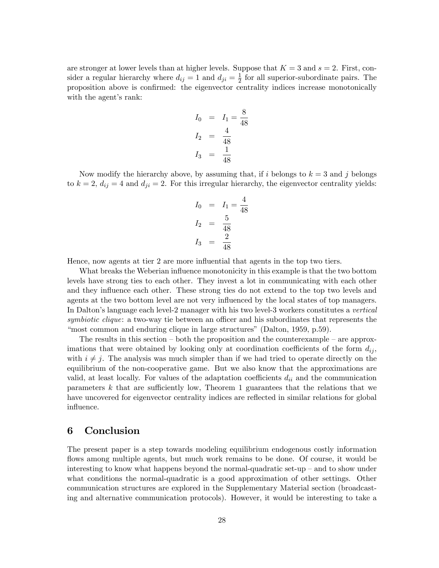are stronger at lower levels than at higher levels. Suppose that  $K = 3$  and  $s = 2$ . First, consider a regular hierarchy where  $d_{ij} = 1$  and  $d_{ji} = \frac{1}{2}$  $\frac{1}{2}$  for all superior-subordinate pairs. The proposition above is confirmed: the eigenvector centrality indices increase monotonically with the agent's rank:

$$
I_0 = I_1 = \frac{8}{48}
$$
  

$$
I_2 = \frac{4}{48}
$$
  

$$
I_3 = \frac{1}{48}
$$

Now modify the hierarchy above, by assuming that, if i belongs to  $k = 3$  and j belongs to  $k = 2$ ,  $d_{ij} = 4$  and  $d_{ji} = 2$ . For this irregular hierarchy, the eigenvector centrality yields:

$$
I_0 = I_1 = \frac{4}{48}
$$
  

$$
I_2 = \frac{5}{48}
$$
  

$$
I_3 = \frac{2}{48}
$$

Hence, now agents at tier 2 are more influential that agents in the top two tiers.

What breaks the Weberian influence monotonicity in this example is that the two bottom levels have strong ties to each other. They invest a lot in communicating with each other and they influence each other. These strong ties do not extend to the top two levels and agents at the two bottom level are not very influenced by the local states of top managers. In Dalton's language each level-2 manager with his two level-3 workers constitutes a *vertical* symbiotic clique: a two-way tie between an officer and his subordinates that represents the "most common and enduring clique in large structures" (Dalton, 1959, p.59).

The results in this section  $-\text{ both the proposition and the counterexample} - \text{ are approx-}$ imations that were obtained by looking only at coordination coefficients of the form  $d_{ij}$ , with  $i \neq j$ . The analysis was much simpler than if we had tried to operate directly on the equilibrium of the non-cooperative game. But we also know that the approximations are valid, at least locally. For values of the adaptation coefficients  $d_{ii}$  and the communication parameters  $k$  that are sufficiently low, Theorem 1 guarantees that the relations that we have uncovered for eigenvector centrality indices are reflected in similar relations for global influence.

## 6 Conclusion

The present paper is a step towards modeling equilibrium endogenous costly information flows among multiple agents, but much work remains to be done. Of course, it would be interesting to know what happens beyond the normal-quadratic set-up  $-$  and to show under what conditions the normal-quadratic is a good approximation of other settings. Other communication structures are explored in the Supplementary Material section (broadcasting and alternative communication protocols). However, it would be interesting to take a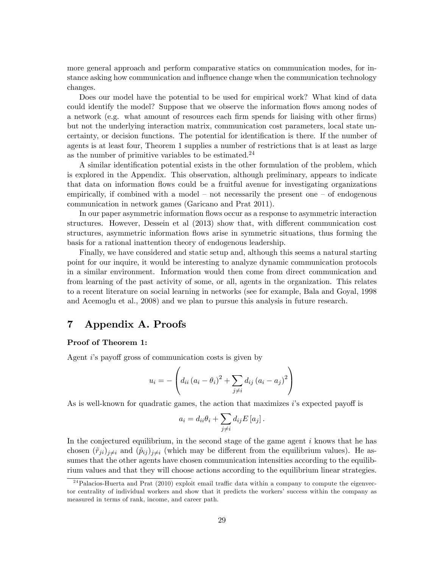more general approach and perform comparative statics on communication modes, for instance asking how communication and ináuence change when the communication technology changes.

Does our model have the potential to be used for empirical work? What kind of data could identify the model? Suppose that we observe the information flows among nodes of a network (e.g. what amount of resources each firm spends for liaising with other firms) but not the underlying interaction matrix, communication cost parameters, local state uncertainty, or decision functions. The potential for identification is there. If the number of agents is at least four, Theorem 1 supplies a number of restrictions that is at least as large as the number of primitive variables to be estimated. $^{24}$ 

A similar identification potential exists in the other formulation of the problem, which is explored in the Appendix. This observation, although preliminary, appears to indicate that data on information flows could be a fruitful avenue for investigating organizations empirically, if combined with a model  $-$  not necessarily the present one  $-$  of endogenous communication in network games (Garicano and Prat 2011).

In our paper asymmetric information flows occur as a response to asymmetric interaction structures. However, Dessein et al  $(2013)$  show that, with different communication cost structures, asymmetric information áows arise in symmetric situations, thus forming the basis for a rational inattention theory of endogenous leadership.

Finally, we have considered and static setup and, although this seems a natural starting point for our inquire, it would be interesting to analyze dynamic communication protocols in a similar environment. Information would then come from direct communication and from learning of the past activity of some, or all, agents in the organization. This relates to a recent literature on social learning in networks (see for example, Bala and Goyal, 1998 and Acemoglu et al., 2008) and we plan to pursue this analysis in future research.

# 7 Appendix A. Proofs

## Proof of Theorem 1:

Agent  $i$ 's payoff gross of communication costs is given by

$$
u_{i} = -\left(d_{ii} (a_{i} - \theta_{i})^{2} + \sum_{j \neq i} d_{ij} (a_{i} - a_{j})^{2}\right)
$$

As is well-known for quadratic games, the action that maximizes  $i$ 's expected payoff is

$$
a_i = d_{ii}\theta_i + \sum_{j \neq i} d_{ij} E\left[a_j\right].
$$

In the conjectured equilibrium, in the second stage of the game agent i knows that he has chosen  $({\tilde r}_{ji})_{j\neq i}$  and  $({\tilde p}_{ij})_{j\neq i}$  (which may be different from the equilibrium values). He assumes that the other agents have chosen communication intensities according to the equilibrium values and that they will choose actions according to the equilibrium linear strategies.

 $24$ Palacios-Huerta and Prat (2010) exploit email traffic data within a company to compute the eigenvector centrality of individual workers and show that it predicts the workersí success within the company as measured in terms of rank, income, and career path.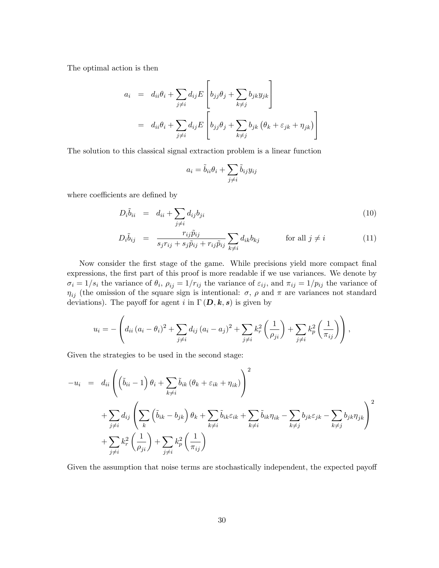The optimal action is then

$$
a_i = d_{ii}\theta_i + \sum_{j \neq i} d_{ij}E \left[ b_{jj}\theta_j + \sum_{k \neq j} b_{jk}y_{jk} \right]
$$
  
=  $d_{ii}\theta_i + \sum_{j \neq i} d_{ij}E \left[ b_{jj}\theta_j + \sum_{k \neq j} b_{jk} (\theta_k + \varepsilon_{jk} + \eta_{jk}) \right]$ 

The solution to this classical signal extraction problem is a linear function

$$
a_i = \tilde{b}_{ii}\theta_i + \sum_{j \neq i} \tilde{b}_{ij}y_{ij}
$$

where coefficients are defined by

$$
D_i \tilde{b}_{ii} = d_{ii} + \sum_{j \neq i} d_{ij} b_{ji}
$$
\n
$$
(10)
$$

$$
D_i \tilde{b}_{ij} = \frac{r_{ij} \tilde{p}_{ij}}{s_j r_{ij} + s_j \tilde{p}_{ij} + r_{ij} \tilde{p}_{ij}} \sum_{k \neq i} d_{ik} b_{kj} \qquad \text{for all } j \neq i
$$
 (11)

Now consider the first stage of the game. While precisions yield more compact final expressions, the first part of this proof is more readable if we use variances. We denote by  $\sigma_i = 1/s_i$  the variance of  $\theta_i$ ,  $\rho_{ij} = 1/r_{ij}$  the variance of  $\varepsilon_{ij}$ , and  $\pi_{ij} = 1/p_{ij}$  the variance of  $\eta_{ij}$  (the omission of the square sign is intentional:  $\sigma$ ,  $\rho$  and  $\pi$  are variances not standard deviations). The payoff for agent i in  $\Gamma(D, k, s)$  is given by

$$
u_{i} = -\left(d_{ii} (a_{i} - \theta_{i})^{2} + \sum_{j \neq i} d_{ij} (a_{i} - a_{j})^{2} + \sum_{j \neq i} k_{r}^{2} \left(\frac{1}{\rho_{ji}}\right) + \sum_{j \neq i} k_{p}^{2} \left(\frac{1}{\pi_{ij}}\right)\right),
$$

Given the strategies to be used in the second stage:

$$
-u_i = d_{ii} \left( \left( \tilde{b}_{ii} - 1 \right) \theta_i + \sum_{k \neq i} \tilde{b}_{ik} \left( \theta_k + \varepsilon_{ik} + \eta_{ik} \right) \right)^2
$$
  
+ 
$$
\sum_{j \neq i} d_{ij} \left( \sum_k \left( \tilde{b}_{ik} - b_{jk} \right) \theta_k + \sum_{k \neq i} \tilde{b}_{ik} \varepsilon_{ik} + \sum_{k \neq i} \tilde{b}_{ik} \eta_{ik} - \sum_{k \neq j} b_{jk} \varepsilon_{jk} - \sum_{k \neq j} b_{jk} \eta_{jk} \right)^2
$$
  
+ 
$$
\sum_{j \neq i} k_r^2 \left( \frac{1}{\rho_{ji}} \right) + \sum_{j \neq i} k_p^2 \left( \frac{1}{\pi_{ij}} \right)
$$

Given the assumption that noise terms are stochastically independent, the expected payoff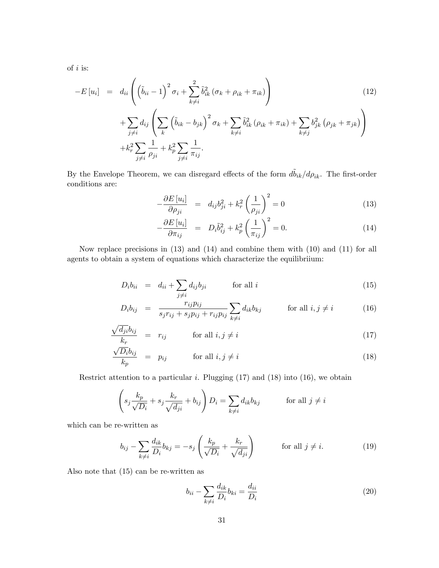of  $i$  is:

$$
-E[u_i] = d_{ii} \left( \left( \tilde{b}_{ii} - 1 \right)^2 \sigma_i + \sum_{k \neq i}^2 \tilde{b}_{ik}^2 \left( \sigma_k + \rho_{ik} + \pi_{ik} \right) \right) + \sum_{j \neq i} d_{ij} \left( \sum_k \left( \tilde{b}_{ik} - b_{jk} \right)^2 \sigma_k + \sum_{k \neq i} \tilde{b}_{ik}^2 \left( \rho_{ik} + \pi_{ik} \right) + \sum_{k \neq j} b_{jk}^2 \left( \rho_{jk} + \pi_{jk} \right) \right) + k_r^2 \sum_{j \neq i} \frac{1}{\rho_{ji}} + k_p^2 \sum_{j \neq i} \frac{1}{\pi_{ij}}.
$$
 (12)

By the Envelope Theorem, we can disregard effects of the form  $d\tilde{b}_{ik}/d\rho_{ik}$ . The first-order conditions are:

$$
-\frac{\partial E\left[u_i\right]}{\partial \rho_{ji}} = d_{ij}b_{ji}^2 + k_r^2 \left(\frac{1}{\rho_{ji}}\right)^2 = 0 \tag{13}
$$

$$
-\frac{\partial E[u_i]}{\partial \pi_{ij}} = D_i \tilde{b}_{ij}^2 + k_p^2 \left(\frac{1}{\pi_{ij}}\right)^2 = 0.
$$
 (14)

Now replace precisions in (13) and (14) and combine them with (10) and (11) for all agents to obtain a system of equations which characterize the equilibriium:

$$
D_i b_{ii} = d_{ii} + \sum_{j \neq i} d_{ij} b_{ji} \qquad \text{for all } i
$$
 (15)

$$
D_i b_{ij} = \frac{r_{ij} p_{ij}}{s_j r_{ij} + s_j p_{ij} + r_{ij} p_{ij}} \sum_{k \neq i} d_{ik} b_{kj} \qquad \text{for all } i, j \neq i \qquad (16)
$$

$$
\frac{\sqrt{d_{ji}}b_{ij}}{k_r} = r_{ij} \qquad \text{for all } i, j \neq i
$$
\n(17)

$$
\frac{\sqrt{D_i}b_{ij}}{k_p} = p_{ij} \quad \text{for all } i, j \neq i
$$
\n(18)

Restrict attention to a particular  $i$ . Plugging (17) and (18) into (16), we obtain

$$
\left(s_j \frac{k_p}{\sqrt{D_i}} + s_j \frac{k_r}{\sqrt{d_{ji}}} + b_{ij}\right) D_i = \sum_{k \neq i} d_{ik} b_{kj} \qquad \text{for all } j \neq i
$$

which can be re-written as

$$
b_{ij} - \sum_{k \neq i} \frac{d_{ik}}{D_i} b_{kj} = -s_j \left( \frac{k_p}{\sqrt{D_i}} + \frac{k_r}{\sqrt{d_{ji}}} \right) \qquad \text{for all } j \neq i.
$$
 (19)

Also note that (15) can be re-written as

$$
b_{ii} - \sum_{k \neq i} \frac{d_{ik}}{D_i} b_{ki} = \frac{d_{ii}}{D_i} \tag{20}
$$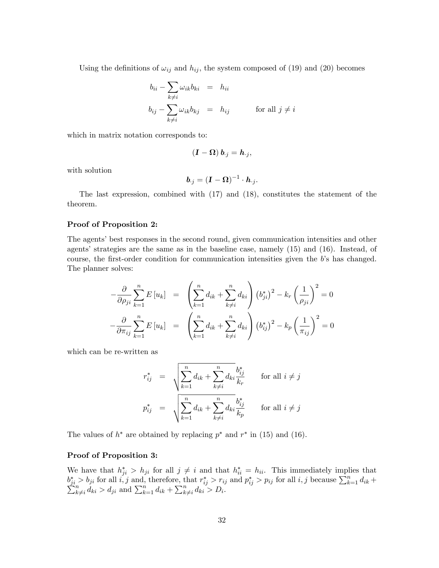Using the definitions of  $\omega_{ij}$  and  $h_{ij}$ , the system composed of (19) and (20) becomes

$$
b_{ii} - \sum_{k \neq i} \omega_{ik} b_{ki} = h_{ii}
$$
  

$$
b_{ij} - \sum_{k \neq i} \omega_{ik} b_{kj} = h_{ij} \qquad \text{for all } j \neq i
$$

which in matrix notation corresponds to:

$$
(\boldsymbol{I}-\boldsymbol{\Omega})\,\boldsymbol{b}_{\cdot j}=\boldsymbol{h}_{\cdot j},
$$

with solution

$$
\boldsymbol{b}_{\cdot j} = (\boldsymbol{I} - \boldsymbol{\Omega})^{-1} \cdot \boldsymbol{h}_{\cdot j}.
$$

The last expression, combined with (17) and (18), constitutes the statement of the theorem.

#### Proof of Proposition 2:

The agents' best responses in the second round, given communication intensities and other agents' strategies are the same as in the baseline case, namely  $(15)$  and  $(16)$ . Instead, of course, the first-order condition for communication intensities given the  $b$ 's has changed. The planner solves:

$$
-\frac{\partial}{\partial \rho_{ji}} \sum_{k=1}^{n} E[u_k] = \left(\sum_{k=1}^{n} d_{ik} + \sum_{k \neq i}^{n} d_{ki}\right) \left(b_{ji}^*\right)^2 - k_r \left(\frac{1}{\rho_{ji}}\right)^2 = 0
$$
  

$$
-\frac{\partial}{\partial \pi_{ij}} \sum_{k=1}^{n} E[u_k] = \left(\sum_{k=1}^{n} d_{ik} + \sum_{k \neq i}^{n} d_{ki}\right) \left(b_{ij}^*\right)^2 - k_p \left(\frac{1}{\pi_{ij}}\right)^2 = 0
$$

which can be re-written as

$$
r_{ij}^* = \sqrt{\sum_{k=1}^n d_{ik} + \sum_{k \neq i}^n d_{ki} \frac{b_{ij}^*}{k_r}}
$$
 for all  $i \neq j$   

$$
p_{ij}^* = \sqrt{\sum_{k=1}^n d_{ik} + \sum_{k \neq i}^n d_{ki} \frac{b_{ij}^*}{k_p}}
$$
 for all  $i \neq j$ 

The values of  $h^*$  are obtained by replacing  $p^*$  and  $r^*$  in (15) and (16).

## Proof of Proposition 3:

We have that  $h_{ji}^* > h_{ji}$  for all  $j \neq i$  and that  $h_{ii}^* = h_{ii}$ . This immediately implies that  $b_{ji}^* > b_{ji}$  for all  $i, j$  and, therefore, that  $r_{ij}^* > r_{ij}$  and  $p_{ij}^* > p_{ij}$  for all  $i, j$  because  $\sum_{k=1}^n \sum_{i,j}^n d_{ki} > d_{ij}$  and  $\sum_{i=1}^n d_{ik} + \sum_{i,j}^n d_{ki} > D_i$ .  $\geq b_{ji}$  for all *i*, *j* and, therefore, that  $r_{ij}^* > r_{ij}$  and  $p_{ij}^* > p_{ij}$  for all *i*, *j* because  $\sum_{k=1}^n d_{ik} +$  $\sum_{k=1}^{n} d_{ki} > d_{ji}$  and  $\sum_{k=1}^{n} d_{ik} + \sum_{k=1}^{n} d_{ki} > D_i$ .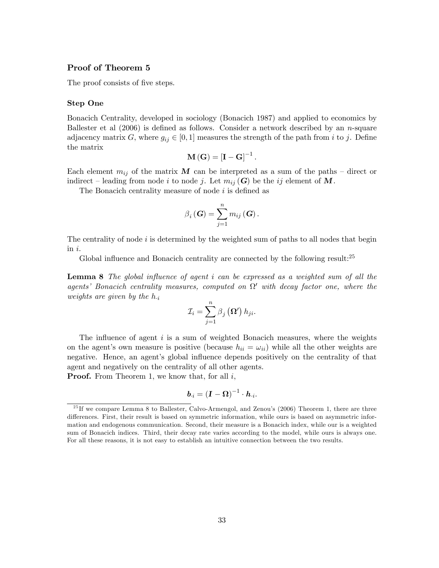## Proof of Theorem 5

The proof consists of five steps.

#### Step One

Bonacich Centrality, developed in sociology (Bonacich 1987) and applied to economics by Ballester et al  $(2006)$  is defined as follows. Consider a network described by an *n*-square adjacency matrix G, where  $g_{ij} \in [0, 1]$  measures the strength of the path from i to j. Define the matrix

$$
\mathbf{M}(\mathbf{G}) = [\mathbf{I} - \mathbf{G}]^{-1}.
$$

Each element  $m_{ij}$  of the matrix M can be interpreted as a sum of the paths – direct or indirect – leading from node i to node j. Let  $m_{ij} (G)$  be the ij element of M.

The Bonacich centrality measure of node  $i$  is defined as

$$
\beta_i(\mathbf{G}) = \sum_{j=1}^n m_{ij}(\mathbf{G}).
$$

The centrality of node  $i$  is determined by the weighted sum of paths to all nodes that begin in i.

Global influence and Bonacich centrality are connected by the following result: $^{25}$ 

**Lemma 8** The global influence of agent i can be expressed as a weighted sum of all the agents' Bonacich centrality measures, computed on  $\Omega'$  with decay factor one, where the weights are given by the  $h_{i}$ 

$$
\mathcal{I}_{i}=\sum_{j=1}^{n}\beta_{j}\left(\mathbf{\Omega}'\right)h_{ji}.
$$

The influence of agent  $i$  is a sum of weighted Bonacich measures, where the weights on the agent's own measure is positive (because  $h_{ii} = \omega_{ii}$ ) while all the other weights are negative. Hence, an agent's global influence depends positively on the centrality of that agent and negatively on the centrality of all other agents.

**Proof.** From Theorem 1, we know that, for all  $i$ ,

$$
\boldsymbol{b}_{\cdot i} = (\boldsymbol{I} - \boldsymbol{\Omega})^{-1} \cdot \boldsymbol{h}_{\cdot i}.
$$

 $^{25}$ If we compare Lemma 8 to Ballester, Calvo-Armengol, and Zenou's (2006) Theorem 1, there are three differences. First, their result is based on symmetric information, while ours is based on asymmetric information and endogenous communication. Second, their measure is a Bonacich index, while our is a weighted sum of Bonacich indices. Third, their decay rate varies according to the model, while ours is always one. For all these reasons, it is not easy to establish an intuitive connection between the two results.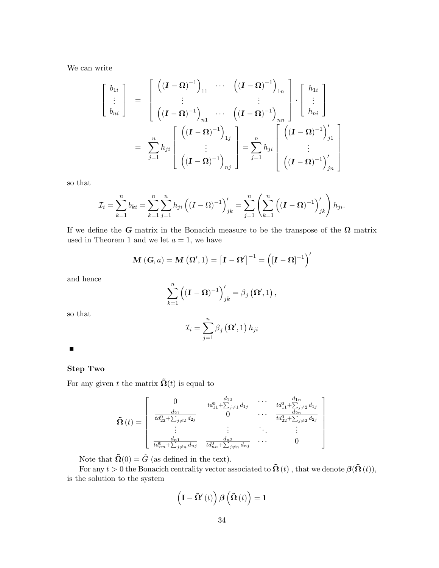We can write

$$
\begin{bmatrix}\nb_{1i} \\
\vdots \\
b_{ni}\n\end{bmatrix} = \begin{bmatrix}\n\left((\mathbf{I}-\mathbf{\Omega})^{-1}\right)_{11} & \cdots & \left((\mathbf{I}-\mathbf{\Omega})^{-1}\right)_{1n} \\
\vdots & \vdots \\
\left((\mathbf{I}-\mathbf{\Omega})^{-1}\right)_{n1} & \cdots & \left((\mathbf{I}-\mathbf{\Omega})^{-1}\right)_{nn}\n\end{bmatrix} \cdot \begin{bmatrix}\nh_{1i} \\
\vdots \\
h_{ni}\n\end{bmatrix}
$$
\n
$$
= \sum_{j=1}^{n} h_{ji} \begin{bmatrix}\n\left((\mathbf{I}-\mathbf{\Omega})^{-1}\right)_{1j} \\
\vdots \\
\left((\mathbf{I}-\mathbf{\Omega})^{-1}\right)_{nj}\n\end{bmatrix} = \sum_{j=1}^{n} h_{ji} \begin{bmatrix}\n\left((\mathbf{I}-\mathbf{\Omega})^{-1}\right)_{j1} \\
\vdots \\
\left((\mathbf{I}-\mathbf{\Omega})^{-1}\right)_{jn}\n\end{bmatrix}
$$

so that

$$
\mathcal{I}_i = \sum_{k=1}^n b_{ki} = \sum_{k=1}^n \sum_{j=1}^n h_{ji} \left( (I - \Omega)^{-1} \right)'_{jk} = \sum_{j=1}^n \left( \sum_{k=1}^n \left( (I - \Omega)^{-1} \right)'_{jk} \right) h_{ji}.
$$

If we define the G matrix in the Bonacich measure to be the transpose of the  $\Omega$  matrix used in Theorem 1 and we let  $a = 1$ , we have

$$
\boldsymbol{M}\left(\boldsymbol{G},a\right)=\boldsymbol{M}\left(\boldsymbol{\Omega}',1\right)=\left[\boldsymbol{I}-\boldsymbol{\Omega}'\right]^{-1}=\left(\left[\boldsymbol{I}-\boldsymbol{\Omega}\right]^{-1}\right)'
$$

and hence

$$
\sum_{k=1}^{n} \left( (\mathbf{I} - \mathbf{\Omega})^{-1} \right)'_{jk} = \beta_j \left( \mathbf{\Omega}', 1 \right),
$$

so that

$$
\mathcal{I}_{i}=\sum_{j=1}^{n}\beta_{j}\left(\mathbf{\Omega}',1\right)h_{ji}
$$

 $\blacksquare$ 

#### Step Two

For any given t the matrix  $\tilde{\mathbf{\Omega}}(t)$  is equal to

$$
\tilde{\mathbf{\Omega}}\left(t\right) = \left[\begin{array}{ccc} 0 & \frac{d_{12}}{td_{11}^{0} + \sum_{j\neq 1} d_{1j}} & \cdots & \frac{d_{1n}}{td_{11}^{0} + \sum_{j\neq 2} d_{1j}} \\ \frac{d_{21}}{td_{22}^{0} + \sum_{j\neq 2} d_{2j}} & 0 & \cdots & \frac{d_{2n}}{td_{22}^{0} + \sum_{j\neq 2} d_{2j}} \\ \vdots & \vdots & \ddots & \vdots \\ \frac{d_{n1}}{td_{nn}^{0} + \sum_{j\neq n} d_{nj}} & \frac{d_{n2}}{td_{nn}^{0} + \sum_{j\neq n} d_{nj}} & \cdots & 0 \end{array}\right]
$$

Note that  $\mathbf{\tilde{\Omega}}(0) = \tilde{G}$  (as defined in the text).

For any  $t>0$  the Bonacich centrality vector associated to  $\mathbf{\tilde{\Omega}}\left( t\right)$  , that we denote  $\mathbf{\beta}(\mathbf{\tilde{\Omega}}\left( t\right) ),$ is the solution to the system

$$
\left(\mathbf{I}-\tilde{\mathbf{\Omega}}'\left(t\right)\right)\boldsymbol{\beta}\left(\tilde{\mathbf{\Omega}}\left(t\right)\right)=\mathbf{1}
$$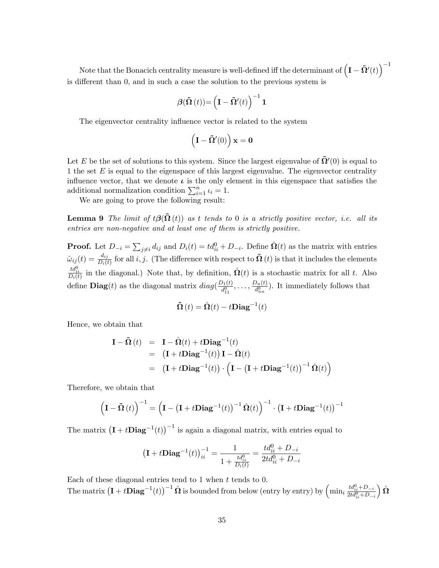Note that the Bonacich centrality measure is well-defined iff the determinant of  $\left(\mathbf{I} - \tilde{\mathbf{\Omega}}'(t)\right)^{-1}$ is different than 0, and in such a case the solution to the previous system is

$$
\boldsymbol{\beta}\mathbf{(\tilde{\Omega}\left(t\right))}\mathbf{=}\left(\mathbf{I}-\mathbf{\tilde{\Omega}^{\prime}}(t)\right)^{-1}\mathbf{1}
$$

The eigenvector centrality influence vector is related to the system

$$
\left(\mathbf{I}-\mathbf{\tilde{\Omega}}'(0)\right)\mathbf{x}=\mathbf{0}
$$

Let E be the set of solutions to this system. Since the largest eigenvalue of  $\tilde{\mathbf{\Omega}}'(0)$  is equal to 1 the set  $E$  is equal to the eigenspace of this largest eigenvalue. The eigenvector centrality influence vector, that we denote  $\iota$  is the only element in this eigenspace that satisfies the additional normalization condition  $\sum_{i=1}^{n} i_i = 1$ .

We are going to prove the following result:

**Lemma 9** The limit of  $t\beta(\tilde{\Omega}(t))$  as t tends to 0 is a strictly positive vector, i.e. all its entries are non-negative and at least one of them is strictly positive.

**Proof.** Let  $D_{-i} = \sum_{j \neq i} d_{ij}$  and  $D_i(t) = td_{ii}^0 + D_{-i}$ . Define  $\hat{\Omega}(t)$  as the matrix with entries  $\hat{\omega}_{ij}(t) = \frac{d_{ij}}{D_i(t)}$  for all  $i, j$ . (The difference with respect to  $\mathbf{\tilde{\Omega}}(t)$  is that it includes the elements  $\frac{td_{ii}^0}{D_i(t)}$  in the diagonal.) Note that, by definition,  $\hat{\Omega}(t)$  is a stochastic matrix for all t. Also define  $\mathbf{Diag}(t)$  as the diagonal matrix  $diag(\frac{D_1(t)}{d_0})$  $\frac{D_1(t)}{d_{11}^0}, \ldots, \frac{D_n(t)}{d_{nn}^0}$  $\frac{d_n^{\eta}(t)}{d_{nn}^{\eta}}$ ). It immediately follows that

$$
\mathbf{\tilde{\Omega}}\left(t\right) = \mathbf{\hat{\Omega}}(t) - t\mathbf{Diag}^{-1}(t)
$$

Hence, we obtain that

$$
\mathbf{I} - \tilde{\mathbf{\Omega}}(t) = \mathbf{I} - \hat{\mathbf{\Omega}}(t) + t \mathbf{Diag}^{-1}(t)
$$
  
=  $(\mathbf{I} + t \mathbf{Diag}^{-1}(t)) \mathbf{I} - \hat{\mathbf{\Omega}}(t)$   
=  $(\mathbf{I} + t \mathbf{Diag}^{-1}(t)) \cdot (\mathbf{I} - (\mathbf{I} + t \mathbf{Diag}^{-1}(t))^{-1} \hat{\mathbf{\Omega}}(t))$ 

Therefore, we obtain that

$$
\left(\mathbf{I} - \tilde{\mathbf{\Omega}}\left(t\right)\right)^{-1} = \left(\mathbf{I} - \left(\mathbf{I} + t\mathbf{Diag}^{-1}(t)\right)^{-1} \hat{\mathbf{\Omega}}(t)\right)^{-1} \cdot \left(\mathbf{I} + t\mathbf{Diag}^{-1}(t)\right)^{-1}
$$

The matrix  $(\mathbf{I} + t \mathbf{Diag}^{-1}(t))$ <sup>-1</sup> is again a diagonal matrix, with entries equal to

$$
\left(\mathbf{I} + t\mathbf{Diag}^{-1}(t)\right)^{-1}_{ii} = \frac{1}{1 + \frac{td^0_{ii}}{D_i(t)}} = \frac{td^0_{ii} + D_{-i}}{2td^0_{ii} + D_{-i}}
$$

Each of these diagonal entries tend to 1 when  $t$  tends to 0. The matrix  $\left(\mathbf{I} + t\mathbf{Diag}^{-1}(t)\right)^{-1} \hat{\mathbf{\Omega}}$  is bounded from below (entry by entry) by  $\left(\min_i \frac{td_{ii}^0 + D_{-i}}{2td_{ii}^0 + D_{-i}}\right)$  $\hat{\Omega}$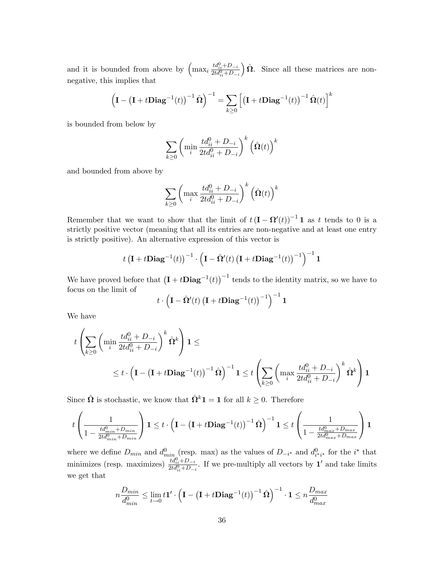and it is bounded from above by  $\left(\max_i \frac{td_{ii}^0+D_{-i}}{2td_{ii}^0+D_{-i}}\right)$  $\hat{\Omega}$ . Since all these matrices are nonnegative, this implies that

$$
\left(\mathbf{I} - \left(\mathbf{I} + t\mathbf{Diag}^{-1}(t)\right)^{-1}\hat{\mathbf{\Omega}}\right)^{-1} = \sum_{k \geq 0} \left[\left(\mathbf{I} + t\mathbf{Diag}^{-1}(t)\right)^{-1}\hat{\mathbf{\Omega}}(t)\right]^k
$$

is bounded from below by

$$
\sum_{k\geq 0} \left(\min_i \frac{td_{ii}^0 + D_{-i}}{2td_{ii}^0 + D_{-i}}\right)^k \left(\hat{\Omega}(t)\right)^k
$$

and bounded from above by

$$
\sum_{k\geq 0} \left(\max_i \frac{td_{ii}^0 + D_{-i}}{2td_{ii}^0 + D_{-i}}\right)^k \left(\hat{\Omega}(t)\right)^k
$$

Remember that we want to show that the limit of  $t(\mathbf{I} - \mathbf{\Omega}'(t))^{-1} \mathbf{1}$  as t tends to 0 is a strictly positive vector (meaning that all its entries are non-negative and at least one entry is strictly positive). An alternative expression of this vector is

$$
t\left(\mathbf{I} + t\mathbf{Diag}^{-1}(t)\right)^{-1} \cdot \left(\mathbf{I} - \hat{\mathbf{\Omega}}'(t)\left(\mathbf{I} + t\mathbf{Diag}^{-1}(t)\right)^{-1}\right)^{-1} \mathbf{1}
$$

We have proved before that  $(I + t\textbf{Diag}^{-1}(t))^{-1}$  tends to the identity matrix, so we have to focus on the limit of

$$
t \cdot \left(\mathbf{I} - \hat{\mathbf{\Omega}}'(t) \left(\mathbf{I} + t\mathbf{Diag}^{-1}(t)\right)^{-1}\right)^{-1} \mathbf{1}
$$

We have

$$
\begin{aligned} t&\left(\sum_{k\geq 0}\left(\min_i\frac{td_{ii}^0+D_{-i}}{2td_{ii}^0+D_{-i}}\right)^k\hat{\Omega}^k\right)\mathbf{1}\leq\\ &\leq t\cdot\left(\mathbf{I}-\left(\mathbf{I}+t\mathbf{Diag}^{-1}(t)\right)^{-1}\hat{\Omega}\right)^{-1}\mathbf{1}\leq t\left(\sum_{k\geq 0}\left(\max_i\frac{td_{ii}^0+D_{-i}}{2td_{ii}^0+D_{-i}}\right)^k\hat{\Omega}^k\right)\mathbf{1}\end{aligned}
$$

Since  $\hat{\Omega}$  is stochastic, we know that  $\hat{\Omega}^k \mathbf{1} = \mathbf{1}$  for all  $k \geq 0$ . Therefore

$$
t\left(\frac{1}{1-\frac{td_{min}^0+D_{min}}{2td_{min}^0+D_{min}}}\right)\mathbf{1}\le t\cdot\left(\mathbf{I}-\left(\mathbf{I}+t\mathbf{Diag}^{-1}(t)\right)^{-1}\hat{\mathbf{\Omega}}\right)^{-1}\mathbf{1}\le t\left(\frac{1}{1-\frac{td_{max}^0+D_{max}}{2td_{max}^0+D_{max}}}\right)\mathbf{1}
$$

where we define  $D_{min}$  and  $d_{min}^0$  (resp. max) as the values of  $D_{-i^*}$  and  $d_{i^*i^*}^0$  for the  $i^*$  that minimizes (resp. maximizes)  $\frac{td_{ii}^{0}+D_{-i}}{2td_{ii}^{0}+D_{-i}}$ . If we pre-multiply all vectors by  $1'$  and take limits we get that

$$
n\frac{D_{min}}{d_{min}^0} \leq \lim_{t \to 0} t\mathbf{1}' \cdot \left(\mathbf{I} - \left(\mathbf{I} + t\mathbf{Diag}^{-1}(t)\right)^{-1}\hat{\Omega}\right)^{-1} \cdot \mathbf{1} \leq n\frac{D_{max}}{d_{max}^0}
$$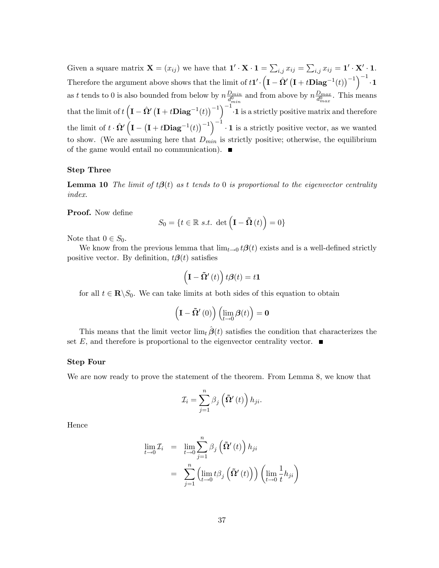Given a square matrix  $\mathbf{X} = (x_{ij})$  we have that  $\mathbf{1}' \cdot \mathbf{X} \cdot \mathbf{1} = \sum_{i,j} x_{ij} = \sum_{i,j} x_{ij} = \mathbf{1}' \cdot \mathbf{X}' \cdot \mathbf{1}$ . Therefore the argument above shows that the limit of  $t1'$ .  $\left(\mathbf{I} - \hat{\mathbf{\Omega}}'\left(\mathbf{I} + t\mathbf{Diag}^{-1}(t)\right)^{-1}\right)^{-1}\cdot \mathbf{1}$ as t tends to 0 is also bounded from below by  $n \frac{D_{min}}{d}$  $\frac{D_{min}}{d_{min}^0}$  and from above by  $n \frac{D_{max}}{d_{max}^0}$ . This means that the limit of  $t\left(\mathbf{I} - \hat{\mathbf{\Omega}}'\left(\mathbf{I} + t\mathbf{Diag}^{-1}(t)\right)^{-1}\right)^{-1}$ . I is a strictly positive matrix and therefore the limit of  $t \cdot \hat{\Omega}' \left( I - (I + t \textbf{Diag}^{-1}(t))^{-1} \right)^{-1} \cdot 1$  is a strictly positive vector, as we wanted to show. (We are assuming here that  $D_{min}$  is strictly positive; otherwise, the equilibrium of the game would entail no communication).  $\blacksquare$ 

#### Step Three

**Lemma 10** The limit of  $t\beta(t)$  as t tends to 0 is proportional to the eigenvector centrality index.

Proof. Now define

$$
S_0 = \{ t \in \mathbb{R} \ s.t. \ \det\left(\mathbf{I} - \tilde{\mathbf{\Omega}}\left(t\right)\right) = 0 \}
$$

Note that  $0 \in S_0$ .

We know from the previous lemma that  $\lim_{t\to 0} t\beta(t)$  exists and is a well-defined strictly positive vector. By definition,  $t\beta(t)$  satisfies

$$
\left(\mathbf{I}-\tilde{\mathbf{\Omega}}'\left(t\right)\right)t\boldsymbol{\beta}(t)=t\mathbf{1}
$$

for all  $t \in \mathbf{R} \backslash S_0$ . We can take limits at both sides of this equation to obtain

$$
\left(\mathbf{I}-\tilde{\mathbf{\Omega}}'\left(0\right)\right)\left(\lim_{t\rightarrow0}\boldsymbol{\beta}(t)\right)=\mathbf{0}
$$

This means that the limit vector  $\lim_{t} \hat{\beta}(t)$  satisfies the condition that characterizes the set E, and therefore is proportional to the eigenvector centrality vector.  $\blacksquare$ 

#### Step Four

We are now ready to prove the statement of the theorem. From Lemma 8, we know that

$$
\mathcal{I}_i = \sum_{j=1}^n \beta_j \left( \tilde{\mathbf{\Omega}}'(t) \right) h_{ji}.
$$

Hence

$$
\lim_{t \to 0} \mathcal{I}_i = \lim_{t \to 0} \sum_{j=1}^n \beta_j \left( \tilde{\Omega}'(t) \right) h_{ji}
$$
\n
$$
= \sum_{j=1}^n \left( \lim_{t \to 0} t \beta_j \left( \tilde{\Omega}'(t) \right) \right) \left( \lim_{t \to 0} \frac{1}{t} h_{ji} \right)
$$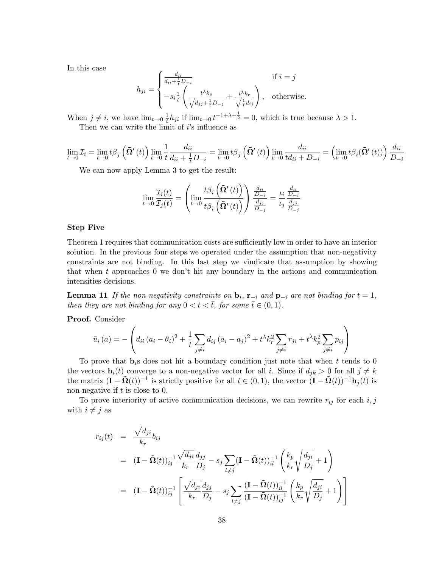In this case

$$
h_{ji} = \begin{cases} \frac{d_{ii}}{d_{ii} + \frac{1}{t}D_{-i}} & \text{if } i = j\\ -s_i \frac{1}{t} \left( \frac{t^{\lambda}k_p}{\sqrt{d_{jj} + \frac{1}{t}D_{-j}}} + \frac{t^{\lambda}k_r}{\sqrt{\frac{1}{t}d_{ij}}} \right), & \text{otherwise.} \end{cases}
$$

When  $j \neq i$ , we have  $\lim_{t \to 0} \frac{1}{t}$  $\frac{1}{t}h_{ji}$  if  $\lim_{t\to 0} t^{-1+\lambda+\frac{1}{2}}=0$ , which is true because  $\lambda>1$ .

Then we can write the limit of  $i$ 's influence as

$$
\lim_{t \to 0} \mathcal{I}_i = \lim_{t \to 0} t \beta_j \left( \tilde{\Omega}'(t) \right) \lim_{t \to 0} \frac{1}{t} \frac{d_{ii}}{d_{ii} + \frac{1}{t} D_{-i}} = \lim_{t \to 0} t \beta_j \left( \tilde{\Omega}'(t) \right) \lim_{t \to 0} \frac{d_{ii}}{t d_{ii} + D_{-i}} = \left( \lim_{t \to 0} t \beta_i \left( \tilde{\Omega}'(t) \right) \right) \frac{d_{ii}}{D_{-i}}
$$

We can now apply Lemma 3 to get the result:

$$
\lim_{t \to 0} \frac{\mathcal{I}_i(t)}{\mathcal{I}_j(t)} = \left( \lim_{t \to 0} \frac{t \beta_i \left( \tilde{\Omega}'(t) \right)}{t \beta_i \left( \tilde{\Omega}'(t) \right)} \right) \frac{\frac{d_{ii}}{D_{-i}}}{\frac{d_{jj}}{D_{-j}}} = \frac{\iota_i}{\iota_j} \frac{\frac{d_{ii}}{D_{-i}}}{\frac{d_{jj}}{D_{-j}}}
$$

#### Step Five

Theorem 1 requires that communication costs are sufficiently low in order to have an interior solution. In the previous four steps we operated under the assumption that non-negativity constraints are not binding. In this last step we vindicate that assumption by showing that when  $t$  approaches  $0$  we don't hit any boundary in the actions and communication intensities decisions.

**Lemma 11** If the non-negativity constraints on  $\mathbf{b}_i$ ,  $\mathbf{r}_{-i}$  and  $\mathbf{p}_{-i}$  are not binding for  $t = 1$ , then they are not binding for any  $0 < t < \overline{t}$ , for some  $\overline{t} \in (0,1)$ .

Proof. Consider

$$
\tilde{u}_i(a) = -\left(d_{ii}(a_i - \theta_i)^2 + \frac{1}{t} \sum_{j \neq i} d_{ij}(a_i - a_j)^2 + t^{\lambda} k_r^2 \sum_{j \neq i} r_{ji} + t^{\lambda} k_p^2 \sum_{j \neq i} p_{ij}\right)
$$

To prove that  $\mathbf{b}_i$  as does not hit a boundary condition just note that when t tends to 0 the vectors  $\mathbf{h}_i(t)$  converge to a non-negative vector for all i. Since if  $d_{ik} > 0$  for all  $j \neq k$ the matrix  $(\mathbf{I} - \tilde{\mathbf{\Omega}}(t))^{-1}$  is strictly positive for all  $t \in (0, 1)$ , the vector  $(\mathbf{I} - \tilde{\mathbf{\Omega}}(t))^{-1} \mathbf{h}_j(t)$  is non-negative if  $t$  is close to 0.

To prove interiority of active communication decisions, we can rewrite  $r_{ij}$  for each i, j with  $i \neq j$  as

$$
r_{ij}(t) = \frac{\sqrt{d_{ji}}}{k_r} b_{ij}
$$
  
\n
$$
= (\mathbf{I} - \tilde{\mathbf{\Omega}}(t))_{ij}^{-1} \frac{\sqrt{d_{ji}}}{k_r} \frac{d_{jj}}{D_j} - s_j \sum_{l \neq j} (\mathbf{I} - \tilde{\mathbf{\Omega}}(t))_{il}^{-1} \left( \frac{k_p}{k_r} \sqrt{\frac{d_{ji}}{D_j}} + 1 \right)
$$
  
\n
$$
= (\mathbf{I} - \tilde{\mathbf{\Omega}}(t))_{ij}^{-1} \left[ \frac{\sqrt{d_{ji}}}{k_r} \frac{d_{jj}}{D_j} - s_j \sum_{l \neq j} \frac{(\mathbf{I} - \tilde{\mathbf{\Omega}}(t))_{il}^{-1}}{(\mathbf{I} - \tilde{\mathbf{\Omega}}(t))_{ij}^{-1}} \left( \frac{k_p}{k_r} \sqrt{\frac{d_{ji}}{D_j}} + 1 \right) \right]
$$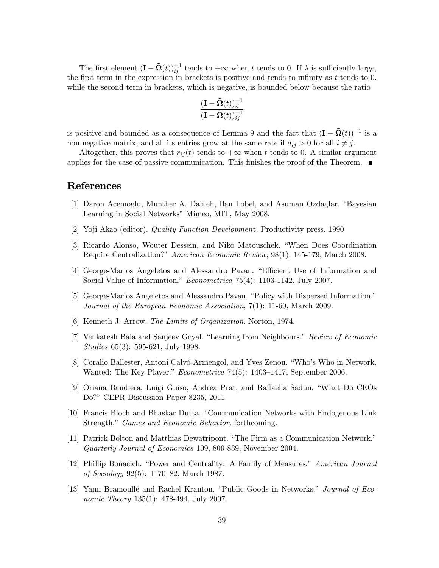The first element  $(\mathbf{I} - \tilde{\mathbf{\Omega}}(t))_{ij}^{-1}$  tends to  $+\infty$  when t tends to 0. If  $\lambda$  is sufficiently large, the first term in the expression in brackets is positive and tends to infinity as t tends to  $0$ , while the second term in brackets, which is negative, is bounded below because the ratio

$$
\frac{(\mathbf{I} - \tilde{\mathbf{\Omega}}(t))_{il}^{-1}}{(\mathbf{I} - \tilde{\mathbf{\Omega}}(t))_{ij}^{-1}}
$$

is positive and bounded as a consequence of Lemma 9 and the fact that  $(I - \tilde{\Omega}(t))^{-1}$  is a non-negative matrix, and all its entries grow at the same rate if  $d_{ij} > 0$  for all  $i \neq j$ .

Altogether, this proves that  $r_{ij}(t)$  tends to  $+\infty$  when t tends to 0. A similar argument applies for the case of passive communication. This finishes the proof of the Theorem.  $\blacksquare$ 

## References

- [1] Daron Acemoglu, Munther A. Dahleh, Ilan Lobel, and Asuman Ozdaglar. "Bayesian Learning in Social Networks" Mimeo, MIT, May 2008.
- [2] Yoji Akao (editor). Quality Function Development. Productivity press, 1990
- [3] Ricardo Alonso, Wouter Dessein, and Niko Matouschek. "When Does Coordination Require Centralization?" American Economic Review, 98(1), 145-179, March 2008.
- [4] George-Marios Angeletos and Alessandro Pavan. "Efficient Use of Information and Social Value of Information."  $Econometrica$  75(4): 1103-1142, July 2007.
- [5] George-Marios Angeletos and Alessandro Pavan. "Policy with Dispersed Information." Journal of the European Economic Association, 7(1): 11-60, March 2009.
- [6] Kenneth J. Arrow. The Limits of Organization. Norton, 1974.
- [7] Venkatesh Bala and Sanjeev Goyal. "Learning from Neighbours." Review of Economic Studies 65(3): 595-621, July 1998.
- [8] Coralio Ballester, Antoni Calvó-Armengol, and Yves Zenou. "Who's Who in Network. Wanted: The Key Player." *Econometrica* 74(5): 1403–1417, September 2006.
- [9] Oriana Bandiera, Luigi Guiso, Andrea Prat, and Raffaella Sadun. "What Do CEOs Do?" CEPR Discussion Paper 8235, 2011.
- [10] Francis Bloch and Bhaskar Dutta. "Communication Networks with Endogenous Link Strength." Games and Economic Behavior, forthcoming.
- [11] Patrick Bolton and Matthias Dewatripont. "The Firm as a Communication Network," Quarterly Journal of Economics 109, 809-839, November 2004.
- [12] Phillip Bonacich. "Power and Centrality: A Family of Measures." American Journal of Sociology 92(5): 1170–82, March 1987.
- [13] Yann Bramoullé and Rachel Kranton. "Public Goods in Networks." Journal of Economic Theory 135(1): 478-494, July 2007.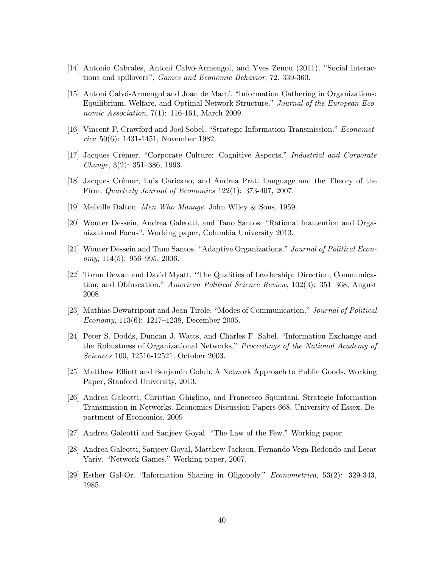- [14] Antonio Cabrales, Antoni Calvó-Armengol, and Yves Zenou (2011), "Social interactions and spillovers", Games and Economic Behavior, 72, 339-360.
- [15] Antoni Calvó-Armengol and Joan de Martí. "Information Gathering in Organizations: Equilibrium, Welfare, and Optimal Network Structure." Journal of the European Economic Association, 7(1): 116-161, March 2009.
- [16] Vincent P. Crawford and Joel Sobel. "Strategic Information Transmission." Econometrica 50(6): 1431-1451, November 1982.
- [17] Jacques Crémer. "Corporate Culture: Cognitive Aspects." *Industrial and Corporate* Change,  $3(2)$ :  $351-386$ , 1993.
- [18] Jacques CrÈmer, Luis Garicano, and Andrea Prat. Language and the Theory of the Firm. Quarterly Journal of Economics 122(1): 373-407, 2007.
- [19] Melville Dalton. Men Who Manage. John Wiley & Sons, 1959.
- [20] Wouter Dessein, Andrea Galeotti, and Tano Santos. "Rational Inattention and Organizational Focus". Working paper, Columbia University 2013.
- [21] Wouter Dessein and Tano Santos. "Adaptive Organizations." Journal of Political Economy,  $114(5)$ : 956–995, 2006.
- [22] Torun Dewan and David Myatt. "The Qualities of Leadership: Direction, Communication, and Obfuscation." American Political Science Review,  $102(3)$ : 351–368, August 2008.
- [23] Mathias Dewatripont and Jean Tirole. "Modes of Communication." Journal of Political Economy, 113(6): 1217–1238, December 2005.
- [24] Peter S. Dodds, Duncan J. Watts, and Charles F. Sabel. "Information Exchange and the Robustness of Organizational Networks," Proceedings of the National Academy of Sciences 100, 12516-12521, October 2003.
- [25] Matthew Elliott and Benjamin Golub. A Network Approach to Public Goods. Working Paper, Stanford University, 2013.
- [26] Andrea Galeotti, Christian Ghiglino, and Francesco Squintani. Strategic Information Transmission in Networks. Economics Discussion Papers 668, University of Essex, Department of Economics. 2009
- [27] Andrea Galeotti and Sanjeev Goyal. "The Law of the Few." Working paper.
- [28] Andrea Galeotti, Sanjeev Goyal, Matthew Jackson, Fernando Vega-Redondo and Leeat Yariv. "Network Games." Working paper, 2007.
- [29] Esther Gal-Or. "Information Sharing in Oligopoly." *Econometrica*,  $53(2)$ : 329-343, 1985.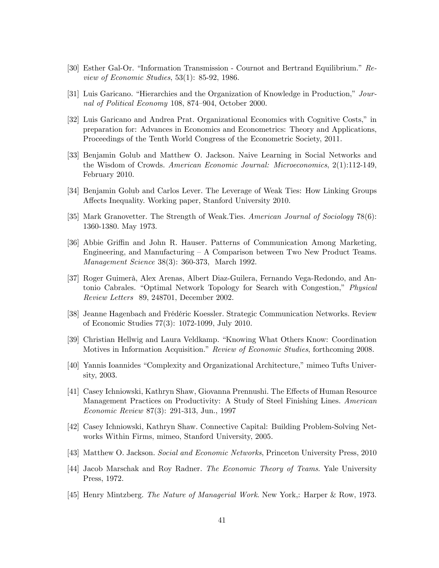- [30] Esther Gal-Or. "Information Transmission Cournot and Bertrand Equilibrium." Review of Economic Studies, 53(1): 85-92, 1986.
- [31] Luis Garicano. "Hierarchies and the Organization of Knowledge in Production,"  $Jour$ nal of Political Economy 108, 874–904, October 2000.
- [32] Luis Garicano and Andrea Prat. Organizational Economics with Cognitive Costs," in preparation for: Advances in Economics and Econometrics: Theory and Applications, Proceedings of the Tenth World Congress of the Econometric Society, 2011.
- [33] Benjamin Golub and Matthew O. Jackson. Naive Learning in Social Networks and the Wisdom of Crowds. American Economic Journal: Microeconomics, 2(1):112-149, February 2010.
- [34] Benjamin Golub and Carlos Lever. The Leverage of Weak Ties: How Linking Groups Affects Inequality. Working paper, Stanford University 2010.
- [35] Mark Granovetter. The Strength of Weak.Ties. American Journal of Sociology 78(6): 1360-1380. May 1973.
- [36] Abbie Griffin and John R. Hauser. Patterns of Communication Among Marketing, Engineering, and Manufacturing  $- A$  Comparison between Two New Product Teams. Management Science 38(3): 360-373, March 1992.
- [37] Roger Guimerà, Alex Arenas, Albert Diaz-Guilera, Fernando Vega-Redondo, and Antonio Cabrales. "Optimal Network Topology for Search with Congestion," Physical Review Letters 89, 248701, December 2002.
- [38] Jeanne Hagenbach and FrÈdÈric Koessler. Strategic Communication Networks. Review of Economic Studies 77(3): 1072-1099, July 2010.
- [39] Christian Hellwig and Laura Veldkamp. "Knowing What Others Know: Coordination Motives in Information Acquisition." Review of Economic Studies, forthcoming 2008.
- [40] Yannis Ioannides "Complexity and Organizational Architecture," mimeo Tufts University, 2003.
- [41] Casey Ichniowski, Kathryn Shaw, Giovanna Prennushi. The Effects of Human Resource Management Practices on Productivity: A Study of Steel Finishing Lines. American Economic Review 87(3): 291-313, Jun., 1997
- [42] Casey Ichniowski, Kathryn Shaw. Connective Capital: Building Problem-Solving Networks Within Firms, mimeo, Stanford University, 2005.
- [43] Matthew O. Jackson. Social and Economic Networks, Princeton University Press, 2010
- [44] Jacob Marschak and Roy Radner. The Economic Theory of Teams. Yale University Press, 1972.
- [45] Henry Mintzberg. The Nature of Managerial Work. New York,: Harper & Row, 1973.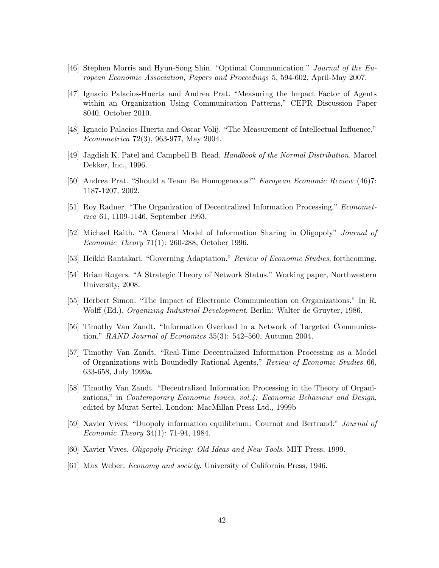- [46] Stephen Morris and Hyun-Song Shin. "Optimal Communication." Journal of the European Economic Association, Papers and Proceedings 5, 594-602, April-May 2007.
- [47] Ignacio Palacios-Huerta and Andrea Prat. "Measuring the Impact Factor of Agents within an Organization Using Communication Patterns," CEPR Discussion Paper 8040, October 2010.
- [48] Ignacio Palacios-Huerta and Oscar Volij. "The Measurement of Intellectual Influence," Econometrica 72(3), 963-977, May 2004.
- [49] Jagdish K. Patel and Campbell B. Read. Handbook of the Normal Distribution. Marcel Dekker, Inc., 1996.
- [50] Andrea Prat. "Should a Team Be Homogeneous?" European Economic Review (46)7: 1187-1207, 2002.
- [51] Roy Radner. "The Organization of Decentralized Information Processing," Econometrica 61, 1109-1146, September 1993.
- [52] Michael Raith. "A General Model of Information Sharing in Oligopoly" Journal of Economic Theory 71(1): 260-288, October 1996.
- [53] Heikki Rantakari. "Governing Adaptation." Review of Economic Studies, forthcoming.
- [54] Brian Rogers. "A Strategic Theory of Network Status." Working paper, Northwestern University, 2008.
- [55] Herbert Simon. "The Impact of Electronic Communication on Organizations." In R. Wolff (Ed.), Organizing Industrial Development. Berlin: Walter de Gruyter, 1986.
- [56] Timothy Van Zandt. "Information Overload in a Network of Targeted Communication." RAND Journal of Economics 35(3): 542–560, Autumn 2004.
- [57] Timothy Van Zandt. "Real-Time Decentralized Information Processing as a Model of Organizations with Boundedly Rational Agents," Review of Economic Studies 66, 633-658, July 1999a.
- [58] Timothy Van Zandt. "Decentralized Information Processing in the Theory of Organizations," in Contemporary Economic Issues, vol.4: Economic Behaviour and Design, edited by Murat Sertel. London: MacMillan Press Ltd., 1999b
- [59] Xavier Vives. "Duopoly information equilibrium: Cournot and Bertrand." *Journal of* Economic Theory 34(1): 71-94, 1984.
- [60] Xavier Vives. Oligopoly Pricing: Old Ideas and New Tools. MIT Press, 1999.
- [61] Max Weber. Economy and society. University of California Press, 1946.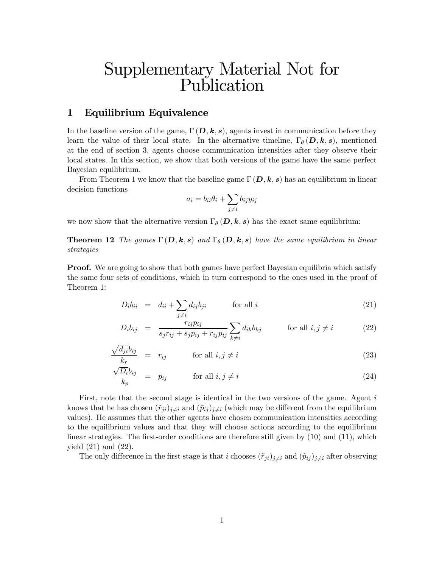# Supplementary Material Not for Publication

## 1 Equilibrium Equivalence

In the baseline version of the game,  $\Gamma(D, k, s)$ , agents invest in communication before they learn the value of their local state. In the alternative timeline,  $\Gamma_{\theta}(\mathbf{D}, \mathbf{k}, s)$ , mentioned at the end of section 3, agents choose communication intensities after they observe their local states. In this section, we show that both versions of the game have the same perfect Bayesian equilibrium.

From Theorem 1 we know that the baseline game  $\Gamma(D, k, s)$  has an equilibrium in linear decision functions

$$
a_i = b_{ii}\theta_i + \sum_{j \neq i} b_{ij}y_{ij}
$$

we now show that the alternative version  $\Gamma_{\theta}(\mathbf{D}, \mathbf{k}, s)$  has the exact same equilibrium:

**Theorem 12** The games  $\Gamma(D, k, s)$  and  $\Gamma_{\theta}(D, k, s)$  have the same equilibrium in linear strategies

**Proof.** We are going to show that both games have perfect Bayesian equilibria which satisfy the same four sets of conditions, which in turn correspond to the ones used in the proof of Theorem 1:

$$
D_i b_{ii} = d_{ii} + \sum_{j \neq i} d_{ij} b_{ji} \qquad \text{for all } i
$$
 (21)

$$
D_i b_{ij} = \frac{r_{ij} p_{ij}}{s_j r_{ij} + s_j p_{ij} + r_{ij} p_{ij}} \sum_{k \neq i} d_{ik} b_{kj} \qquad \text{for all } i, j \neq i \qquad (22)
$$

$$
\frac{\sqrt{d_{ji}}b_{ij}}{k_r} = r_{ij} \qquad \text{for all } i, j \neq i
$$
\n(23)

$$
\frac{\sqrt{D_i}b_{ij}}{k_p} = p_{ij} \qquad \text{for all } i, j \neq i
$$
\n(24)

First, note that the second stage is identical in the two versions of the game. Agent  $i$ knows that he has chosen  $(\tilde{r}_{ji})_{j\neq i}$  and  $(\tilde{p}_{ij})_{j\neq i}$  (which may be different from the equilibrium values). He assumes that the other agents have chosen communication intensities according to the equilibrium values and that they will choose actions according to the equilibrium linear strategies. The first-order conditions are therefore still given by  $(10)$  and  $(11)$ , which yield (21) and (22).

The only difference in the first stage is that i chooses  $(\tilde{r}_{ji})_{j\neq i}$  and  $(\tilde{p}_{ij})_{j\neq i}$  after observing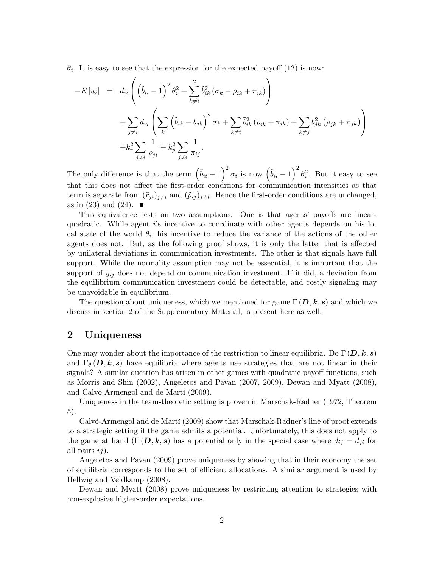$\theta_i$ . It is easy to see that the expression for the expected payoff (12) is now:

$$
-E[u_i] = d_{ii} \left( \left( \tilde{b}_{ii} - 1 \right)^2 \theta_i^2 + \sum_{k \neq i}^2 \tilde{b}_{ik}^2 (\sigma_k + \rho_{ik} + \pi_{ik}) \right) + \sum_{j \neq i} d_{ij} \left( \sum_k \left( \tilde{b}_{ik} - b_{jk} \right)^2 \sigma_k + \sum_{k \neq i} \tilde{b}_{ik}^2 (\rho_{ik} + \pi_{ik}) + \sum_{k \neq j} b_{jk}^2 (\rho_{jk} + \pi_{jk}) \right) + k_r^2 \sum_{j \neq i} \frac{1}{\rho_{ji}} + k_p^2 \sum_{j \neq i} \frac{1}{\pi_{ij}}.
$$

The only difference is that the term  $(\tilde{b}_{ii} - 1)^2 \sigma_i$  is now  $(\tilde{b}_{ii} - 1)^2 \theta_i^2$ . But it easy to see that this does not affect the first-order conditions for communication intensities as that term is separate from  $(\tilde{r}_{ji})_{j\neq i}$  and  $(\tilde{p}_{ij})_{j\neq i}$ . Hence the first-order conditions are unchanged, as in  $(23)$  and  $(24)$ .

This equivalence rests on two assumptions. One is that agents' payoffs are linearquadratic. While agent i's incentive to coordinate with other agents depends on his local state of the world  $\theta_i$ , his incentive to reduce the variance of the actions of the other agents does not. But, as the following proof shows, it is only the latter that is affected by unilateral deviations in communication investments. The other is that signals have full support. While the normality assumption may not be essecntial, it is important that the support of  $y_{ij}$  does not depend on communication investment. If it did, a deviation from the equilibrium communication investment could be detectable, and costly signaling may be unavoidable in equilibrium.

The question about uniqueness, which we mentioned for game  $\Gamma(D, k, s)$  and which we discuss in section 2 of the Supplementary Material, is present here as well.

## 2 Uniqueness

One may wonder about the importance of the restriction to linear equilibria. Do  $\Gamma(D, k, s)$ and  $\Gamma_{\theta}(\mathbf{D}, \mathbf{k}, s)$  have equilibria where agents use strategies that are not linear in their signals? A similar question has arisen in other games with quadratic payoff functions, such as Morris and Shin (2002), Angeletos and Pavan (2007, 2009), Dewan and Myatt (2008), and Calvó-Armengol and de Martí (2009).

Uniqueness in the team-theoretic setting is proven in Marschak-Radner (1972, Theorem 5).

Calvó-Armengol and de Martí (2009) show that Marschak-Radner's line of proof extends to a strategic setting if the game admits a potential. Unfortunately, this does not apply to the game at hand  $(\Gamma(\mathbf{D}, \mathbf{k}, \mathbf{s})$  has a potential only in the special case where  $d_{ij} = d_{ji}$  for all pairs  $ij$ ).

Angeletos and Pavan (2009) prove uniqueness by showing that in their economy the set of equilibria corresponds to the set of efficient allocations. A similar argument is used by Hellwig and Veldkamp (2008).

Dewan and Myatt (2008) prove uniqueness by restricting attention to strategies with non-explosive higher-order expectations.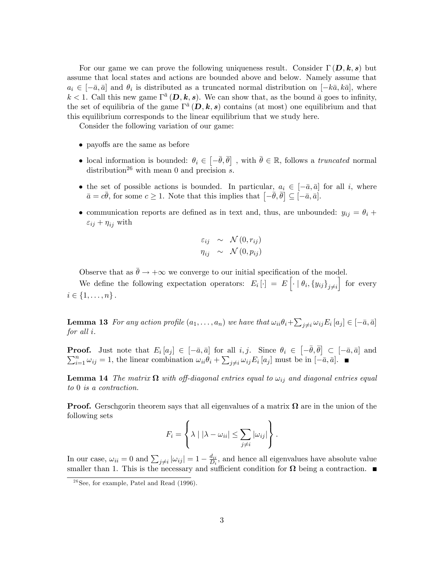For our game we can prove the following uniqueness result. Consider  $\Gamma(D, k, s)$  but assume that local states and actions are bounded above and below. Namely assume that  $a_i \in [-\bar{a}, \bar{a}]$  and  $\theta_i$  is distributed as a truncated normal distribution on  $[-k\bar{a}, k\bar{a}]$ , where  $k < 1$ . Call this new game  $\Gamma^{\bar{a}}({\bf D}, {\bf k}, s)$ . We can show that, as the bound  $\bar{a}$  goes to infinity, the set of equilibria of the game  $\Gamma^{\bar{a}}(D, k, s)$  contains (at most) one equilibrium and that this equilibrium corresponds to the linear equilibrium that we study here.

Consider the following variation of our game:

- payoffs are the same as before
- local information is bounded:  $\theta_i \in \left[-\overline{\theta}, \overline{\theta}\right]$ , with  $\overline{\theta} \in \mathbb{R}$ , follows a *truncated* normal distribution<sup>26</sup> with mean 0 and precision s.
- the set of possible actions is bounded. In particular,  $a_i \in [-\bar{a}, \bar{a}]$  for all i, where  $\bar{a} = c\bar{\theta}$ , for some  $c \ge 1$ . Note that this implies that  $\left[ -\bar{\theta}, \bar{\theta} \right] \subseteq \left[ -\bar{a}, \bar{a} \right]$ .
- communication reports are defined as in text and, thus, are unbounded:  $y_{ij} = \theta_i + \theta_j$  $\varepsilon_{ij} + \eta_{ij}$  with

$$
\varepsilon_{ij} \sim \mathcal{N}(0, r_{ij})
$$

$$
\eta_{ij} \sim \mathcal{N}(0, p_{ij})
$$

Observe that as  $\bar{\theta} \to +\infty$  we converge to our initial specification of the model.

We define the following expectation operators:  $E_i[\cdot] = E\left[\cdot \mid \theta_i, \{y_{ij}\}_{j \neq i}\right]$  for every  $i \in \{1, \ldots, n\}$ .

**Lemma 13** For any action profile  $(a_1, \ldots, a_n)$  we have that  $\omega_{ii} \theta_i + \sum_{j \neq i} \omega_{ij} E_i [a_j] \in [-\bar{a}, \bar{a}]$ for all i.

**Proof.** Just note that  $E_i[a_j] \in [-\bar{a}, \bar{a}]$  for all  $i, j$ . Since  $\theta_i \in [-\bar{b}, \bar{\theta}] \subset [-\bar{a}, \bar{a}]$  and  $\sum_{i=1}^{n} \omega_{ij} = 1$ , the linear combination  $\omega_{ii} \theta_i + \sum_{j \neq i} \omega_{ij} E_i [a_j]$  must be in  $\left[-\overline{a}, \overline{a}\right]$ .

**Lemma 14** The matrix  $\Omega$  with off-diagonal entries equal to  $\omega_{ij}$  and diagonal entries equal to 0 is a contraction.

**Proof.** Gerschgorin theorem says that all eigenvalues of a matrix  $\Omega$  are in the union of the following sets

$$
F_i = \left\{ \lambda \mid |\lambda - \omega_{ii}| \leq \sum_{j \neq i} |\omega_{ij}| \right\}.
$$

In our case,  $\omega_{ii} = 0$  and  $\sum_{j \neq i} |\omega_{ij}| = 1 - \frac{d_{ii}}{D_i}$  $\frac{a_{ii}}{D_i}$ , and hence all eigenvalues have absolute value smaller than 1. This is the necessary and sufficient condition for  $\Omega$  being a contraction.

 $26$ See, for example, Patel and Read (1996).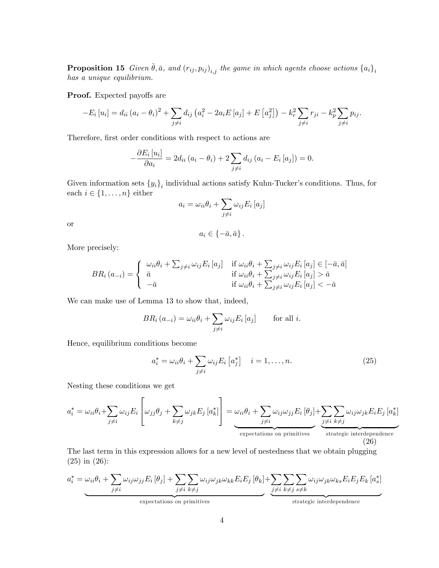**Proposition 15** Given  $\bar{\theta}$ ,  $\bar{a}$ , and  $(r_{ij}, p_{ij})_{i,j}$  the game in which agents choose actions  $\{a_i\}_i$ has a unique equilibrium.

Proof. Expected payoffs are

$$
-E_i[u_i] = d_{ii}(a_i - \theta_i)^2 + \sum_{j \neq i} d_{ij}(a_i^2 - 2a_i E[a_j] + E[a_j^2]) - k_r^2 \sum_{j \neq i} r_{ji} - k_p^2 \sum_{j \neq i} p_{ij}.
$$

Therefore, first order conditions with respect to actions are

$$
-\frac{\partial E_i[u_i]}{\partial a_i} = 2d_{ii}(a_i - \theta_i) + 2\sum_{j \neq i} d_{ij}(a_i - E_i[a_j]) = 0.
$$

Given information sets  ${y_i}_i$  individual actions satisfy Kuhn-Tucker's conditions. Thus, for each  $i \in \{1, \ldots, n\}$  either

$$
a_i = \omega_{ii}\theta_i + \sum_{j \neq i} \omega_{ij} E_i [a_j]
$$

or

$$
a_i \in \{-\bar{a}, \bar{a}\}.
$$

More precisely:

$$
BR_i(a_{-i}) = \begin{cases} \n\omega_{ii}\theta_i + \sum_{j\neq i}\omega_{ij}E_i[a_j] & \text{if } \omega_{ii}\theta_i + \sum_{j\neq i}\omega_{ij}E_i[a_j] \in [-\bar{a}, \bar{a}] \\
\bar{a} & \text{if } \omega_{ii}\theta_i + \sum_{j\neq i}\omega_{ij}E_i[a_j] > \bar{a} \\
-\bar{a} & \text{if } \omega_{ii}\theta_i + \sum_{j\neq i}\omega_{ij}E_i[a_j] < -\bar{a}\n\end{cases}
$$

We can make use of Lemma 13 to show that, indeed,

$$
BR_i(a_{-i}) = \omega_{ii}\theta_i + \sum_{j \neq i} \omega_{ij} E_i[a_j] \quad \text{for all } i.
$$

Hence, equilibrium conditions become

$$
a_i^* = \omega_{ii}\theta_i + \sum_{j \neq i} \omega_{ij} E_i \left[a_j^*\right] \quad i = 1, \dots, n. \tag{25}
$$

Nesting these conditions we get

$$
a_i^* = \omega_{ii}\theta_i + \sum_{j \neq i} \omega_{ij} E_i \left[ \omega_{jj}\theta_j + \sum_{k \neq j} \omega_{jk} E_j \left[ a_k^* \right] \right] = \underbrace{\omega_{ii}\theta_i + \sum_{j \neq i} \omega_{ij}\omega_{jj} E_i \left[ \theta_j \right]}_{\text{expectations on primitives}} + \underbrace{\sum_{j \neq i} \sum_{k \neq j} \omega_{ij}\omega_{jk} E_i E_j \left[ a_k^* \right]}_{\text{strategies interdependence}}
$$
\n(26)

The last term in this expression allows for a new level of nestedness that we obtain plugging (25) in (26):

$$
a_i^* = \underbrace{\omega_{ii}\theta_i + \sum_{j\neq i}\omega_{ij}\omega_{jj}E_i\left[\theta_j\right] + \sum_{j\neq i}\sum_{k\neq j}\omega_{ij}\omega_{jk}\omega_{kk}E_iE_j\left[\theta_k\right]}_{\text{expectations on primitives}} + \underbrace{\sum_{j\neq i}\sum_{k\neq j}\sum_{s\neq k}\omega_{ij}\omega_{jk}\omega_{ks}E_iE_jE_k\left[a_s^*\right]}_{\text{strategies interdependence}}
$$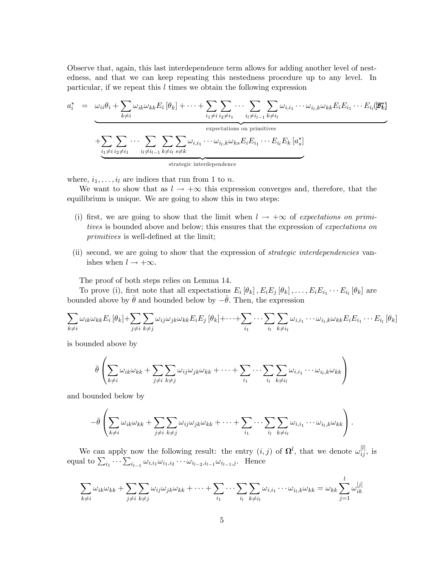Observe that, again, this last interdependence term allows for adding another level of nestedness, and that we can keep repeating this nestedness procedure up to any level. In particular, if we repeat this  $l$  times we obtain the following expression

$$
a_i^* = \omega_{ii}\theta_i + \sum_{k \neq i} \omega_{ik}\omega_{kk}E_i[\theta_k] + \cdots + \sum_{i_1 \neq i} \sum_{i_2 \neq i_1} \cdots \sum_{i_l \neq i_{l-1}} \sum_{k \neq i_l} \omega_{i,i_1} \cdots \omega_{i_l,k}\omega_{kk}E_iE_{i_1} \cdots E_{i_l}[\mathbf{F}_k]
$$
  
expectations on primitives  

$$
+ \sum_{i_1 \neq i} \sum_{i_2 \neq i_1} \cdots \sum_{i_l \neq i_{l-1}} \sum_{k \neq i_l} \sum_{s \neq k} \omega_{i,i_1} \cdots \omega_{i_l,k}\omega_{ks}E_iE_{i_1} \cdots E_{i_l}E_k[a_s^*]
$$
  
strategic interdependence

where,  $i_1, \ldots, i_l$  are indices that run from 1 to n.

We want to show that as  $l \to +\infty$  this expression converges and, therefore, that the equilibrium is unique. We are going to show this in two steps:

- (i) first, we are going to show that the limit when  $l \rightarrow +\infty$  of expectations on primitives is bounded above and below; this ensures that the expression of expectations on primitives is well-defined at the limit;
- (ii) second, we are going to show that the expression of strategic interdependencies vanishes when  $l \rightarrow +\infty$ .

The proof of both steps relies on Lemma 14.

To prove (i), first note that all expectations  $E_i[\theta_k], E_iE_j[\theta_k], \ldots, E_iE_{i_1} \cdots E_{i_l}[\theta_k]$  are bounded above by  $\bar{\theta}$  and bounded below by  $-\bar{\theta}$ . Then, the expression

$$
\sum_{k \neq i} \omega_{ik} \omega_{kk} E_i \left[ \theta_k \right] + \sum_{j \neq i} \sum_{k \neq j} \omega_{ij} \omega_{jk} \omega_{kk} E_i E_j \left[ \theta_k \right] + \dots + \sum_{i_1} \dots \sum_{i_l} \sum_{k \neq i_l} \omega_{i,i_1} \dots \omega_{i_l,k} \omega_{kk} E_i E_{i_1} \dots E_{i_l} \left[ \theta_k \right]
$$

is bounded above by

$$
\bar{\theta}\left(\sum_{k\neq i}\omega_{ik}\omega_{kk}+\sum_{j\neq i}\sum_{k\neq j}\omega_{ij}\omega_{jk}\omega_{kk}+\cdots+\sum_{i_1}\cdots\sum_{i_l}\sum_{k\neq i_l}\omega_{i,i_1}\cdots\omega_{i_l,k}\omega_{kk}\right)
$$

and bounded below by

$$
-\bar{\theta}\left(\sum_{k\neq i}\omega_{ik}\omega_{kk}+\sum_{j\neq i}\sum_{k\neq j}\omega_{ij}\omega_{jk}\omega_{kk}+\cdots+\sum_{i_1}\cdots\sum_{i_l}\sum_{k\neq i_l}\omega_{i,i_1}\cdots\omega_{i_l,k}\omega_{kk}\right).
$$

We can apply now the following result: the entry  $(i, j)$  of  $\Omega^l$ , that we denote  $\omega_{ij}^{[l]}$ , is equal to  $\sum_{i_1} \cdots \sum_{i_{l-1}} \omega_{i,i_1} \omega_{i_1,i_2} \cdots \omega_{i_{l-2},i_{l-1}} \omega_{i_{l-1},j}$ . Hence

$$
\sum_{k \neq i} \omega_{ik} \omega_{kk} + \sum_{j \neq i} \sum_{k \neq j} \omega_{ij} \omega_{jk} \omega_{kk} + \dots + \sum_{i_1} \dots \sum_{i_l} \sum_{k \neq i_l} \omega_{i,i_1} \dots \omega_{i_l,k} \omega_{kk} = \omega_{kk} \sum_{j=1}^l \omega_{ik}^{[j]}
$$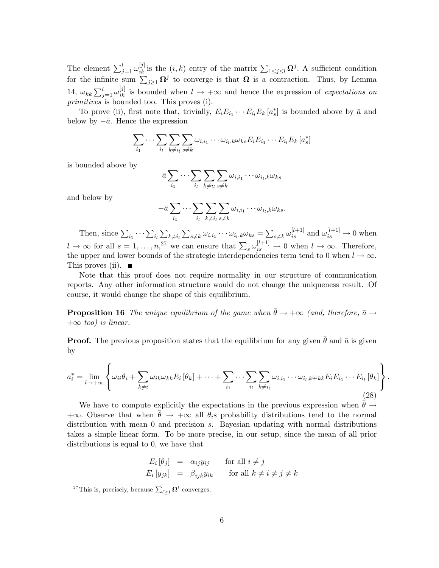The element  $\sum_{j=1}^l \omega_{ik}^{[j]}$  is the  $(i,k)$  entry of the matrix  $\sum_{1 \leq j \leq l} \mathbf{\Omega}^j$ . A sufficient condition for the infinite sum  $\sum_{j\geq 1} \mathbf{\Omega}^j$  to converge is that  $\mathbf{\Omega}$  is a contraction. Thus, by Lemma 14,  $\omega_{kk} \sum_{j=1}^{l} \omega_{ik}^{[j]}$  is bounded when  $l \to +\infty$  and hence the expression of expectations on primitives is bounded too. This proves (i).

To prove (ii), first note that, trivially,  $E_i E_{i_1} \cdots E_{i_l} E_k [a_s^*]$  is bounded above by  $\bar{a}$  and below by  $-\bar{a}$ . Hence the expression

$$
\sum_{i_1} \cdots \sum_{i_l} \sum_{k \neq i_l} \sum_{s \neq k} \omega_{i,i_1} \cdots \omega_{i_l,k} \omega_{ks} E_i E_{i_1} \cdots E_{i_l} E_k [a_s^*]
$$

is bounded above by

$$
\bar{a} \sum_{i_1} \cdots \sum_{i_l} \sum_{k \neq i_l} \sum_{s \neq k} \omega_{i,i_1} \cdots \omega_{i_l,k} \omega_{ks}
$$

and below by

$$
-\bar{a}\sum_{i_1}\cdots\sum_{i_l}\sum_{k\neq i_l}\sum_{s\neq k}\omega_{i,i_1}\cdots\omega_{i_l,k}\omega_{ks}.
$$

Then, since  $\sum_{i_1} \cdots \sum_{i_l} \sum_{k \neq i_l} \sum_{s \neq k} \omega_{i,i_1} \cdots \omega_{i_l,k} \omega_{ks} = \sum_{i_1, i_1, \dots, i_k \neq k} \omega_{is}^{[l+1]}$  and  $\omega_{is}^{[l+1]} \rightarrow 0$  when  $l \to \infty$  for all  $s = 1, ..., n$ ,<sup>27</sup> we can ensure that  $\sum_{s} \omega_{is}^{[l+1]} \to 0$  when  $l \to \infty$ . Therefore, the upper and lower bounds of the strategic interdependencies term tend to 0 when  $l \to \infty$ . This proves (ii).  $\blacksquare$ 

Note that this proof does not require normality in our structure of communication reports. Any other information structure would do not change the uniqueness result. Of course, it would change the shape of this equilibrium.

**Proposition 16** The unique equilibrium of the game when  $\bar{\theta} \rightarrow +\infty$  (and, therefore,  $\bar{a} \rightarrow$  $+\infty$  too) is linear.

**Proof.** The previous proposition states that the equilibrium for any given  $\bar{\theta}$  and  $\bar{a}$  is given by

$$
a_i^* = \lim_{l \to +\infty} \left\{ \omega_{ii} \theta_i + \sum_{k \neq i} \omega_{ik} \omega_{kk} E_i \left[ \theta_k \right] + \dots + \sum_{i_1} \dots \sum_{i_l} \sum_{k \neq i_l} \omega_{i,i_1} \dots \omega_{i_l,k} \omega_{kk} E_i E_{i_1} \dots E_{i_l} \left[ \theta_k \right] \right\}.
$$
\n(28)

We have to compute explicitly the expectations in the previous expression when  $\bar{\theta} \rightarrow$  $+\infty$ . Observe that when  $\theta \to +\infty$  all  $\theta_i$  probability distributions tend to the normal distribution with mean 0 and precision s. Bayesian updating with normal distributions takes a simple linear form. To be more precise, in our setup, since the mean of all prior distributions is equal to 0, we have that

$$
E_i [\theta_j] = \alpha_{ij} y_{ij} \quad \text{for all } i \neq j
$$
  

$$
E_i [y_{jk}] = \beta_{ijk} y_{ik} \quad \text{for all } k \neq i \neq j \neq k
$$

<sup>27</sup>This is, precisely, because  $\sum_{l\geq 1} \mathbf{\Omega}^l$  converges.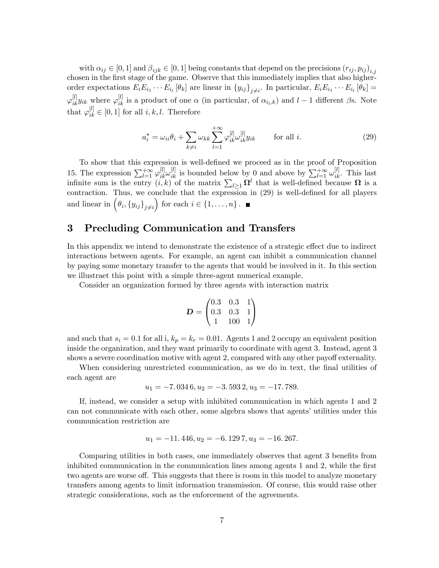with  $\alpha_{ij} \in [0, 1]$  and  $\beta_{ijk} \in [0, 1]$  being constants that depend on the precisions  $(r_{ij}, p_{ij})_{i,j}$ chosen in the first stage of the game. Observe that this immediately implies that also higherorder expectations  $E_i E_{i_1} \cdots E_{i_l} [\theta_k]$  are linear in  $\{y_{ij}\}_{j \neq i}$ . In particular,  $E_i E_{i_1} \cdots E_{i_l} [\theta_k] =$  $\varphi_{ik}^{[l]}y_{ik}$  where  $\varphi_{ik}^{[l]}$  is a product of one  $\alpha$  (in particular, of  $\alpha_{i_l,k}$ ) and  $l-1$  different  $\beta$ s. Note that  $\varphi_{ik}^{[l]} \in [0, 1]$  for all  $i, k, l$ . Therefore

$$
a_i^* = \omega_{ii}\theta_i + \sum_{k \neq i} \omega_{kk} \sum_{l=1}^{+\infty} \varphi_{ik}^{[l]} \omega_{ik}^{[l]} y_{ik} \qquad \text{for all } i.
$$
 (29)

To show that this expression is well-defined we proceed as in the proof of Proposition 15. The expression  $\sum_{l=1}^{+\infty} \varphi_{ik}^{[l]} \omega_{ik}^{[l]}$  is bounded below by 0 and above by  $\sum_{l=1}^{+\infty} \omega_{ik}^{[l]}$ . This last infinite sum is the entry  $(i, k)$  of the matrix  $\sum_{l \geq 1} \mathbf{\Omega}^l$  that is well-defined because  $\mathbf{\Omega}$  is a contraction. Thus, we conclude that the expression in  $(29)$  is well-defined for all players and linear in  $(\theta_i, \{y_{ij}\}_{j\neq i})$  for each  $i \in \{1, ..., n\}$ .

## 3 Precluding Communication and Transfers

In this appendix we intend to demonstrate the existence of a strategic effect due to indirect interactions between agents. For example, an agent can inhibit a communication channel by paying some monetary transfer to the agents that would be involved in it. In this section we illustraet this point with a simple three-agent numerical example.

Consider an organization formed by three agents with interaction matrix

$$
D = \begin{pmatrix} 0.3 & 0.3 & 1 \\ 0.3 & 0.3 & 1 \\ 1 & 100 & 1 \end{pmatrix}
$$

and such that  $s_i = 0.1$  for all i,  $k_p = k_r = 0.01$ . Agents 1 and 2 occupy an equivalent position inside the organization, and they want primarily to coordinate with agent 3. Instead, agent 3 shows a severe coordination motive with agent 2, compared with any other payoff externality.

When considering unrestricted communication, as we do in text, the final utilities of each agent are

$$
u_1 = -7.0346, u_2 = -3.5932, u_3 = -17.789.
$$

If, instead, we consider a setup with inhibited communication in which agents 1 and 2 can not communicate with each other, some algebra shows that agents' utilities under this communication restriction are

$$
u_1 = -11.446, u_2 = -6.1297, u_3 = -16.267.
$$

Comparing utilities in both cases, one immediately observes that agent 3 benefits from inhibited communication in the communication lines among agents 1 and 2, while the first two agents are worse off. This suggests that there is room in this model to analyze monetary transfers among agents to limit information transmission. Of course, this would raise other strategic considerations, such as the enforcement of the agreements.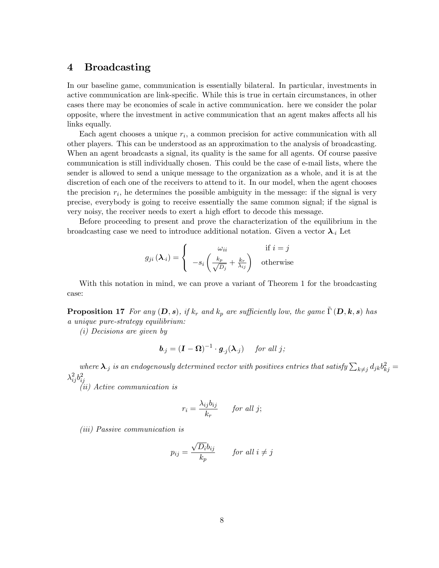## 4 Broadcasting

In our baseline game, communication is essentially bilateral. In particular, investments in active communication are link-specific. While this is true in certain circumstances, in other cases there may be economies of scale in active communication. here we consider the polar opposite, where the investment in active communication that an agent makes affects all his links equally.

Each agent chooses a unique  $r_i$ , a common precision for active communication with all other players. This can be understood as an approximation to the analysis of broadcasting. When an agent broadcasts a signal, its quality is the same for all agents. Of course passive communication is still individually chosen. This could be the case of e-mail lists, where the sender is allowed to send a unique message to the organization as a whole, and it is at the discretion of each one of the receivers to attend to it. In our model, when the agent chooses the precision  $r_i$ , he determines the possible ambiguity in the message: if the signal is very precise, everybody is going to receive essentially the same common signal; if the signal is very noisy, the receiver needs to exert a high effort to decode this message.

Before proceeding to present and prove the characterization of the equilibrium in the broadcasting case we need to introduce additional notation. Given a vector  $\lambda_i$  Let

$$
g_{ji}(\lambda_i) = \begin{cases} \omega_{ii} & \text{if } i = j \\ -s_i \left( \frac{k_p}{\sqrt{D_j}} + \frac{k_r}{\lambda_{ij}} \right) & \text{otherwise} \end{cases}
$$

With this notation in mind, we can prove a variant of Theorem 1 for the broadcasting case:

**Proposition 17** For any  $(D, s)$ , if  $k_r$  and  $k_p$  are sufficiently low, the game  $\Gamma(D, k, s)$  has a unique pure-strategy equilibrium:

(i) Decisions are given by

$$
\boldsymbol{b}_{\cdot j} = (\boldsymbol{I} - \boldsymbol{\Omega})^{-1} \cdot \boldsymbol{g}_{\cdot j}(\boldsymbol{\lambda}_{\cdot j}) \quad \text{ for all } j;
$$

where  $\lambda_{\cdot j}$  is an endogenously determined vector with positives entries that satisfy  $\sum_{k\neq j}d_{jk}b_{kj}^2 =$  $\lambda_{ij}^2 b_{ij}^2$ 

(ii) Active communication is

$$
r_i = \frac{\lambda_{ij} b_{ij}}{k_r} \qquad \text{for all } j;
$$

(iii) Passive communication is

$$
p_{ij} = \frac{\sqrt{D_i}b_{ij}}{k_p} \qquad \text{for all } i \neq j
$$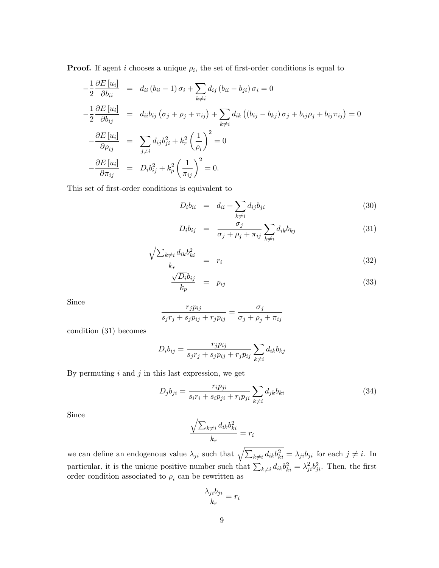**Proof.** If agent i chooses a unique  $\rho_i$ , the set of first-order conditions is equal to

$$
-\frac{1}{2}\frac{\partial E[u_i]}{\partial b_{ii}} = d_{ii}(b_{ii} - 1)\sigma_i + \sum_{k \neq i} d_{ij}(b_{ii} - b_{ji})\sigma_i = 0
$$
  

$$
-\frac{1}{2}\frac{\partial E[u_i]}{\partial b_{ij}} = d_{ii}b_{ij}(\sigma_j + \rho_j + \pi_{ij}) + \sum_{k \neq i} d_{ik}((b_{ij} - b_{kj})\sigma_j + b_{ij}\rho_j + b_{ij}\pi_{ij}) = 0
$$
  

$$
-\frac{\partial E[u_i]}{\partial \rho_{ij}} = \sum_{j \neq i} d_{ij}b_{ji}^2 + k_r^2 \left(\frac{1}{\rho_i}\right)^2 = 0
$$
  

$$
-\frac{\partial E[u_i]}{\partial \pi_{ij}} = D_i b_{ij}^2 + k_p^2 \left(\frac{1}{\pi_{ij}}\right)^2 = 0.
$$

This set of first-order conditions is equivalent to

$$
D_i b_{ii} = d_{ii} + \sum_{k \neq i} d_{ij} b_{ji}
$$
\n(30)

$$
D_i b_{ij} = \frac{\sigma_j}{\sigma_j + \rho_j + \pi_{ij}} \sum_{k \neq i} d_{ik} b_{kj}
$$
 (31)

$$
\frac{\sqrt{\sum_{k\neq i} d_{ik} b_{ki}^2}}{k_r} = r_i \tag{32}
$$

$$
\frac{\sqrt{D_i}b_{ij}}{k_p} = p_{ij} \tag{33}
$$

Since

Ĭ.

$$
\frac{r_j p_{ij}}{s_j r_j + s_j p_{ij} + r_j p_{ij}} = \frac{\sigma_j}{\sigma_j + \rho_j + \pi_{ij}}
$$

condition (31) becomes

$$
D_i b_{ij} = \frac{r_j p_{ij}}{s_j r_j + s_j p_{ij} + r_j p_{ij}} \sum_{k \neq i} d_{ik} b_{kj}
$$

By permuting  $i$  and  $j$  in this last expression, we get

$$
D_j b_{ji} = \frac{r_i p_{ji}}{s_i r_i + s_i p_{ji} + r_i p_{ji}} \sum_{k \neq i} d_{jk} b_{ki}
$$
\n(34)

Since

$$
\frac{\sqrt{\sum_{k\neq i}d_{ik}b_{ki}^2}}{k_r}=r_i
$$

we can define an endogenous value  $\lambda_{ji}$  such that  $\sqrt{\sum_{k\neq i} d_{ik}b_{ki}^2} = \lambda_{ji}b_{ji}$  for each  $j \neq i$ . In particular, it is the unique positive number such that  $\sum_{k\neq i} d_{ik}b_{ki}^2 = \lambda_{ji}^2 b_{ji}^2$ . Then, the first order condition associated to  $\rho_i$  can be rewritten as

$$
\frac{\lambda_{ji}b_{ji}}{k_r}=r_i
$$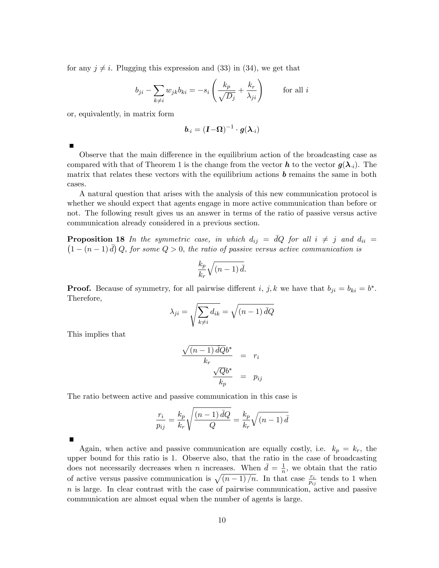for any  $j \neq i$ . Plugging this expression and (33) in (34), we get that

$$
b_{ji} - \sum_{k \neq i} w_{jk} b_{ki} = -s_i \left( \frac{k_p}{\sqrt{D_j}} + \frac{k_r}{\lambda_{ji}} \right) \qquad \text{for all } i
$$

or, equivalently, in matrix form

$$
\boldsymbol{b}_{\cdot i} = \left(\boldsymbol{I}\!-\!\boldsymbol{\Omega}\right)^{-1}\cdot\boldsymbol{g}(\boldsymbol{\lambda}_{\cdot i})
$$

П

Observe that the main difference in the equilibrium action of the broadcasting case as compared with that of Theorem 1 is the change from the vector  $h$  to the vector  $g(\lambda_i)$ . The matrix that relates these vectors with the equilibrium actions  $\boldsymbol{b}$  remains the same in both cases.

A natural question that arises with the analysis of this new communication protocol is whether we should expect that agents engage in more active communication than before or not. The following result gives us an answer in terms of the ratio of passive versus active communication already considered in a previous section.

**Proposition 18** In the symmetric case, in which  $d_{ij} = dQ$  for all  $i \neq j$  and  $d_{ii} =$  $1 - (n - 1) \bar{d}$ , for some  $Q > 0$ , the ratio of passive versus active communication is

$$
\frac{k_p}{k_r}\sqrt{(n-1)\,\bar{d}}.
$$

**Proof.** Because of symmetry, for all pairwise different i, j, k we have that  $b_{ji} = b_{ki} = b^*$ . Therefore,

$$
\lambda_{ji} = \sqrt{\sum_{k \neq i} d_{ik}} = \sqrt{(n-1) \, \bar{d}Q}
$$

This implies that

$$
\frac{\sqrt{(n-1) \bar{d}Q}b^*}{k_r} = r_i
$$

$$
\frac{\sqrt{Q}b^*}{k_p} = p_{ij}
$$

The ratio between active and passive communication in this case is

$$
\frac{r_i}{p_{ij}} = \frac{k_p}{k_r} \sqrt{\frac{(n-1) \bar{d}Q}{Q}} = \frac{k_p}{k_r} \sqrt{(n-1) \bar{d}}
$$

Again, when active and passive communication are equally costly, i.e.  $k_p = k_r$ , the upper bound for this ratio is 1. Observe also, that the ratio in the case of broadcasting does not necessarily decreases when *n* increases. When  $\bar{d} = \frac{1}{n}$  $\frac{1}{n}$ , we obtain that the ratio of active versus passive communication is  $\sqrt{(n-1)/n}$ . In that case  $\frac{r_i}{p_{ij}}$  tends to 1 when n is large. In clear contrast with the case of pairwise communication, active and passive communication are almost equal when the number of agents is large.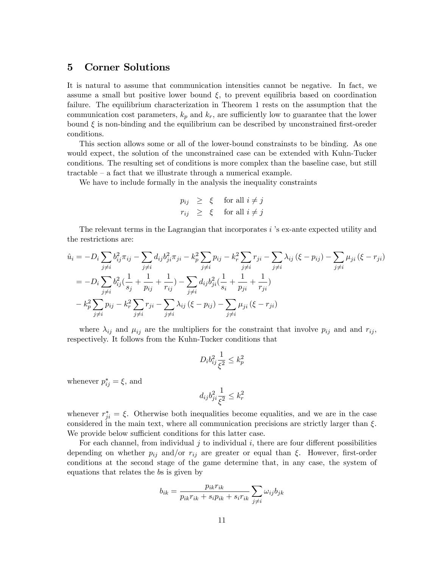# 5 Corner Solutions

It is natural to assume that communication intensities cannot be negative. In fact, we assume a small but positive lower bound  $\xi$ , to prevent equilibria based on coordination failure. The equilibrium characterization in Theorem 1 rests on the assumption that the communication cost parameters,  $k_p$  and  $k_r$ , are sufficiently low to guarantee that the lower bound  $\xi$  is non-binding and the equilibrium can be described by unconstrained first-oreder conditions.

This section allows some or all of the lower-bound constrainsts to be binding. As one would expect, the solution of the unconstrained case can be extended with Kuhn-Tucker conditions. The resulting set of conditions is more complex than the baseline case, but still  $tractable - a fact that we illustrate through a numerical example.$ 

We have to include formally in the analysis the inequality constraints

$$
p_{ij} \geq \xi \quad \text{for all } i \neq j
$$
  

$$
r_{ij} \geq \xi \quad \text{for all } i \neq j
$$

The relevant terms in the Lagrangian that incorporates  $i$  's ex-ante expected utility and the restrictions are:

$$
\hat{u}_{i} = -D_{i} \sum_{j \neq i} b_{ij}^{2} \pi_{ij} - \sum_{j \neq i} d_{ij} b_{ji}^{2} \pi_{ji} - k_{p}^{2} \sum_{j \neq i} p_{ij} - k_{r}^{2} \sum_{j \neq i} r_{ji} - \sum_{j \neq i} \lambda_{ij} (\xi - p_{ij}) - \sum_{j \neq i} \mu_{ji} (\xi - r_{ji})
$$
\n
$$
= -D_{i} \sum_{j \neq i} b_{ij}^{2} (\frac{1}{s_{j}} + \frac{1}{p_{ij}} + \frac{1}{r_{ij}}) - \sum_{j \neq i} d_{ij} b_{ji}^{2} (\frac{1}{s_{i}} + \frac{1}{p_{ji}} + \frac{1}{r_{ji}})
$$
\n
$$
-k_{p}^{2} \sum_{j \neq i} p_{ij} - k_{r}^{2} \sum_{j \neq i} r_{ji} - \sum_{j \neq i} \lambda_{ij} (\xi - p_{ij}) - \sum_{j \neq i} \mu_{ji} (\xi - r_{ji})
$$

where  $\lambda_{ij}$  and  $\mu_{ij}$  are the multipliers for the constraint that involve  $p_{ij}$  and and  $r_{ij}$ , respectively. It follows from the Kuhn-Tucker conditions that

$$
D_i b_{ij}^2 \frac{1}{\xi^2} \le k_p^2
$$

whenever  $p_{ij}^* = \xi$ , and

$$
d_{ij}b_{ji}^2\frac{1}{\xi^2}\leq k_r^2
$$

whenever  $r_{ji}^* = \xi$ . Otherwise both inequalities become equalities, and we are in the case considered in the main text, where all communication precisions are strictly larger than  $\xi$ . We provide below sufficient conditions for this latter case.

For each channel, from individual j to individual i, there are four different possibilities depending on whether  $p_{ij}$  and/or  $r_{ij}$  are greater or equal than  $\xi$ . However, first-order conditions at the second stage of the game determine that, in any case, the system of equations that relates the bs is given by

$$
b_{ik} = \frac{p_{ik}r_{ik}}{p_{ik}r_{ik} + s_i p_{ik} + s_i r_{ik}} \sum_{j \neq i} \omega_{ij} b_{jk}
$$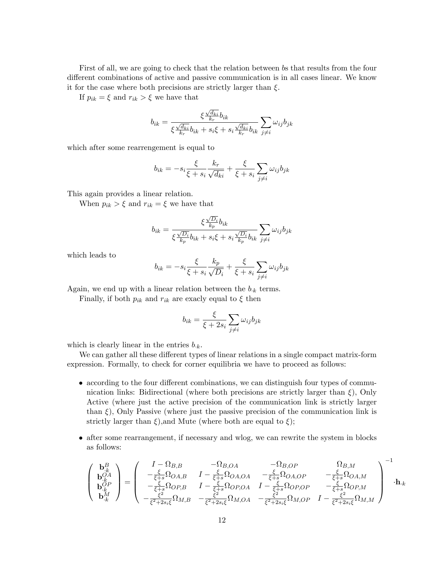First of all, we are going to check that the relation between bs that results from the four different combinations of active and passive communication is in all cases linear. We know it for the case where both precisions are strictly larger than  $\xi$ .

If  $p_{ik} = \xi$  and  $r_{ik} > \xi$  we have that

$$
b_{ik} = \frac{\xi \frac{\sqrt{d_{ki}}}{k_r} b_{ik}}{\xi \frac{\sqrt{d_{ki}}}{k_r} b_{ik} + s_i \xi + s_i \frac{\sqrt{d_{ki}}}{k_r} b_{ik}} \sum_{j \neq i} \omega_{ij} b_{jk}
$$

which after some rearrengement is equal to

$$
b_{ik} = -s_i \frac{\xi}{\xi + s_i} \frac{k_r}{\sqrt{d_{ki}}} + \frac{\xi}{\xi + s_i} \sum_{j \neq i} \omega_{ij} b_{jk}
$$

This again provides a linear relation.

When  $p_{ik} > \xi$  and  $r_{ik} = \xi$  we have that

$$
b_{ik} = \frac{\xi \frac{\sqrt{D_i}}{k_p} b_{ik}}{\xi \frac{\sqrt{D_i}}{k_p} b_{ik} + s_i \xi + s_i \frac{\sqrt{D_i}}{k_p} b_{ik}} \sum_{j \neq i} \omega_{ij} b_{jk}
$$

which leads to

$$
b_{ik} = -s_i \frac{\xi}{\xi + s_i} \frac{k_p}{\sqrt{D_i}} + \frac{\xi}{\xi + s_i} \sum_{j \neq i} \omega_{ij} b_{jk}
$$

Again, we end up with a linear relation between the  $b_k$  terms.

Finally, if both  $p_{ik}$  and  $r_{ik}$  are exacly equal to  $\xi$  then

$$
b_{ik} = \frac{\xi}{\xi + 2s_i} \sum_{j \neq i} \omega_{ij} b_{jk}
$$

which is clearly linear in the entries  $b_k$ .

We can gather all these different types of linear relations in a single compact matrix-form expression. Formally, to check for corner equilibria we have to proceed as follows:

- according to the four different combinations, we can distinguish four types of communication links: Bidirectional (where both precisions are strictly larger than  $\xi$ ), Only Active (where just the active precision of the communication link is strictly larger than  $\xi$ ), Only Passive (where just the passive precision of the communication link is strictly larger than  $\xi$ ), and Mute (where both are equal to  $\xi$ );
- after some rearrangement, if necessary and wlog, we can rewrite the system in blocks as follows:

$$
\left(\begin{array}{c} \mathbf{b}_{.k}^{B} \\ \mathbf{b}_{.k}^{OA} \\ \mathbf{b}_{.k}^{OP} \\ \mathbf{b}_{.k}^{M} \end{array}\right) = \left(\begin{array}{cccc} I - \Omega_{B,B} & -\Omega_{B,OA} & -\Omega_{B,OP} & \Omega_{B,M} \\ -\frac{\xi}{\xi+s}\Omega_{OA,B} & I - \frac{\xi}{\xi+s}\Omega_{OA,OA} & -\frac{\xi}{\xi+s}\Omega_{OA,OP} & -\frac{\xi}{\xi+s}\Omega_{OA,M} \\ -\frac{\xi}{\xi+s}\Omega_{OP,B} & I - \frac{\xi}{\xi+s}\Omega_{OP,OA} & I - \frac{\xi}{\xi+s}\Omega_{OP,OP} & -\frac{\xi}{\xi+s}\Omega_{OP,M} \\ -\frac{\xi^{2}}{\xi^{2}+2s_{i}\xi}\Omega_{M,B} & -\frac{\xi^{2}}{\xi^{2}+2s_{i}\xi}\Omega_{M,OA} & -\frac{\xi^{2}}{\xi^{2}+2s_{i}\xi}\Omega_{M,OP} & I - \frac{\xi^{2}}{\xi^{2}+2s_{i}\xi}\Omega_{M,M} \end{array}\right)^{-1} \mathbf{h}_{.k}
$$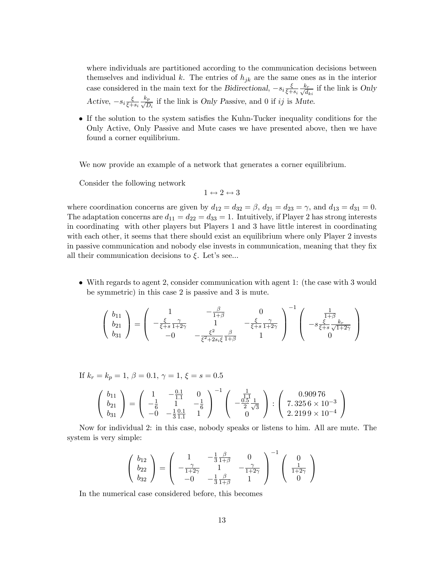where individuals are partitioned according to the communication decisions between themselves and individual k. The entries of  $h_{jk}$  are the same ones as in the interior case considered in the main text for the Bidirectional,  $-s_i \frac{\xi}{\xi+1}$  $\frac{\xi}{\xi + s_i} \frac{k_r}{\sqrt{d_i}}$  $\frac{k_r}{d_{ki}}$  if the link is Only Active,  $-s_i \frac{\xi}{\xi+}$  $\frac{\xi}{\xi + s_i} \frac{k_p}{\sqrt{L}}$  $\frac{dp}{D_i}$  if the link is *Only Passive*, and 0 if *ij* is *Mute.* 

If the solution to the system satisfies the Kuhn-Tucker inequality conditions for the Only Active, Only Passive and Mute cases we have presented above, then we have found a corner equilibrium.

We now provide an example of a network that generates a corner equilibrium.

Consider the following network

$$
1 \leftrightarrow 2 \leftrightarrow 3
$$

where coordination concerns are given by  $d_{12} = d_{32} = \beta$ ,  $d_{21} = d_{23} = \gamma$ , and  $d_{13} = d_{31} = 0$ . The adaptation concerns are  $d_{11} = d_{22} = d_{33} = 1$ . Intuitively, if Player 2 has strong interests in coordinating with other players but Players 1 and 3 have little interest in coordinating with each other, it seems that there should exist an equilibrium where only Player 2 invests in passive communication and nobody else invests in communication, meaning that they fix all their communication decisions to  $\xi$ . Let's see...

 With regards to agent 2, consider communication with agent 1: (the case with 3 would be symmetric) in this case 2 is passive and 3 is mute.

$$
\begin{pmatrix} b_{11} \\ b_{21} \\ b_{31} \end{pmatrix} = \begin{pmatrix} 1 & -\frac{\beta}{1+\beta} & 0 \\ -\frac{\xi}{\xi+s} \frac{\gamma}{1+2\gamma} & 1 & -\frac{\xi}{\xi+s} \frac{\gamma}{1+2\gamma} \\ -0 & -\frac{\xi^2}{\xi^2+2s_i\xi} \frac{\beta}{1+\beta} & 1 \end{pmatrix}^{-1} \begin{pmatrix} \frac{1}{1+\beta} \\ -s \frac{\xi}{\xi+s} \frac{k_r}{\sqrt{1+2\gamma}} \\ 0 \end{pmatrix}
$$

If  $k_r = k_p = 1, \beta = 0.1, \gamma = 1, \xi = s = 0.5$ 

$$
\begin{pmatrix} b_{11} \\ b_{21} \\ b_{31} \end{pmatrix} = \begin{pmatrix} 1 & -\frac{0.1}{1.1} & 0 \\ -\frac{1}{6} & 1 & -\frac{1}{6} \\ -0 & -\frac{1}{3} \frac{0.1}{1.1} & 1 \end{pmatrix}^{-1} \begin{pmatrix} \frac{1}{1.1} \\ -\frac{0.5}{2} \frac{1}{\sqrt{3}} \\ 0 \end{pmatrix} : \begin{pmatrix} 0.90976 \\ 7.3256 \times 10^{-3} \\ 2.2199 \times 10^{-4} \end{pmatrix}
$$

Now for individual 2: in this case, nobody speaks or listens to him. All are mute. The system is very simple:

$$
\begin{pmatrix} b_{12} \\ b_{22} \\ b_{32} \end{pmatrix} = \begin{pmatrix} 1 & -\frac{1}{3} \frac{\beta}{1+\beta} & 0 \\ -\frac{\gamma}{1+2\gamma} & 1 & -\frac{\gamma}{1+2\gamma} \\ -0 & -\frac{1}{3} \frac{\beta}{1+\beta} & 1 \end{pmatrix}^{-1} \begin{pmatrix} 0 \\ \frac{1}{1+2\gamma} \\ 0 \end{pmatrix}
$$

In the numerical case considered before, this becomes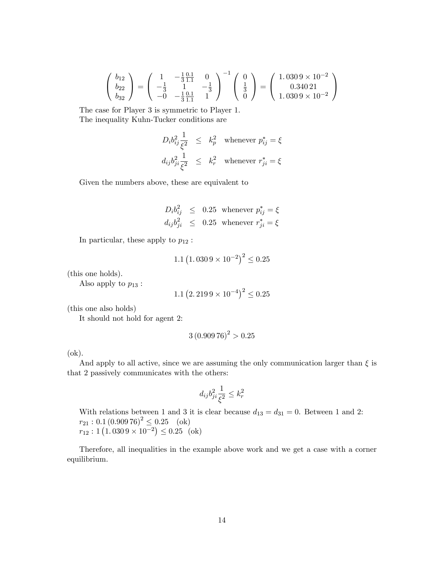$$
\begin{pmatrix} b_{12} \\ b_{22} \\ b_{32} \end{pmatrix} = \begin{pmatrix} 1 & -\frac{1}{3} \frac{0.1}{1.1} & 0 \\ -\frac{1}{3} & 1 & -\frac{1}{3} \\ -0 & -\frac{1}{3} \frac{0.1}{1.1} & 1 \end{pmatrix}^{-1} \begin{pmatrix} 0 \\ \frac{1}{3} \\ 0 \end{pmatrix} = \begin{pmatrix} 1.0309 \times 10^{-2} \\ 0.34021 \\ 1.0309 \times 10^{-2} \end{pmatrix}
$$

The case for Player 3 is symmetric to Player 1. The inequality Kuhn-Tucker conditions are

$$
D_i b_{ij}^2 \frac{1}{\xi^2} \leq k_p^2 \quad \text{whenever } p_{ij}^* = \xi
$$
  

$$
d_{ij} b_{ji}^2 \frac{1}{\xi^2} \leq k_r^2 \quad \text{whenever } r_{ji}^* = \xi
$$

Given the numbers above, these are equivalent to

$$
D_i b_{ij}^2 \leq 0.25 \text{ whenever } p_{ij}^* = \xi
$$
  

$$
d_{ij} b_{ji}^2 \leq 0.25 \text{ whenever } r_{ji}^* = \xi
$$

In particular, these apply to  $p_{12}$ :

$$
1.1 (1.0309 \times 10^{-2})^2 \le 0.25
$$

(this one holds).

Also apply to  $p_{13}$ :

$$
1.1 (2.2199 \times 10^{-4})^2 \le 0.25
$$

(this one also holds)

It should not hold for agent 2:

$$
3 (0.90976)^2 > 0.25
$$

(ok).

And apply to all active, since we are assuming the only communication larger than  $\xi$  is that 2 passively communicates with the others:

$$
d_{ij}b_{ji}^2\frac{1}{\xi^2}\leq k_r^2
$$

With relations between 1 and 3 it is clear because  $d_{13} = d_{31} = 0$ . Between 1 and 2:  $r_{21}$ : 0.1  $(0.90976)^2 \le 0.25$  (ok)  $r_{12}: 1 (1.0309 \times 10^{-2}) \le 0.25$  (ok)

Therefore, all inequalities in the example above work and we get a case with a corner equilibrium.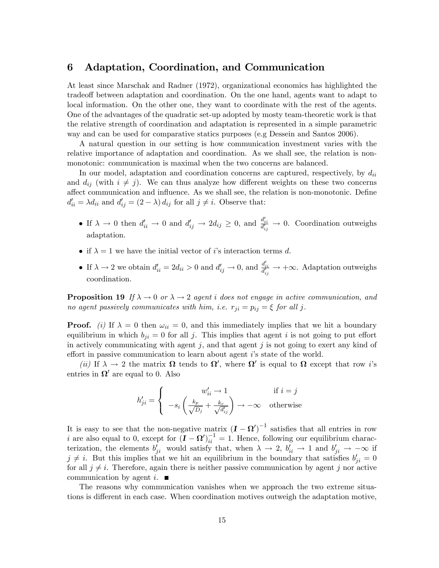## 6 Adaptation, Coordination, and Communication

At least since Marschak and Radner (1972), organizational economics has highlighted the tradeo§ between adaptation and coordination. On the one hand, agents want to adapt to local information. On the other one, they want to coordinate with the rest of the agents. One of the advantages of the quadratic set-up adopted by mosty team-theoretic work is that the relative strength of coordination and adaptation is represented in a simple parametric way and can be used for comparative statics purposes (e.g Dessein and Santos 2006).

A natural question in our setting is how communication investment varies with the relative importance of adaptation and coordination. As we shall see, the relation is nonmonotonic: communication is maximal when the two concerns are balanced.

In our model, adaptation and coordination concerns are captured, respectively, by  $d_{ii}$ and  $d_{ij}$  (with  $i \neq j$ ). We can thus analyze how different weights on these two concerns affect communication and influence. As we shall see, the relation is non-monotonic. Define  $d'_{ii} = \lambda d_{ii}$  and  $d'_{ij} = (2 - \lambda) d_{ij}$  for all  $j \neq i$ . Observe that:

- If  $\lambda \to 0$  then  $d'_{ii} \to 0$  and  $d'_{ij} \to 2d_{ij} \geq 0$ , and  $\frac{d'_{ii}}{d'_{ij}} \to 0$ . Coordination outweighs adaptation.
- if  $\lambda = 1$  we have the initial vector of i's interaction terms d.
- If  $\lambda \to 2$  we obtain  $d'_{ii} = 2d_{ii} > 0$  and  $d'_{ij} \to 0$ , and  $\frac{d'_{ii}}{d'_{ij}} \to +\infty$ . Adaptation outweighs coordination.

**Proposition 19** If  $\lambda \to 0$  or  $\lambda \to 2$  agent i does not engage in active communication, and no agent passively communicates with him, i.e.  $r_{ji} = p_{ij} = \xi$  for all j.

**Proof.** (i) If  $\lambda = 0$  then  $\omega_{ii} = 0$ , and this immediately implies that we hit a boundary equilibrium in which  $b_{ii} = 0$  for all j. This implies that agent i is not going to put effort in actively communicating with agent  $j$ , and that agent  $j$  is not going to exert any kind of effort in passive communication to learn about agent  $i$ 's state of the world.

(*ii*) If  $\lambda \to 2$  the matrix  $\Omega$  tends to  $\Omega'$ , where  $\Omega'$  is equal to  $\Omega$  except that row *i*'s entries in  $\Omega'$  are equal to 0. Also

$$
h'_{ji} = \begin{cases} w'_{ii} \to 1 & \text{if } i = j \\ -s_i \left( \frac{k_p}{\sqrt{D_j}} + \frac{k_r}{\sqrt{d'_{ij}}} \right) \to -\infty & \text{otherwise} \end{cases}
$$

It is easy to see that the non-negative matrix  $(I - \Omega')^{-1}$  satisfies that all entries in row i are also equal to 0, except for  $(I - \Omega')_{ii}^{-1} = 1$ . Hence, following our equilibrium characterization, the elements  $b'_{ji}$  would satisfy that, when  $\lambda \to 2$ ,  $b'_{ii} \to 1$  and  $b'_{ji} \to -\infty$  if  $j \neq i$ . But this implies that we hit an equilibrium in the boundary that satisfies  $b'_{ji} = 0$ for all  $j \neq i$ . Therefore, again there is neither passive communication by agent j nor active communication by agent  $i$ .

The reasons why communication vanishes when we approach the two extreme situations is different in each case. When coordination motives outweigh the adaptation motive,